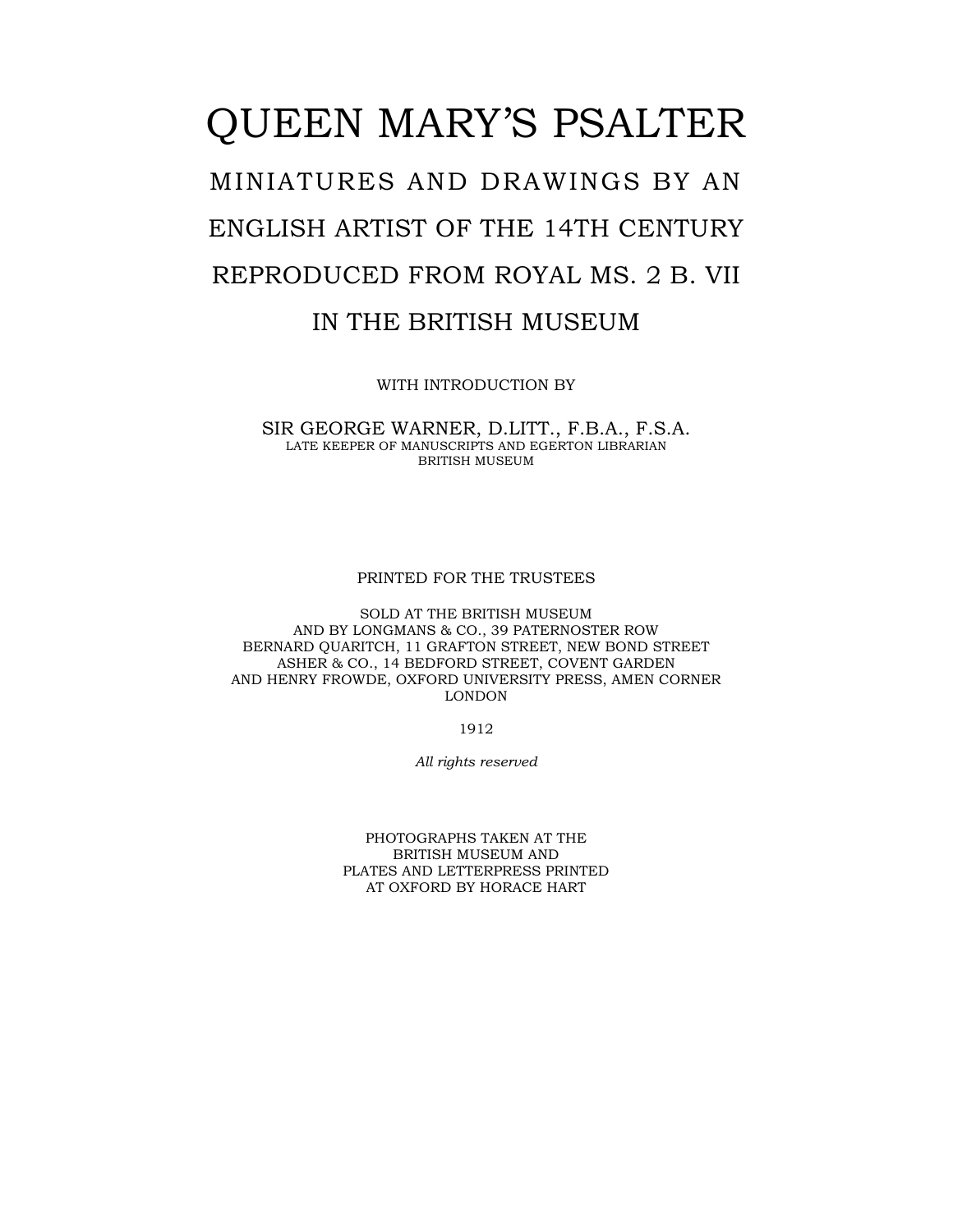## QUEEN MARY'S PSALTER MINIATURES AND DRAWINGS BY AN ENGLISH ARTIST OF THE 14TH CENTURY REPRODUCED FROM ROYAL MS. 2 B. VII IN THE BRITISH MUSEUM

WITH INTRODUCTION BY

SIR GEORGE WARNER, D.LITT., F.B.A., F.S.A. LATE KEEPER OF MANUSCRIPTS AND EGERTON LIBRARIAN BRITISH MUSEUM

PRINTED FOR THE TRUSTEES

SOLD AT THE BRITISH MUSEUM AND BY LONGMANS & CO., 39 PATERNOSTER ROW BERNARD QUARITCH, 11 GRAFTON STREET, NEW BOND STREET ASHER & CO., 14 BEDFORD STREET, COVENT GARDEN AND HENRY FROWDE, OXFORD UNIVERSITY PRESS, AMEN CORNER LONDON

1912

*All rights reserved* 

PHOTOGRAPHS TAKEN AT THE BRITISH MUSEUM AND PLATES AND LETTERPRESS PRINTED AT OXFORD BY HORACE HART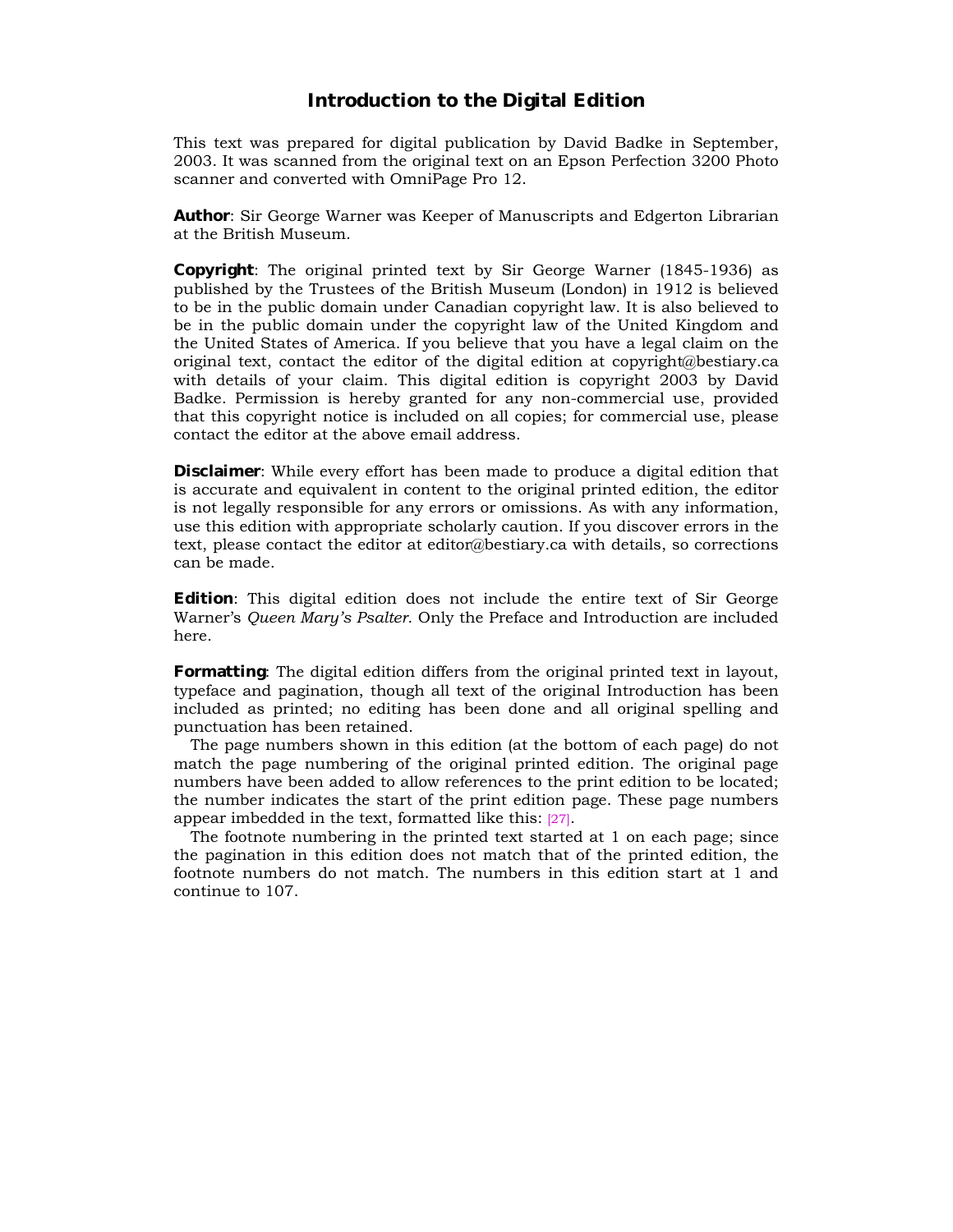## **Introduction to the Digital Edition**

This text was prepared for digital publication by David Badke in September, 2003. It was scanned from the original text on an Epson Perfection 3200 Photo scanner and converted with OmniPage Pro 12.

**Author**: Sir George Warner was Keeper of Manuscripts and Edgerton Librarian at the British Museum.

**Copyright**: The original printed text by Sir George Warner (1845-1936) as published by the Trustees of the British Museum (London) in 1912 is believed to be in the public domain under Canadian copyright law. It is also believed to be in the public domain under the copyright law of the United Kingdom and the United States of America. If you believe that you have a legal claim on the original text, contact the editor of the digital edition at copyright@bestiary.ca with details of your claim. This digital edition is copyright 2003 by David Badke. Permission is hereby granted for any non-commercial use, provided that this copyright notice is included on all copies; for commercial use, please contact the editor at the above email address.

**Disclaimer**: While every effort has been made to produce a digital edition that is accurate and equivalent in content to the original printed edition, the editor is not legally responsible for any errors or omissions. As with any information, use this edition with appropriate scholarly caution. If you discover errors in the text, please contact the editor at editor@bestiary.ca with details, so corrections can be made.

**Edition**: This digital edition does not include the entire text of Sir George Warnerís *Queen Maryís Psalter*. Only the Preface and Introduction are included here.

**Formatting**: The digital edition differs from the original printed text in layout, typeface and pagination, though all text of the original Introduction has been included as printed; no editing has been done and all original spelling and punctuation has been retained.

The page numbers shown in this edition (at the bottom of each page) do not match the page numbering of the original printed edition. The original page numbers have been added to allow references to the print edition to be located; the number indicates the start of the print edition page. These page numbers appear imbedded in the text, formatted like this: [27].

The footnote numbering in the printed text started at 1 on each page; since the pagination in this edition does not match that of the printed edition, the footnote numbers do not match. The numbers in this edition start at 1 and continue to 107.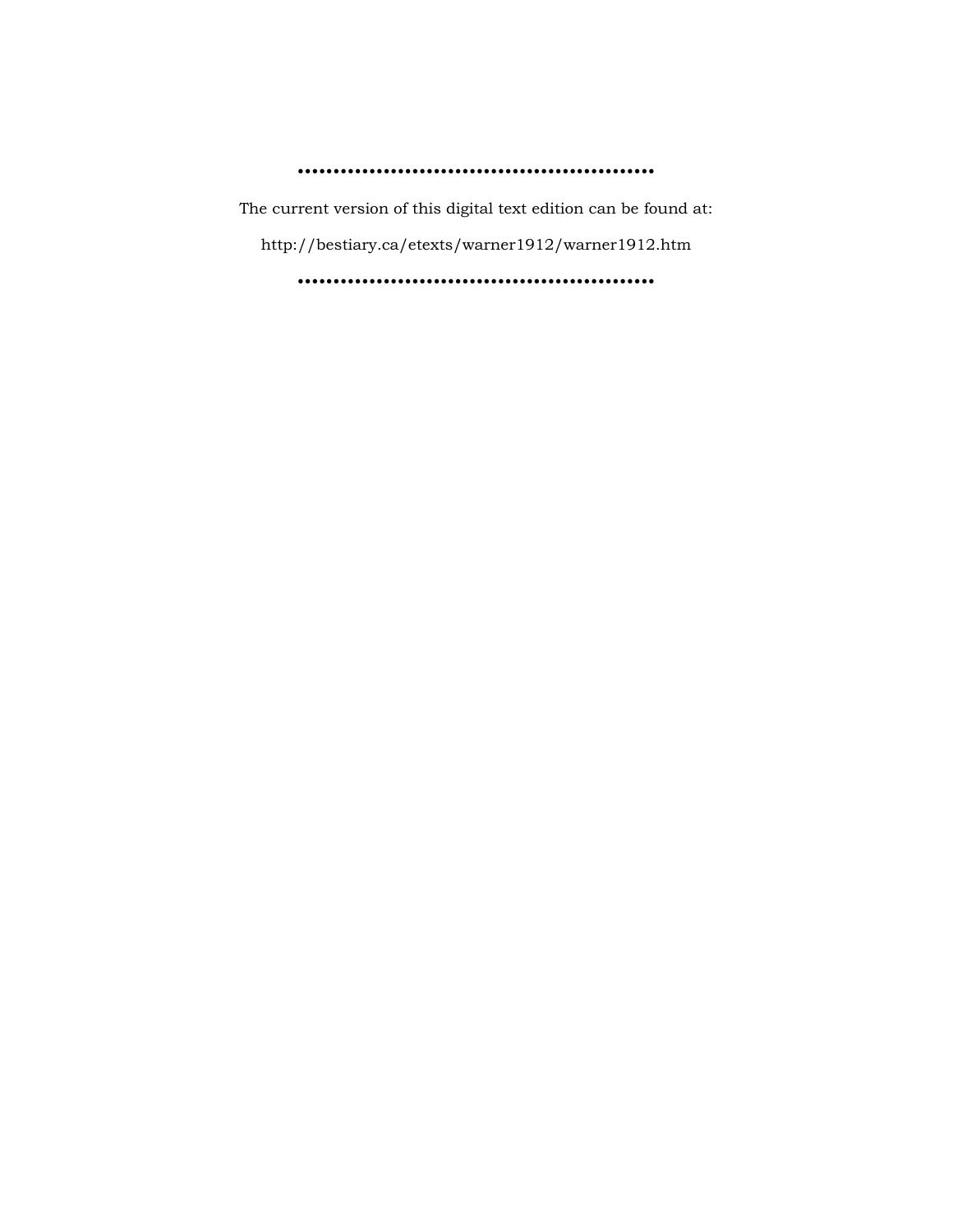ïïïïïïïïïïïïïïïïïïïïïïïïïïïïïïïïïïïïïïïïïïïïïïïïïï

The current version of this digital text edition can be found at:

http://bestiary.ca/etexts/warner1912/warner1912.htm

ïïïïïïïïïïïïïïïïïïïïïïïïïïïïïïïïïïïïïïïïïïïïïïïïïï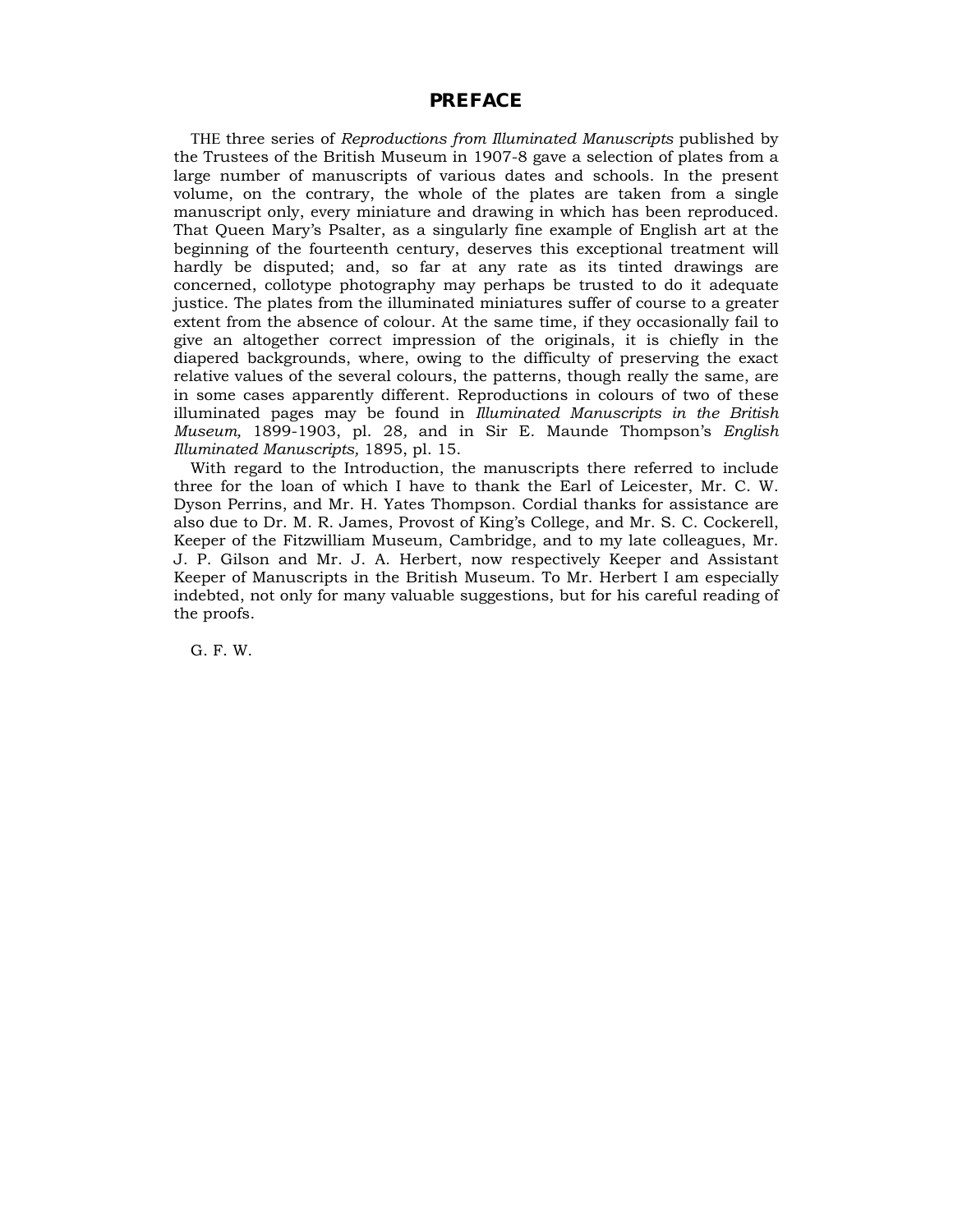## **PREFACE**

THE three series of *Reproductions from Illuminated Manuscripts* published by the Trustees of the British Museum in 1907-8 gave a selection of plates from a large number of manuscripts of various dates and schools. In the present volume, on the contrary, the whole of the plates are taken from a single manuscript only, every miniature and drawing in which has been reproduced. That Queen Maryís Psalter, as a singularly fine example of English art at the beginning of the fourteenth century, deserves this exceptional treatment will hardly be disputed; and, so far at any rate as its tinted drawings are concerned, collotype photography may perhaps be trusted to do it adequate justice. The plates from the illuminated miniatures suffer of course to a greater extent from the absence of colour. At the same time, if they occasionally fail to give an altogether correct impression of the originals, it is chiefly in the diapered backgrounds, where, owing to the difficulty of preserving the exact relative values of the several colours, the patterns, though really the same, are in some cases apparently different. Reproductions in colours of two of these illuminated pages may be found in *Illuminated Manuscripts in the British Museum,* 1899-1903, pl. 28*,* and in Sir E. Maunde Thompsonís *English Illuminated Manuscripts,* 1895, pl. 15.

With regard to the Introduction, the manuscripts there referred to include three for the loan of which I have to thank the Earl of Leicester, Mr. C. W. Dyson Perrins, and Mr. H. Yates Thompson. Cordial thanks for assistance are also due to Dr. M. R. James, Provost of Kingís College, and Mr. S. C. Cockerell, Keeper of the Fitzwilliam Museum, Cambridge, and to my late colleagues, Mr. J. P. Gilson and Mr. J. A. Herbert, now respectively Keeper and Assistant Keeper of Manuscripts in the British Museum. To Mr. Herbert I am especially indebted, not only for many valuable suggestions, but for his careful reading of the proofs.

G. F. W.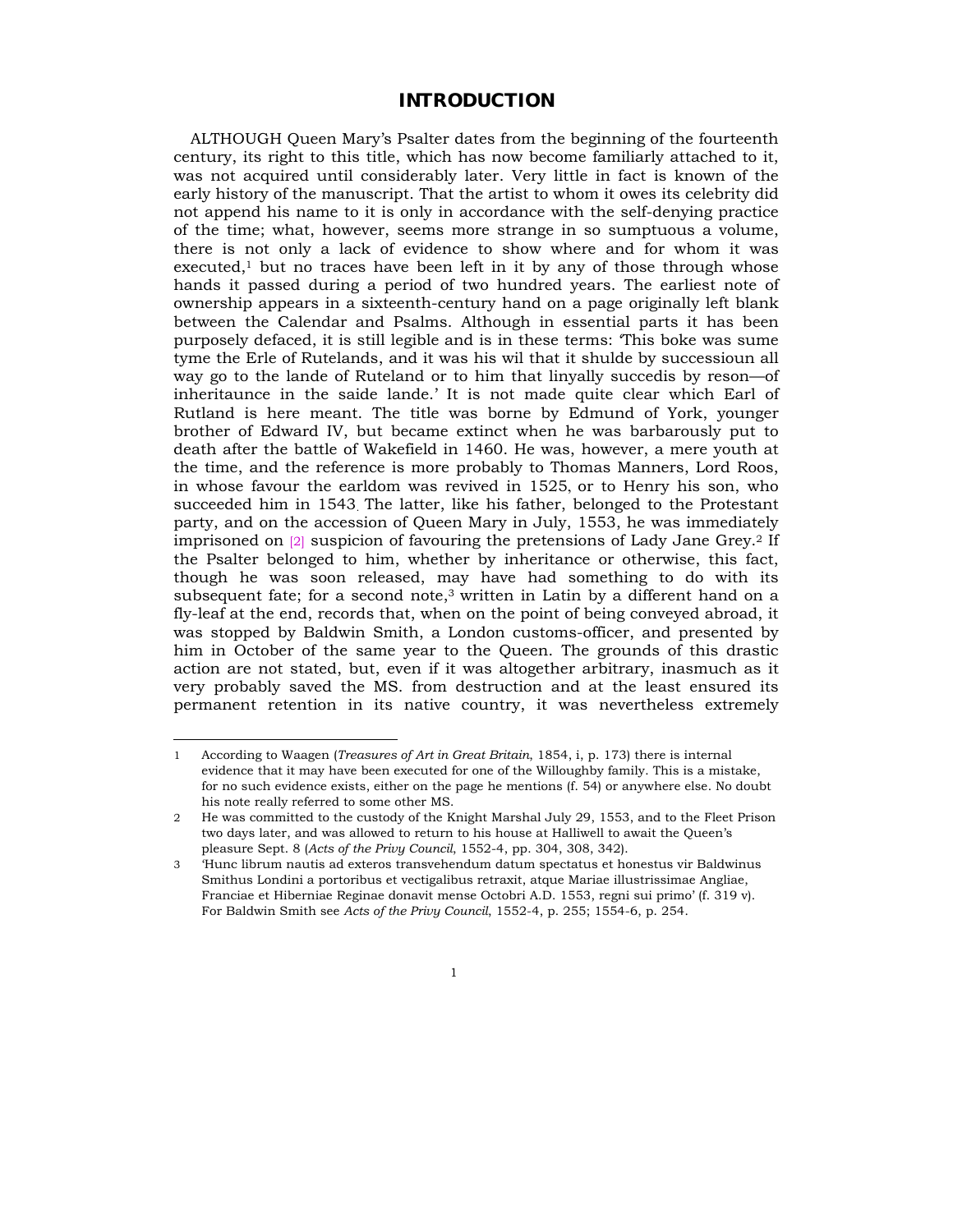## **INTRODUCTION**

ALTHOUGH Queen Maryís Psalter dates from the beginning of the fourteenth century, its right to this title, which has now become familiarly attached to it, was not acquired until considerably later. Very little in fact is known of the early history of the manuscript. That the artist to whom it owes its celebrity did not append his name to it is only in accordance with the self-denying practice of the time; what, however, seems more strange in so sumptuous a volume, there is not only a lack of evidence to show where and for whom it was executed,<sup>1</sup> but no traces have been left in it by any of those through whose hands it passed during a period of two hundred years. The earliest note of ownership appears in a sixteenth-century hand on a page originally left blank between the Calendar and Psalms. Although in essential parts it has been purposely defaced, it is still legible and is in these terms: ëThis boke was sume tyme the Erle of Rutelands, and it was his wil that it shulde by successioun all way go to the lande of Ruteland or to him that linyally succedis by reson—of inheritaunce in the saide lande. It is not made quite clear which Earl of Rutland is here meant. The title was borne by Edmund of York, younger brother of Edward IV, but became extinct when he was barbarously put to death after the battle of Wakefield in 1460. He was, however, a mere youth at the time, and the reference is more probably to Thomas Manners, Lord Roos, in whose favour the earldom was revived in 1525, or to Henry his son, who succeeded him in 1543. The latter, like his father, belonged to the Protestant party, and on the accession of Queen Mary in July, 1553, he was immediately imprisoned on  $[2]$  suspicion of favouring the pretensions of Lady Jane Grey.<sup>2</sup> If the Psalter belonged to him, whether by inheritance or otherwise, this fact, though he was soon released, may have had something to do with its subsequent fate; for a second note, $3$  written in Latin by a different hand on a fly-leaf at the end, records that, when on the point of being conveyed abroad, it was stopped by Baldwin Smith, a London customs-officer, and presented by him in October of the same year to the Queen. The grounds of this drastic action are not stated, but, even if it was altogether arbitrary, inasmuch as it very probably saved the MS. from destruction and at the least ensured its permanent retention in its native country, it was nevertheless extremely

<sup>1</sup> According to Waagen (*Treasures of Art in Great Britain*, 1854, i, p. 173) there is internal evidence that it may have been executed for one of the Willoughby family. This is a mistake, for no such evidence exists, either on the page he mentions (f. 54) or anywhere else. No doubt his note really referred to some other MS.

<sup>2</sup> He was committed to the custody of the Knight Marshal July 29, 1553, and to the Fleet Prison two days later, and was allowed to return to his house at Halliwell to await the Queen's pleasure Sept. 8 (*Acts of the Privy Council*, 1552-4, pp. 304, 308, 342).

<sup>3</sup> ëHunc librum nautis ad exteros transvehendum datum spectatus et honestus vir Baldwinus Smithus Londini a portoribus et vectigalibus retraxit, atque Mariae illustrissimae Angliae, Franciae et Hiberniae Reginae donavit mense Octobri A.D. 1553, regni sui primo' (f. 319 v). For Baldwin Smith see *Acts of the Privy Council*, 1552-4, p. 255; 1554-6, p. 254.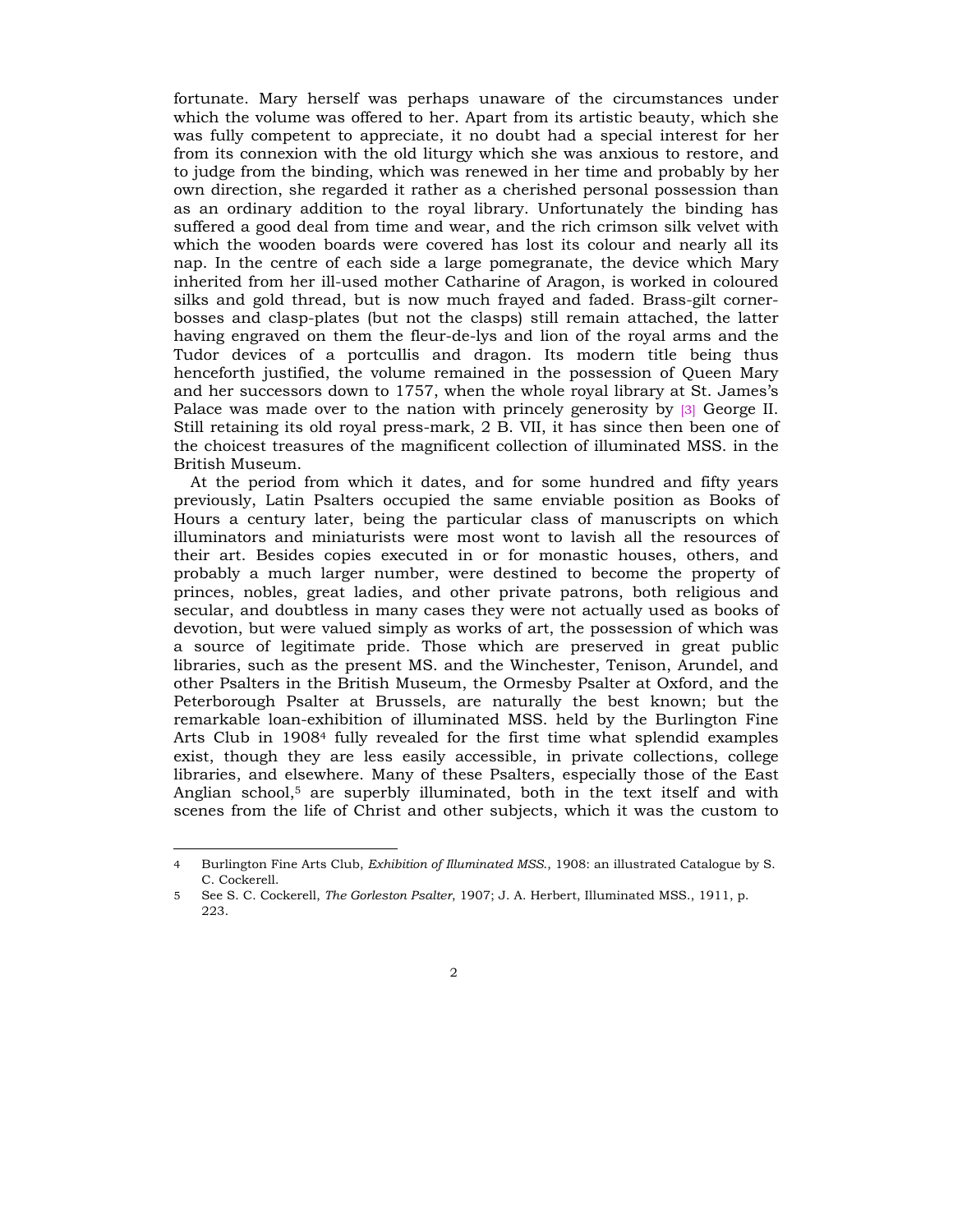fortunate. Mary herself was perhaps unaware of the circumstances under which the volume was offered to her. Apart from its artistic beauty, which she was fully competent to appreciate, it no doubt had a special interest for her from its connexion with the old liturgy which she was anxious to restore, and to judge from the binding, which was renewed in her time and probably by her own direction, she regarded it rather as a cherished personal possession than as an ordinary addition to the royal library. Unfortunately the binding has suffered a good deal from time and wear, and the rich crimson silk velvet with which the wooden boards were covered has lost its colour and nearly all its nap. In the centre of each side a large pomegranate, the device which Mary inherited from her ill-used mother Catharine of Aragon, is worked in coloured silks and gold thread, but is now much frayed and faded. Brass-gilt cornerbosses and clasp-plates (but not the clasps) still remain attached, the latter having engraved on them the fleur-de-lys and lion of the royal arms and the Tudor devices of a portcullis and dragon. Its modern title being thus henceforth justified, the volume remained in the possession of Queen Mary and her successors down to 1757, when the whole royal library at St. Jamesís Palace was made over to the nation with princely generosity by [3] George II. Still retaining its old royal press-mark, 2 B. VII, it has since then been one of the choicest treasures of the magnificent collection of illuminated MSS. in the British Museum.

At the period from which it dates, and for some hundred and fifty years previously, Latin Psalters occupied the same enviable position as Books of Hours a century later, being the particular class of manuscripts on which illuminators and miniaturists were most wont to lavish all the resources of their art. Besides copies executed in or for monastic houses, others, and probably a much larger number, were destined to become the property of princes, nobles, great ladies, and other private patrons, both religious and secular, and doubtless in many cases they were not actually used as books of devotion, but were valued simply as works of art, the possession of which was a source of legitimate pride. Those which are preserved in great public libraries, such as the present MS. and the Winchester, Tenison, Arundel, and other Psalters in the British Museum, the Ormesby Psalter at Oxford, and the Peterborough Psalter at Brussels, are naturally the best known; but the remarkable loan-exhibition of illuminated MSS. held by the Burlington Fine Arts Club in 19084 fully revealed for the first time what splendid examples exist, though they are less easily accessible, in private collections, college libraries, and elsewhere. Many of these Psalters, especially those of the East Anglian school,5 are superbly illuminated, both in the text itself and with scenes from the life of Christ and other subjects, which it was the custom to

<sup>4</sup> Burlington Fine Arts Club, *Exhibition of Illuminated MSS*., 1908: an illustrated Catalogue by S. C. Cockerell.

<sup>5</sup> See S. C. Cockerell, *The Gorleston Psalter*, 1907; J. A. Herbert, Illuminated MSS., 1911, p. 223.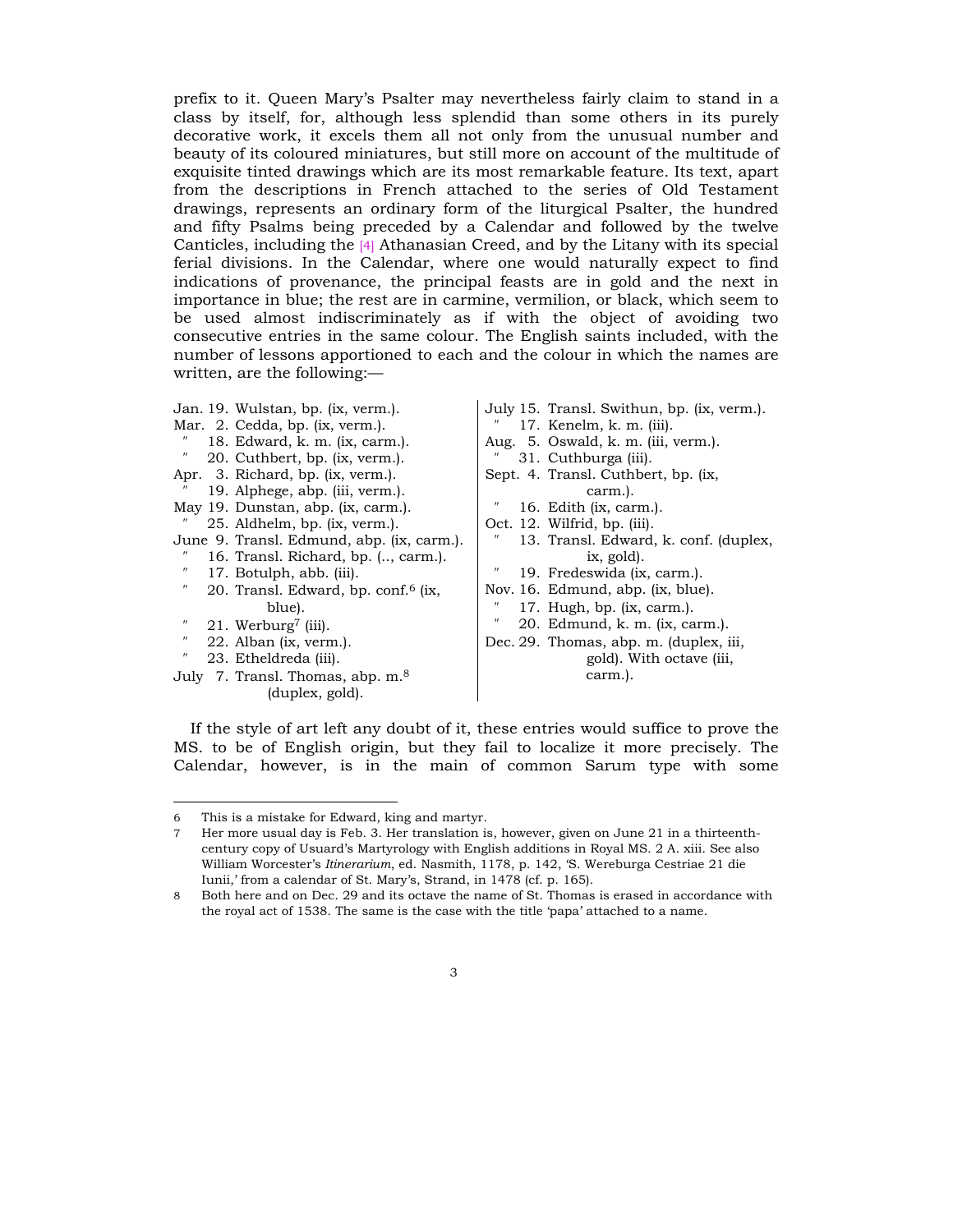prefix to it. Queen Maryís Psalter may nevertheless fairly claim to stand in a class by itself, for, although less splendid than some others in its purely decorative work, it excels them all not only from the unusual number and beauty of its coloured miniatures, but still more on account of the multitude of exquisite tinted drawings which are its most remarkable feature. Its text, apart from the descriptions in French attached to the series of Old Testament drawings, represents an ordinary form of the liturgical Psalter, the hundred and fifty Psalms being preceded by a Calendar and followed by the twelve Canticles, including the [4] Athanasian Creed, and by the Litany with its special ferial divisions. In the Calendar, where one would naturally expect to find indications of provenance, the principal feasts are in gold and the next in importance in blue; the rest are in carmine, vermilion, or black, which seem to be used almost indiscriminately as if with the object of avoiding two consecutive entries in the same colour. The English saints included, with the number of lessons apportioned to each and the colour in which the names are written, are the following: $-$ 

| Jan. 19. Wulstan, bp. (ix, verm.).                                   | July 15. Transl. Swithun, bp. (ix, verm.).          |
|----------------------------------------------------------------------|-----------------------------------------------------|
| Mar. 2. Cedda, bp. (ix, verm.).                                      | 17. Kenelm, k. m. $(iii)$ .                         |
| 18. Edward, k. m. (ix, carm.).                                       | Aug. 5. Oswald, k. m. (iii, verm.).                 |
| $^{\prime\prime}$<br>20. Cuthbert, bp. (ix, verm.).                  | 31. Cuthburga (iii).                                |
| Apr. 3. Richard, bp. (ix, verm.).                                    | Sept. 4. Transl. Cuthbert, bp. (ix,                 |
| 19. Alphege, abp. (iii, verm.).                                      | carm.).                                             |
| May 19. Dunstan, abp. (ix, carm.).                                   | 16. Edith (ix, carm.).                              |
| 25. Aldhelm, bp. (ix, verm.).                                        | Oct. 12. Wilfrid, bp. (iii).                        |
| June 9. Transl. Edmund, abp. (ix, carm.).                            | 13. Transl. Edward, k. conf. (duplex,               |
| 16. Transl. Richard, bp. (, carm.).                                  | ix, gold).                                          |
| $^{\prime\prime}$<br>17. Botulph, abb. (iii).                        | $^{\prime\prime}$<br>19. Fredeswida (ix, carm.).    |
| $^{\prime\prime}$<br>20. Transl. Edward, bp. conf. <sup>6</sup> (ix, | Nov. 16. Edmund, abp. (ix, blue).                   |
| blue).                                                               | 17. Hugh, bp. (ix, carm.).                          |
| $^{\prime\prime}$<br>21. Werburg <sup>7</sup> (iii).                 | $^{\prime\prime}$<br>20. Edmund, k. m. (ix, carm.). |
| $^{\prime\prime}$<br>22. Alban (ix, verm.).                          | Dec. 29. Thomas, abp. m. (duplex, iii,              |
| $^{\prime\prime}$<br>23. Etheldreda (iii).                           | gold). With octave (iii,                            |
| July 7. Transl. Thomas, abp. m. <sup>8</sup>                         | carm.).                                             |
| (duplex, gold).                                                      |                                                     |
|                                                                      |                                                     |

If the style of art left any doubt of it, these entries would suffice to prove the MS. to be of English origin, but they fail to localize it more precisely. The Calendar, however, is in the main of common Sarum type with some

<sup>6</sup> This is a mistake for Edward, king and martyr.

<sup>7</sup> Her more usual day is Feb. 3. Her translation is, however, given on June 21 in a thirteenthcentury copy of Usuard's Martyrology with English additions in Royal MS. 2 A. xiii. See also William Worcesterís *Itinerarium*, ed. Nasmith, 1178, p. 142, ëS. Wereburga Cestriae 21 die Iunii,' from a calendar of St. Mary's, Strand, in 1478 (cf. p. 165).

<sup>8</sup> Both here and on Dec. 29 and its octave the name of St. Thomas is erased in accordance with the royal act of 1538. The same is the case with the title 'papa' attached to a name.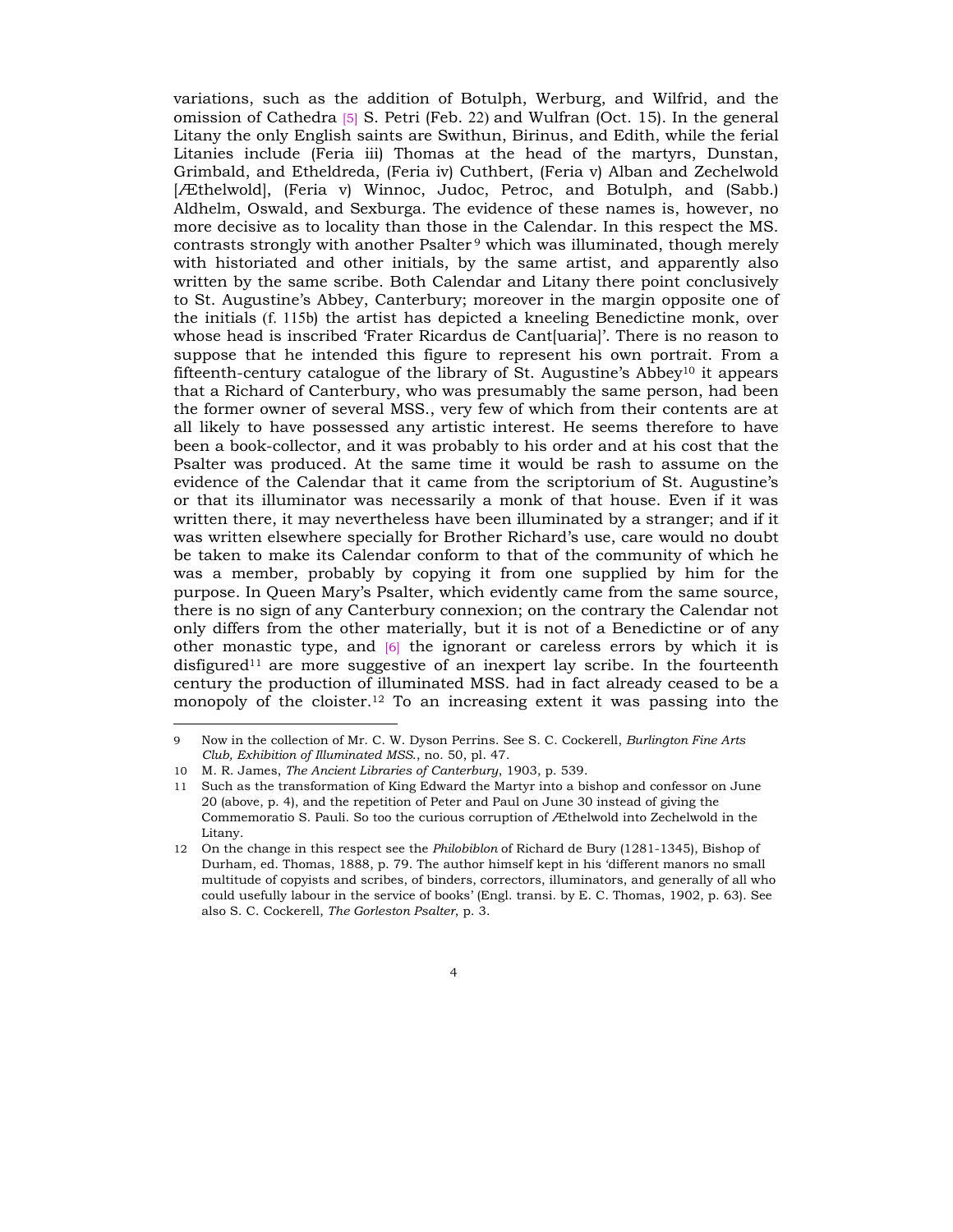variations, such as the addition of Botulph, Werburg, and Wilfrid, and the omission of Cathedra [5] S. Petri (Feb. 22) and Wulfran (Oct. 15). In the general Litany the only English saints are Swithun, Birinus, and Edith, while the ferial Litanies include (Feria iii) Thomas at the head of the martyrs, Dunstan, Grimbald, and Etheldreda, (Feria iv) Cuthbert, (Feria v) Alban and Zechelwold [Æthelwold], (Feria v) Winnoc, Judoc, Petroc, and Botulph, and (Sabb.) Aldhelm, Oswald, and Sexburga. The evidence of these names is, however, no more decisive as to locality than those in the Calendar. In this respect the MS. contrasts strongly with another  $P$ salter<sup>9</sup> which was illuminated, though merely with historiated and other initials, by the same artist, and apparently also written by the same scribe. Both Calendar and Litany there point conclusively to St. Augustineís Abbey, Canterbury; moreover in the margin opposite one of the initials (f. 115b) the artist has depicted a kneeling Benedictine monk, over whose head is inscribed 'Frater Ricardus de Cant [uaria]'. There is no reason to suppose that he intended this figure to represent his own portrait. From a fifteenth-century catalogue of the library of St. Augustine's Abbey<sup>10</sup> it appears that a Richard of Canterbury, who was presumably the same person, had been the former owner of several MSS., very few of which from their contents are at all likely to have possessed any artistic interest. He seems therefore to have been a book-collector, and it was probably to his order and at his cost that the Psalter was produced. At the same time it would be rash to assume on the evidence of the Calendar that it came from the scriptorium of St. Augustine's or that its illuminator was necessarily a monk of that house. Even if it was written there, it may nevertheless have been illuminated by a stranger; and if it was written elsewhere specially for Brother Richard's use, care would no doubt be taken to make its Calendar conform to that of the community of which he was a member, probably by copying it from one supplied by him for the purpose. In Queen Maryís Psalter, which evidently came from the same source, there is no sign of any Canterbury connexion; on the contrary the Calendar not only differs from the other materially, but it is not of a Benedictine or of any other monastic type, and [6] the ignorant or careless errors by which it is disfigured<sup>11</sup> are more suggestive of an inexpert lay scribe. In the fourteenth century the production of illuminated MSS. had in fact already ceased to be a monopoly of the cloister.<sup>12</sup> To an increasing extent it was passing into the

<sup>9</sup> Now in the collection of Mr. C. W. Dyson Perrins. See S. C. Cockerell, *Burlington Fine Arts Club, Exhibition of Illuminated MSS*., no. 50, pl. 47.

<sup>10</sup> M. R. James, *The Ancient Libraries of Canterbury*, 1903, p. 539.

<sup>11</sup> Such as the transformation of King Edward the Martyr into a bishop and confessor on June 20 (above, p. 4), and the repetition of Peter and Paul on June 30 instead of giving the Commemoratio S. Pauli. So too the curious corruption of Æthelwold into Zechelwold in the Litany.

<sup>12</sup> On the change in this respect see the *Philobiblon* of Richard de Bury (1281-1345), Bishop of Durham, ed. Thomas, 1888, p. 79. The author himself kept in his ëdifferent manors no small multitude of copyists and scribes, of binders, correctors, illuminators, and generally of all who could usefully labour in the service of books' (Engl. transi. by E. C. Thomas, 1902, p. 63). See also S. C. Cockerell, *The Gorleston Psalter*, p. 3.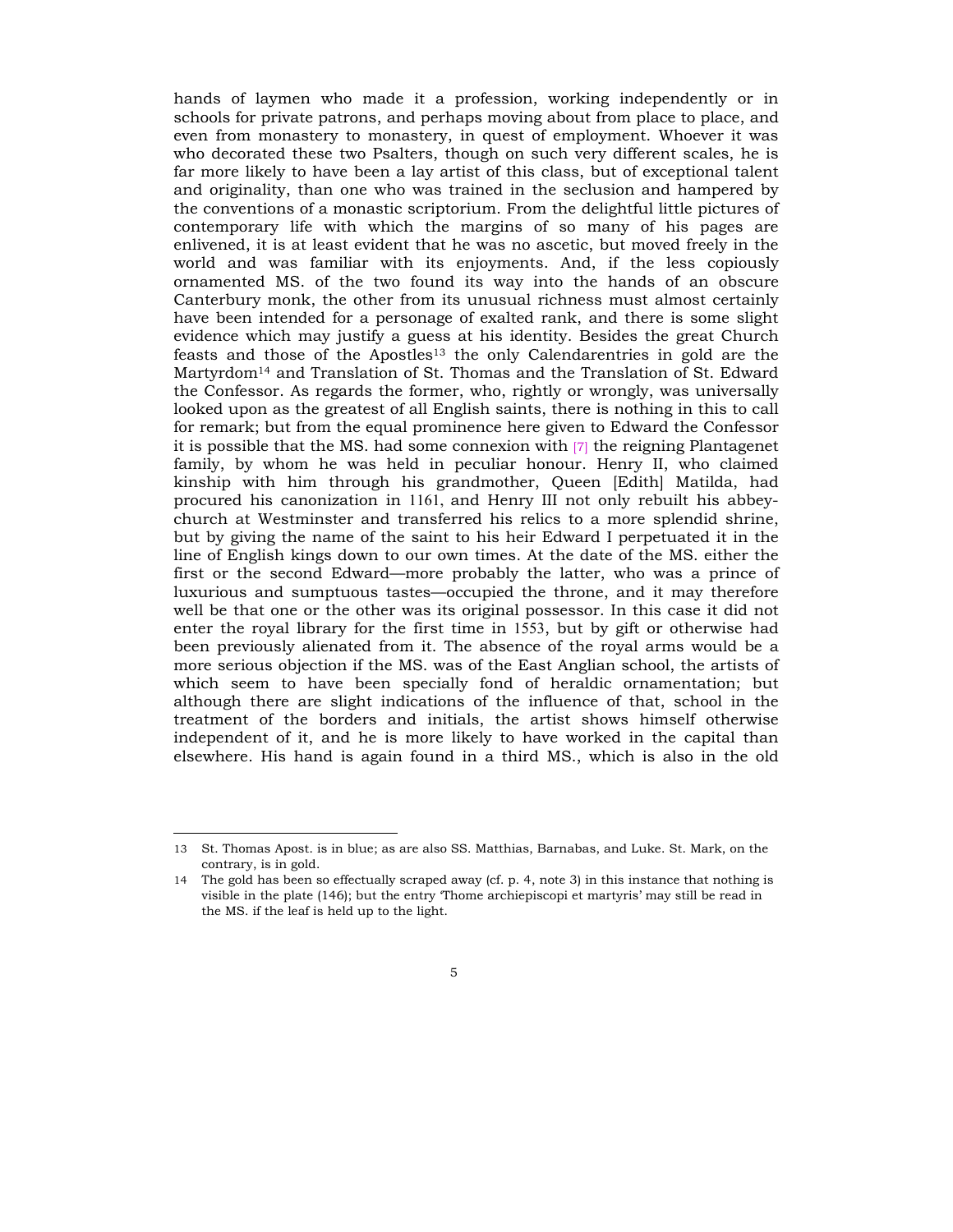hands of laymen who made it a profession, working independently or in schools for private patrons, and perhaps moving about from place to place, and even from monastery to monastery, in quest of employment. Whoever it was who decorated these two Psalters, though on such very different scales, he is far more likely to have been a lay artist of this class, but of exceptional talent and originality, than one who was trained in the seclusion and hampered by the conventions of a monastic scriptorium. From the delightful little pictures of contemporary life with which the margins of so many of his pages are enlivened, it is at least evident that he was no ascetic, but moved freely in the world and was familiar with its enjoyments. And, if the less copiously ornamented MS. of the two found its way into the hands of an obscure Canterbury monk, the other from its unusual richness must almost certainly have been intended for a personage of exalted rank, and there is some slight evidence which may justify a guess at his identity. Besides the great Church feasts and those of the Apostles<sup>13</sup> the only Calendarentries in gold are the Martyrdom14 and Translation of St. Thomas and the Translation of St. Edward the Confessor. As regards the former, who, rightly or wrongly, was universally looked upon as the greatest of all English saints, there is nothing in this to call for remark; but from the equal prominence here given to Edward the Confessor it is possible that the MS. had some connexion with [7] the reigning Plantagenet family, by whom he was held in peculiar honour. Henry II, who claimed kinship with him through his grandmother, Queen [Edith] Matilda, had procured his canonization in 1161, and Henry III not only rebuilt his abbeychurch at Westminster and transferred his relics to a more splendid shrine, but by giving the name of the saint to his heir Edward I perpetuated it in the line of English kings down to our own times. At the date of the MS. either the first or the second Edward—more probably the latter, who was a prince of luxurious and sumptuous tastes—occupied the throne, and it may therefore well be that one or the other was its original possessor. In this case it did not enter the royal library for the first time in 1553, but by gift or otherwise had been previously alienated from it. The absence of the royal arms would be a more serious objection if the MS. was of the East Anglian school, the artists of which seem to have been specially fond of heraldic ornamentation; but although there are slight indications of the influence of that, school in the treatment of the borders and initials, the artist shows himself otherwise independent of it, and he is more likely to have worked in the capital than elsewhere. His hand is again found in a third MS., which is also in the old

<sup>13</sup> St. Thomas Apost. is in blue; as are also SS. Matthias, Barnabas, and Luke. St. Mark, on the contrary, is in gold.

<sup>14</sup> The gold has been so effectually scraped away (cf. p. 4, note 3) in this instance that nothing is visible in the plate (146); but the entry Thome archiepiscopi et martyris' may still be read in the MS. if the leaf is held up to the light.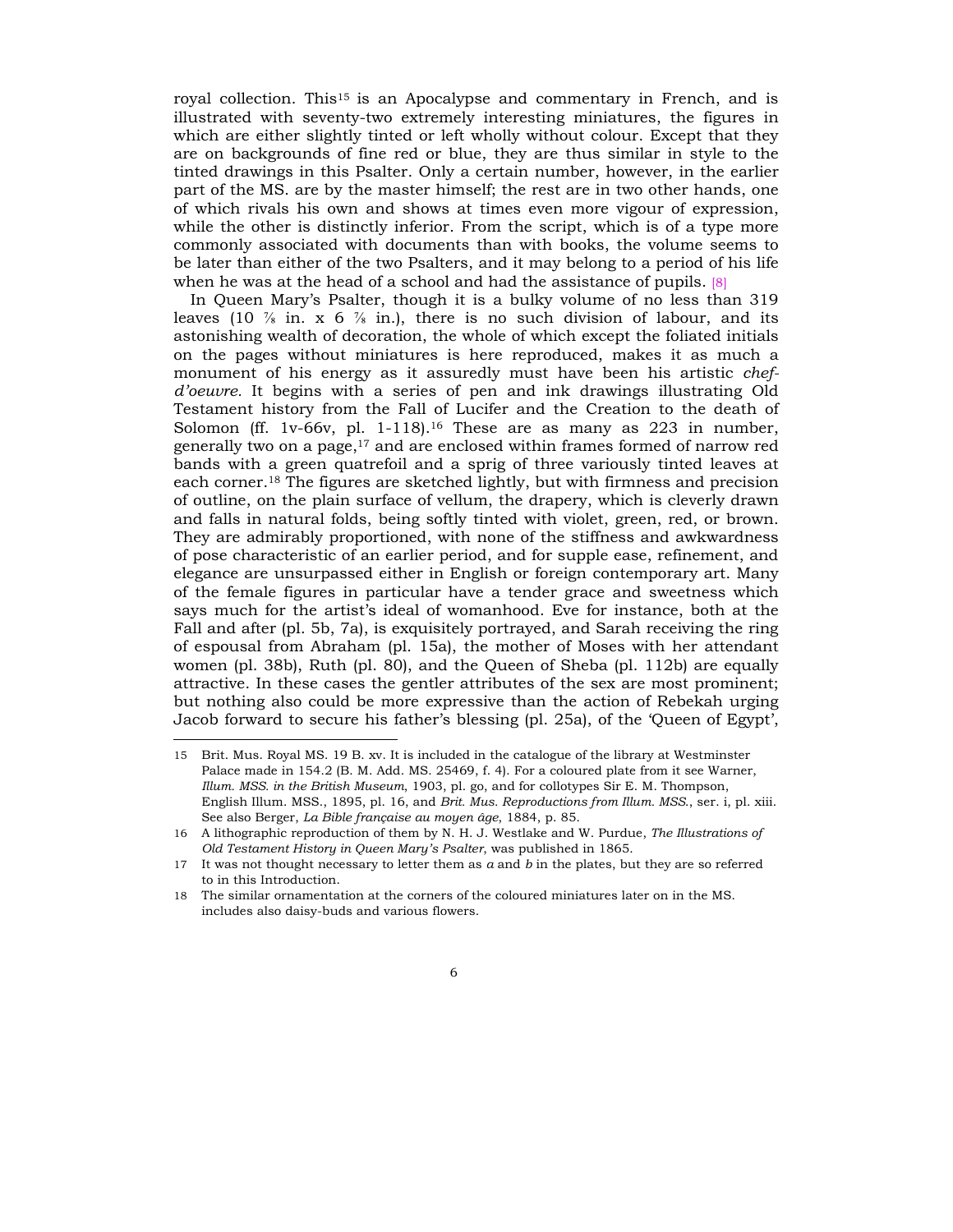royal collection. This<sup>15</sup> is an Apocalypse and commentary in French, and is illustrated with seventy-two extremely interesting miniatures, the figures in which are either slightly tinted or left wholly without colour. Except that they are on backgrounds of fine red or blue, they are thus similar in style to the tinted drawings in this Psalter. Only a certain number, however, in the earlier part of the MS. are by the master himself; the rest are in two other hands, one of which rivals his own and shows at times even more vigour of expression, while the other is distinctly inferior. From the script, which is of a type more commonly associated with documents than with books, the volume seems to be later than either of the two Psalters, and it may belong to a period of his life when he was at the head of a school and had the assistance of pupils. [8]

In Queen Maryís Psalter, though it is a bulky volume of no less than 319 leaves (10  $\frac{7}{8}$  in. x 6  $\frac{7}{8}$  in.), there is no such division of labour, and its astonishing wealth of decoration, the whole of which except the foliated initials on the pages without miniatures is here reproduced, makes it as much a monument of his energy as it assuredly must have been his artistic *chefdíoeuvre.* It begins with a series of pen and ink drawings illustrating Old Testament history from the Fall of Lucifer and the Creation to the death of Solomon (ff. 1v-66v, pl. 1-118).<sup>16</sup> These are as many as 223 in number, generally two on a page,17 and are enclosed within frames formed of narrow red bands with a green quatrefoil and a sprig of three variously tinted leaves at each corner.18 The figures are sketched lightly, but with firmness and precision of outline, on the plain surface of vellum, the drapery, which is cleverly drawn and falls in natural folds, being softly tinted with violet, green, red, or brown. They are admirably proportioned, with none of the stiffness and awkwardness of pose characteristic of an earlier period, and for supple ease, refinement, and elegance are unsurpassed either in English or foreign contemporary art. Many of the female figures in particular have a tender grace and sweetness which says much for the artistís ideal of womanhood. Eve for instance, both at the Fall and after (pl. 5b, 7a), is exquisitely portrayed, and Sarah receiving the ring of espousal from Abraham (pl. 15a), the mother of Moses with her attendant women (pl. 38b), Ruth (pl. 80), and the Queen of Sheba (pl. 112b) are equally attractive. In these cases the gentler attributes of the sex are most prominent; but nothing also could be more expressive than the action of Rebekah urging Jacob forward to secure his father's blessing (pl. 25a), of the 'Queen of Egypt',

<sup>15</sup> Brit. Mus. Royal MS. 19 B. xv. It is included in the catalogue of the library at Westminster Palace made in 154.2 (B. M. Add. MS. 25469, f. 4). For a coloured plate from it see Warner, *Illum. MSS. in the British Museum*, 1903, pl. go, and for collotypes Sir E. M. Thompson, English Illum. MSS., 1895, pl. 16, and *Brit. Mus. Reproductions from Illum. MSS*., ser. i, pl. xiii. See also Berger, *La Bible française au moyen âge*, 1884, p. 85.

<sup>16</sup> A lithographic reproduction of them by N. H. J. Westlake and W. Purdue, *The Illustrations of Old Testament History in Queen Maryís Psalter*, was published in 1865.

<sup>17</sup> It was not thought necessary to letter them as *a* and *b* in the plates, but they are so referred to in this Introduction.

<sup>18</sup> The similar ornamentation at the corners of the coloured miniatures later on in the MS. includes also daisy-buds and various flowers.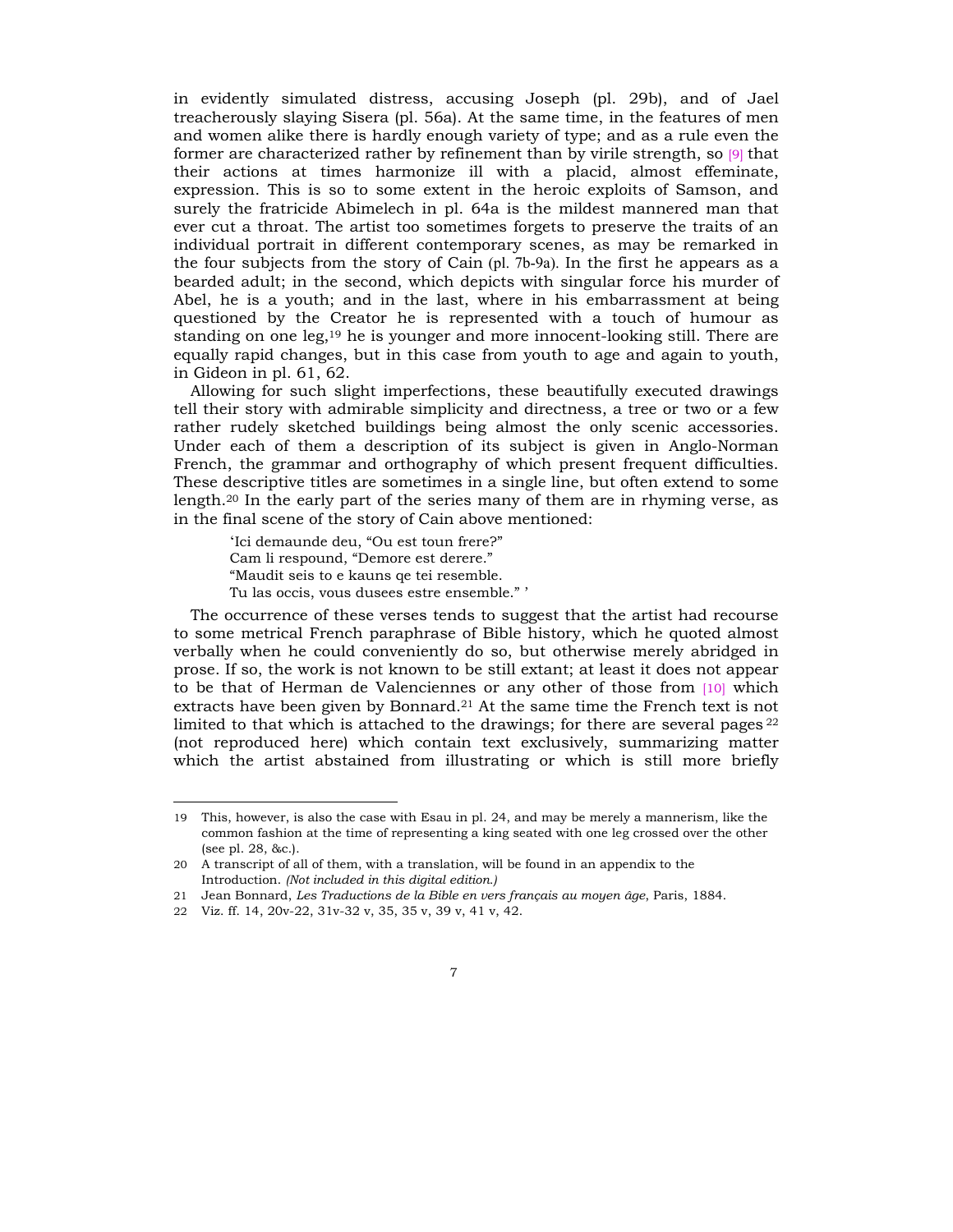in evidently simulated distress, accusing Joseph (pl. 29b), and of Jael treacherously slaying Sisera (pl. 56a). At the same time, in the features of men and women alike there is hardly enough variety of type; and as a rule even the former are characterized rather by refinement than by virile strength, so  $[9]$  that their actions at times harmonize ill with a placid, almost effeminate, expression. This is so to some extent in the heroic exploits of Samson, and surely the fratricide Abimelech in pl. 64a is the mildest mannered man that ever cut a throat. The artist too sometimes forgets to preserve the traits of an individual portrait in different contemporary scenes, as may be remarked in the four subjects from the story of Cain (pl. 7b-9a). In the first he appears as a bearded adult; in the second, which depicts with singular force his murder of Abel, he is a youth; and in the last, where in his embarrassment at being questioned by the Creator he is represented with a touch of humour as standing on one leg,19 he is younger and more innocent-looking still. There are equally rapid changes, but in this case from youth to age and again to youth, in Gideon in pl. 61, 62.

Allowing for such slight imperfections, these beautifully executed drawings tell their story with admirable simplicity and directness, a tree or two or a few rather rudely sketched buildings being almost the only scenic accessories. Under each of them a description of its subject is given in Anglo-Norman French, the grammar and orthography of which present frequent difficulties. These descriptive titles are sometimes in a single line, but often extend to some length.20 In the early part of the series many of them are in rhyming verse, as in the final scene of the story of Cain above mentioned:

'Ici demaunde deu, "Ou est toun frere?" Cam li respound, "Demore est derere." ìMaudit seis to e kauns qe tei resemble. Tu las occis, vous dusees estre ensemble." '

The occurrence of these verses tends to suggest that the artist had recourse to some metrical French paraphrase of Bible history, which he quoted almost verbally when he could conveniently do so, but otherwise merely abridged in prose. If so, the work is not known to be still extant; at least it does not appear to be that of Herman de Valenciennes or any other of those from [10] which extracts have been given by Bonnard.21 At the same time the French text is not limited to that which is attached to the drawings; for there are several pages  $2^2$ (not reproduced here) which contain text exclusively, summarizing matter which the artist abstained from illustrating or which is still more briefly

<sup>19</sup> This, however, is also the case with Esau in pl. 24, and may be merely a mannerism, like the common fashion at the time of representing a king seated with one leg crossed over the other (see pl. 28, &c.).

<sup>20</sup> A transcript of all of them, with a translation, will be found in an appendix to the Introduction. *(Not included in this digital edition.)*

<sup>21</sup> Jean Bonnard, *Les Traductions de la Bible en vers français au moyen âge*, Paris, 1884.

<sup>22</sup> Viz. ff. 14, 20v-22, 31v-32 v, 35, 35 v, 39 v, 41 v, 42.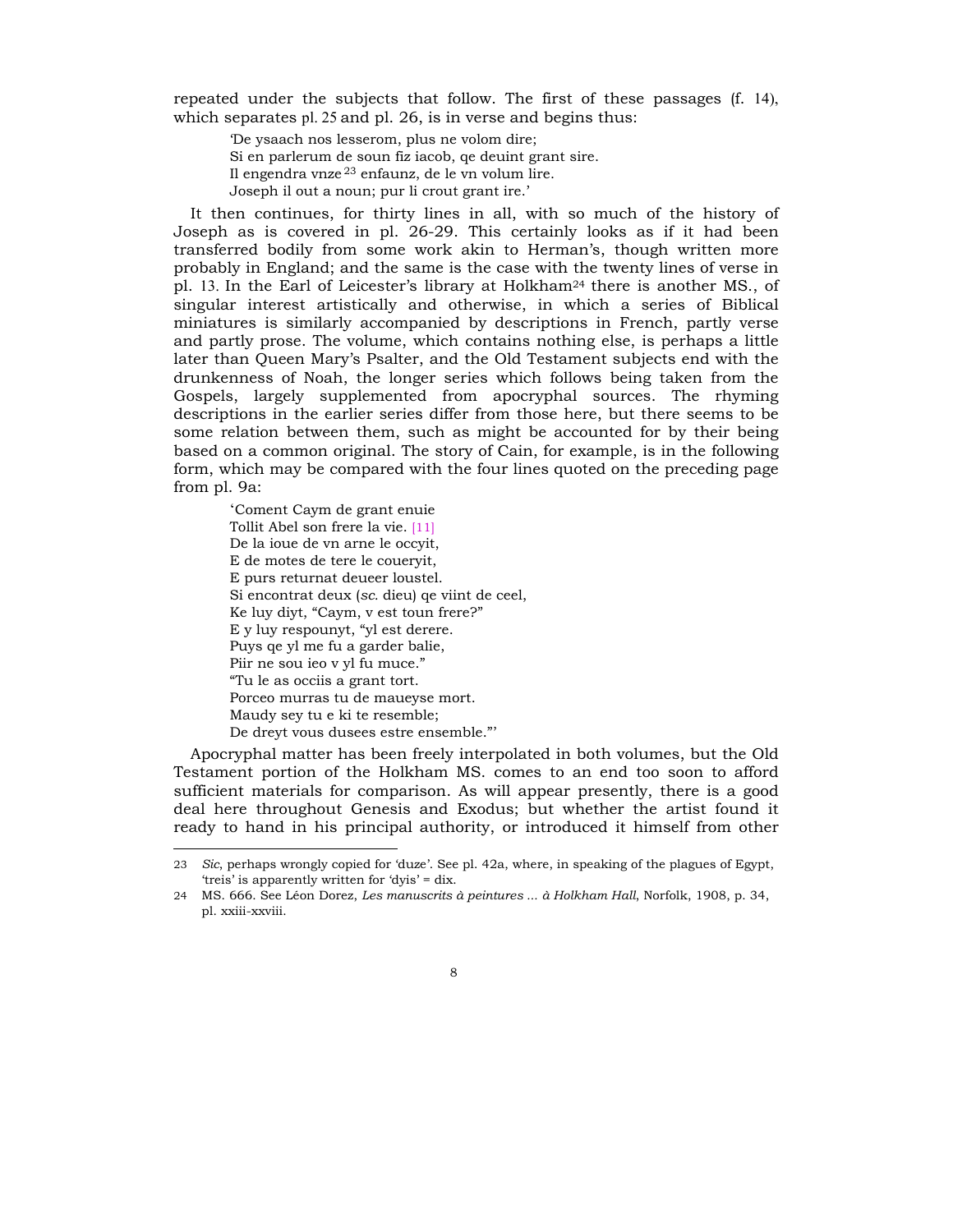repeated under the subjects that follow. The first of these passages (f. 14), which separates pl. 25 and pl. 26, is in verse and begins thus:

ëDe ysaach nos lesserom, plus ne volom dire; Si en parlerum de soun fiz iacob, qe deuint grant sire. Il engendra vnze 23 enfaunz, de le vn volum lire. Joseph il out a noun; pur li crout grant ire.'

It then continues, for thirty lines in all, with so much of the history of Joseph as is covered in pl. 26-29. This certainly looks as if it had been transferred bodily from some work akin to Hermanís, though written more probably in England; and the same is the case with the twenty lines of verse in pl. 13. In the Earl of Leicester's library at Holkham<sup>24</sup> there is another MS., of singular interest artistically and otherwise, in which a series of Biblical miniatures is similarly accompanied by descriptions in French, partly verse and partly prose. The volume, which contains nothing else, is perhaps a little later than Queen Maryís Psalter, and the Old Testament subjects end with the drunkenness of Noah, the longer series which follows being taken from the Gospels, largely supplemented from apocryphal sources. The rhyming descriptions in the earlier series differ from those here, but there seems to be some relation between them, such as might be accounted for by their being based on a common original. The story of Cain, for example, is in the following form, which may be compared with the four lines quoted on the preceding page from pl. 9a:

ëComent Caym de grant enuie Tollit Abel son frere la vie. [11] De la ioue de vn arne le occyit, E de motes de tere le coueryit, E purs returnat deueer loustel. Si encontrat deux (*sc.* dieu) qe viint de ceel, Ke luy diyt, "Caym, v est toun frere?" E y luy respounyt, "yl est derere. Puys qe yl me fu a garder balie, Piir ne sou ieo v yl fu muce." ìTu le as occiis a grant tort. Porceo murras tu de maueyse mort. Maudy sey tu e ki te resemble; De dreyt vous dusees estre ensemble."

l

Apocryphal matter has been freely interpolated in both volumes, but the Old Testament portion of the Holkham MS. comes to an end too soon to afford sufficient materials for comparison. As will appear presently, there is a good deal here throughout Genesis and Exodus; but whether the artist found it ready to hand in his principal authority, or introduced it himself from other

<sup>23</sup> *Sic*, perhaps wrongly copied for ëduzeí. See pl. 42a, where, in speaking of the plagues of Egypt, 'treis' is apparently written for 'dvis'  $=$  dix.

<sup>24</sup> MS. 666. See LÈon Dorez, *Les manuscrits ‡ peintures ... ‡ Holkham Hall*, Norfolk, 1908, p. 34, pl. xxiii-xxviii.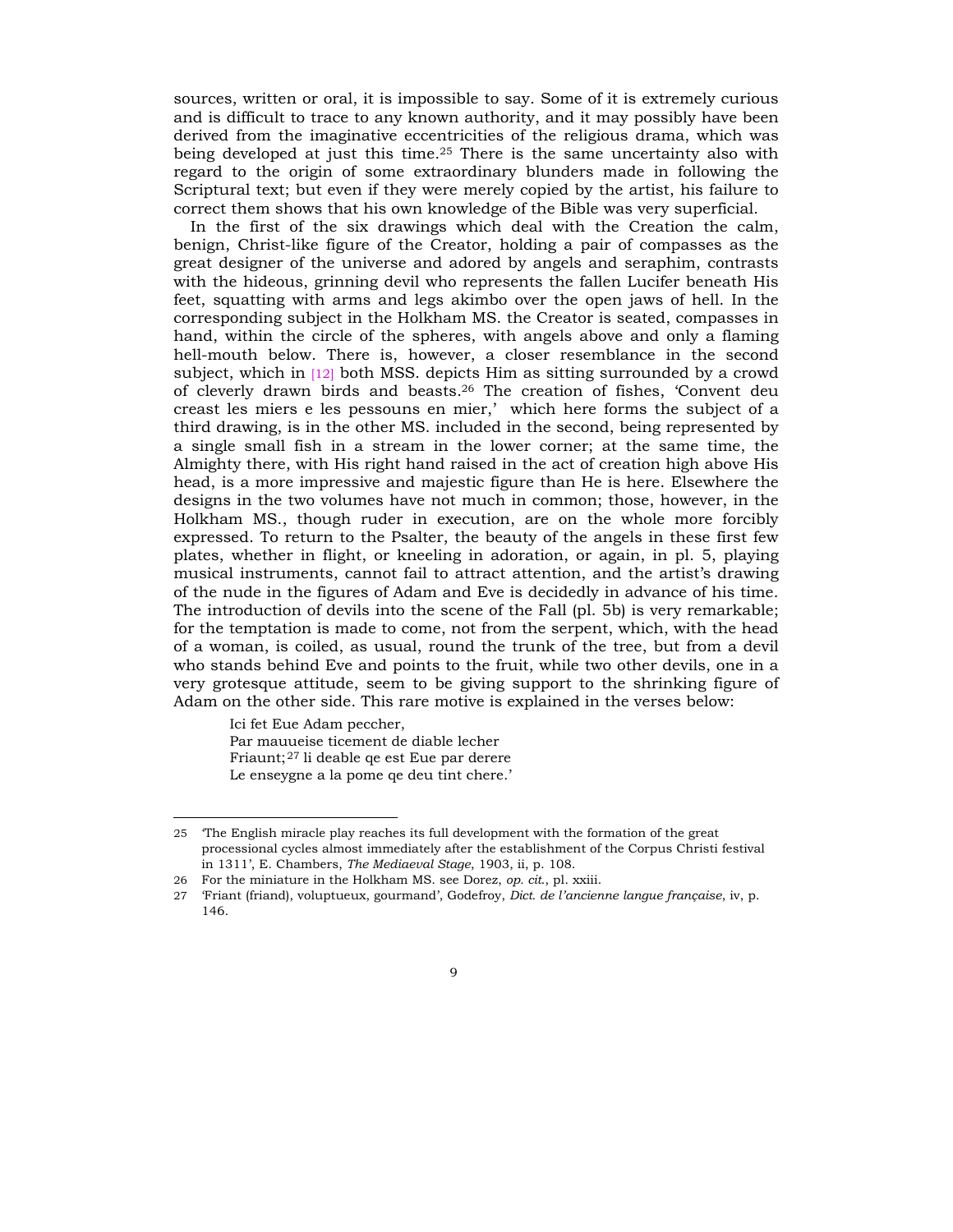sources, written or oral, it is impossible to say. Some of it is extremely curious and is difficult to trace to any known authority, and it may possibly have been derived from the imaginative eccentricities of the religious drama, which was being developed at just this time.25 There is the same uncertainty also with regard to the origin of some extraordinary blunders made in following the Scriptural text; but even if they were merely copied by the artist, his failure to correct them shows that his own knowledge of the Bible was very superficial.

In the first of the six drawings which deal with the Creation the calm, benign, Christ-like figure of the Creator, holding a pair of compasses as the great designer of the universe and adored by angels and seraphim, contrasts with the hideous, grinning devil who represents the fallen Lucifer beneath His feet, squatting with arms and legs akimbo over the open jaws of hell. In the corresponding subject in the Holkham MS. the Creator is seated, compasses in hand, within the circle of the spheres, with angels above and only a flaming hell-mouth below. There is, however, a closer resemblance in the second subject, which in [12] both MSS. depicts Him as sitting surrounded by a crowd of cleverly drawn birds and beasts.26 The creation of fishes, ëConvent deu creast les miers e les pessouns en mier,' which here forms the subject of a third drawing, is in the other MS. included in the second, being represented by a single small fish in a stream in the lower corner; at the same time, the Almighty there, with His right hand raised in the act of creation high above His head, is a more impressive and majestic figure than He is here. Elsewhere the designs in the two volumes have not much in common; those, however, in the Holkham MS., though ruder in execution, are on the whole more forcibly expressed. To return to the Psalter, the beauty of the angels in these first few plates, whether in flight, or kneeling in adoration, or again, in pl. 5, playing musical instruments, cannot fail to attract attention, and the artist's drawing of the nude in the figures of Adam and Eve is decidedly in advance of his time. The introduction of devils into the scene of the Fall (pl. 5b) is very remarkable; for the temptation is made to come, not from the serpent, which, with the head of a woman, is coiled, as usual, round the trunk of the tree, but from a devil who stands behind Eve and points to the fruit, while two other devils, one in a very grotesque attitude, seem to be giving support to the shrinking figure of Adam on the other side. This rare motive is explained in the verses below:

Ici fet Eue Adam peccher, Par mauueise ticement de diable lecher Friaunt; <sup>27</sup> li deable qe est Eue par derere Le enseygne a la pome qe deu tint chere.'

<sup>25</sup> ëThe English miracle play reaches its full development with the formation of the great processional cycles almost immediately after the establishment of the Corpus Christi festival in 1311í, E. Chambers, *The Mediaeval Stage*, 1903, ii, p. 108.

<sup>26</sup> For the miniature in the Holkham MS. see Dorez, *op. cit*., pl. xxiii.

<sup>27</sup> Friant (friand), voluptueux, gourmand', Godefroy, *Dict. de l'ancienne langue française*, iv, p. 146.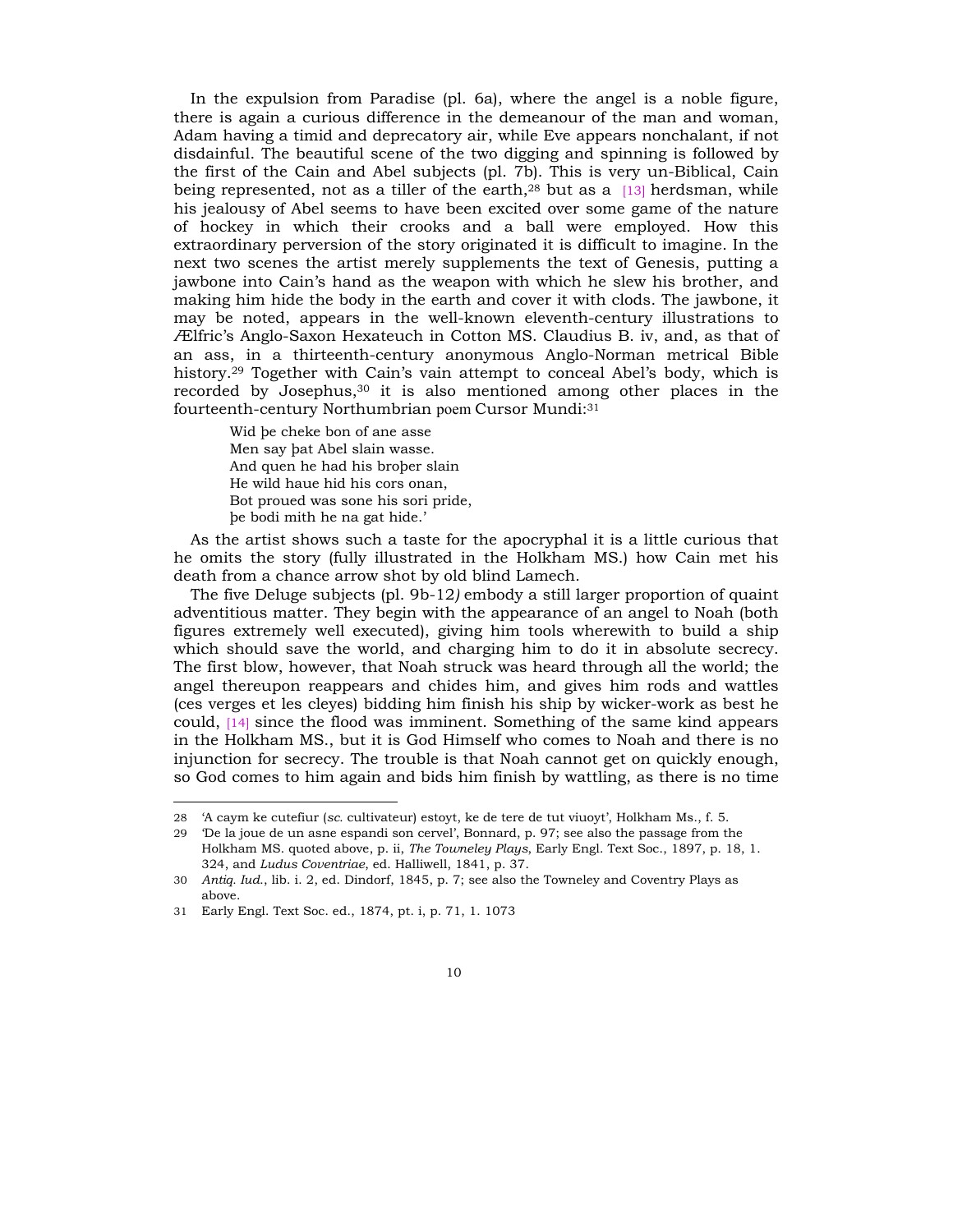In the expulsion from Paradise (pl. 6a), where the angel is a noble figure, there is again a curious difference in the demeanour of the man and woman, Adam having a timid and deprecatory air, while Eve appears nonchalant, if not disdainful. The beautiful scene of the two digging and spinning is followed by the first of the Cain and Abel subjects (pl. 7b). This is very un-Biblical, Cain being represented, not as a tiller of the earth, $28$  but as a [13] herdsman, while his jealousy of Abel seems to have been excited over some game of the nature of hockey in which their crooks and a ball were employed. How this extraordinary perversion of the story originated it is difficult to imagine. In the next two scenes the artist merely supplements the text of Genesis, putting a jawbone into Cainís hand as the weapon with which he slew his brother, and making him hide the body in the earth and cover it with clods. The jawbone, it may be noted, appears in the well-known eleventh-century illustrations to Ælfricís Anglo-Saxon Hexateuch in Cotton MS. Claudius B. iv, and, as that of an ass, in a thirteenth-century anonymous Anglo-Norman metrical Bible history.<sup>29</sup> Together with Cain's vain attempt to conceal Abel's body, which is recorded by Josephus,30 it is also mentioned among other places in the fourteenth-century Northumbrian poem Cursor Mundi:31

Wid be cheke bon of ane asse Men say bat Abel slain wasse. And quen he had his brober slain He wild haue hid his cors onan, Bot proued was sone his sori pride, be bodi mith he na gat hide.'

As the artist shows such a taste for the apocryphal it is a little curious that he omits the story (fully illustrated in the Holkham MS.) how Cain met his death from a chance arrow shot by old blind Lamech.

The five Deluge subjects (pl. 9b-12*)* embody a still larger proportion of quaint adventitious matter. They begin with the appearance of an angel to Noah (both figures extremely well executed), giving him tools wherewith to build a ship which should save the world, and charging him to do it in absolute secrecy. The first blow, however, that Noah struck was heard through all the world; the angel thereupon reappears and chides him, and gives him rods and wattles (ces verges et les cleyes) bidding him finish his ship by wicker-work as best he could, [14] since the flood was imminent. Something of the same kind appears in the Holkham MS., but it is God Himself who comes to Noah and there is no injunction for secrecy. The trouble is that Noah cannot get on quickly enough, so God comes to him again and bids him finish by wattling, as there is no time

<sup>28 &#</sup>x27;A caym ke cutefiur (*sc.* cultivateur) estoyt, ke de tere de tut viuoyt', Holkham Ms., f. 5.

<sup>29</sup> ëDe la joue de un asne espandi son cervelí, Bonnard, p. 97; see also the passage from the Holkham MS. quoted above, p. ii, *The Towneley Plays*, Early Engl. Text Soc., 1897, p. 18, 1. 324, and *Ludus Coventriae*, ed. Halliwell, 1841, p. 37.

<sup>30</sup> *Antiq. Iud.*, lib. i. 2, ed. Dindorf, 1845, p. 7; see also the Towneley and Coventry Plays as above.

<sup>31</sup> Early Engl. Text Soc. ed., 1874, pt. i, p. 71, 1. 1073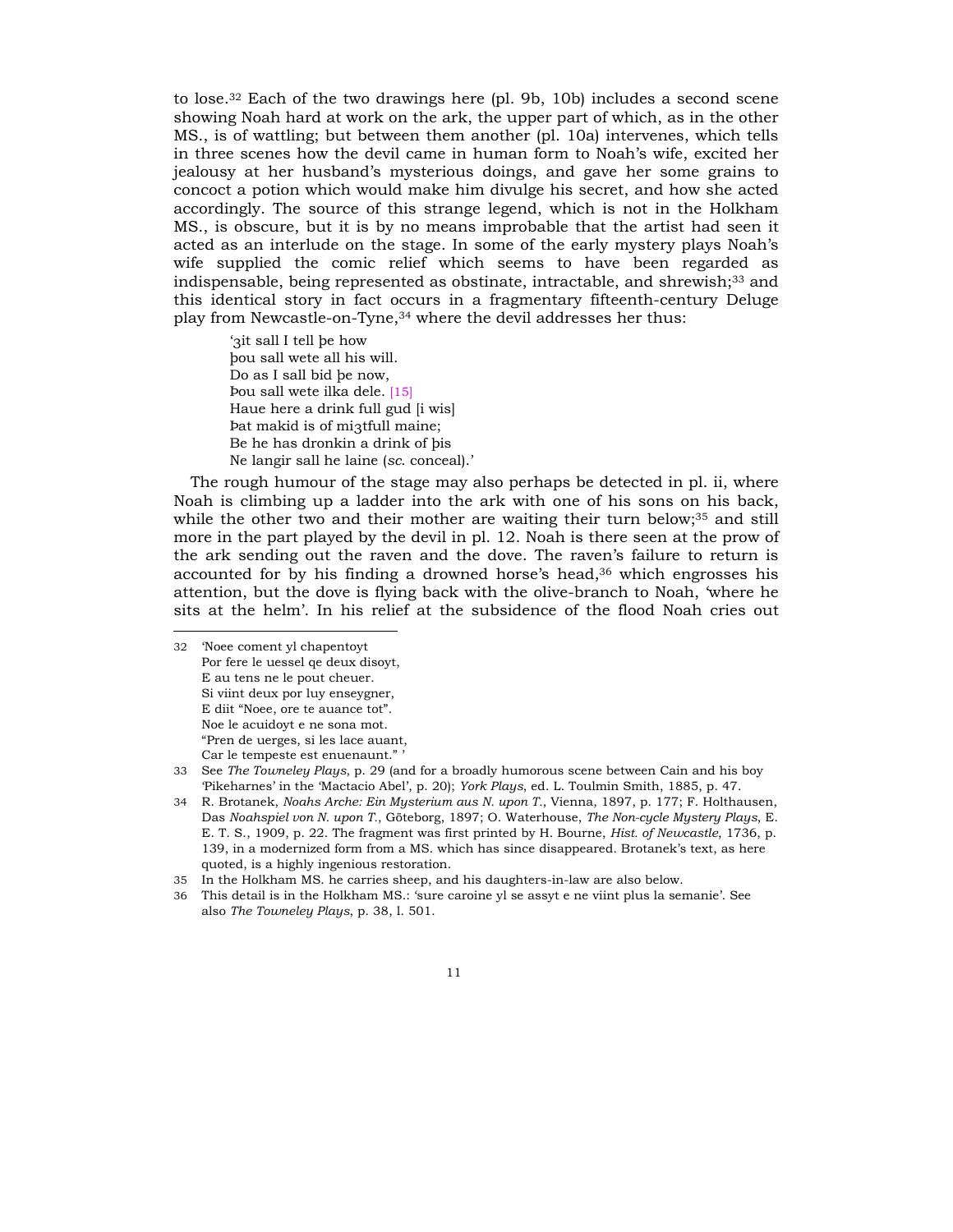to lose.<sup>32</sup> Each of the two drawings here (pl. 9b, 10b) includes a second scene showing Noah hard at work on the ark, the upper part of which, as in the other MS., is of wattling; but between them another (pl. 10a) intervenes, which tells in three scenes how the devil came in human form to Noahís wife, excited her jealousy at her husbandís mysterious doings, and gave her some grains to concoct a potion which would make him divulge his secret, and how she acted accordingly. The source of this strange legend, which is not in the Holkham MS., is obscure, but it is by no means improbable that the artist had seen it acted as an interlude on the stage. In some of the early mystery plays Noahís wife supplied the comic relief which seems to have been regarded as indispensable, being represented as obstinate, intractable, and shrewish;33 and this identical story in fact occurs in a fragmentary fifteenth-century Deluge play from Newcastle-on-Tyne,34 where the devil addresses her thus:

'3it sall I tell be how ˛ou sall wete all his will. Do as I sall bid be now, Pou sall wete ilka dele. [15] Haue here a drink full gud [i wis] Pat makid is of mi3tfull maine; Be he has dronkin a drink of bis Ne langir sall he laine (sc. conceal).<sup>'</sup>

The rough humour of the stage may also perhaps be detected in pl. ii, where Noah is climbing up a ladder into the ark with one of his sons on his back, while the other two and their mother are waiting their turn below;<sup>35</sup> and still more in the part played by the devil in pl. 12. Noah is there seen at the prow of the ark sending out the raven and the dove. The ravenís failure to return is accounted for by his finding a drowned horse's head, $36$  which engrosses his attention, but the dove is flying back with the olive-branch to Noah, ëwhere he sits at the helmí. In his relief at the subsidence of the flood Noah cries out

32 ëNoee coment yl chapentoyt Por fere le uessel qe deux disoyt, E au tens ne le pout cheuer. Si viint deux por luy enseygner, E diit "Noee, ore te auance tot". Noe le acuidoyt e ne sona mot. ìPren de uerges, si les lace auant, Car le tempeste est enuenaunt."'

<sup>33</sup> See *The Towneley Plays*, p. 29 (and for a broadly humorous scene between Cain and his boy ëPikeharnesí in the ëMactacio Abelí, p. 20); *York Plays*, ed. L. Toulmin Smith, 1885, p. 47.

<sup>34</sup> R. Brotanek, *Noahs Arche: Ein Mysterium aus N. upon T.*, Vienna, 1897, p. 177; F. Holthausen, Das *Noahspiel von N. upon T.*, Göteborg, 1897; O. Waterhouse, *The Non-cycle Mystery Plays*, E. E. T. S., 1909, p. 22. The fragment was first printed by H. Bourne, *Hist. of Newcastle*, 1736, p. 139, in a modernized form from a MS. which has since disappeared. Brotanekís text, as here quoted, is a highly ingenious restoration.

<sup>35</sup> In the Holkham MS. he carries sheep, and his daughters-in-law are also below.

<sup>36</sup> This detail is in the Holkham MS.: 'sure caroine yl se assyt e ne viint plus la semanie'. See also *The Towneley Plays*, p. 38, l. 501.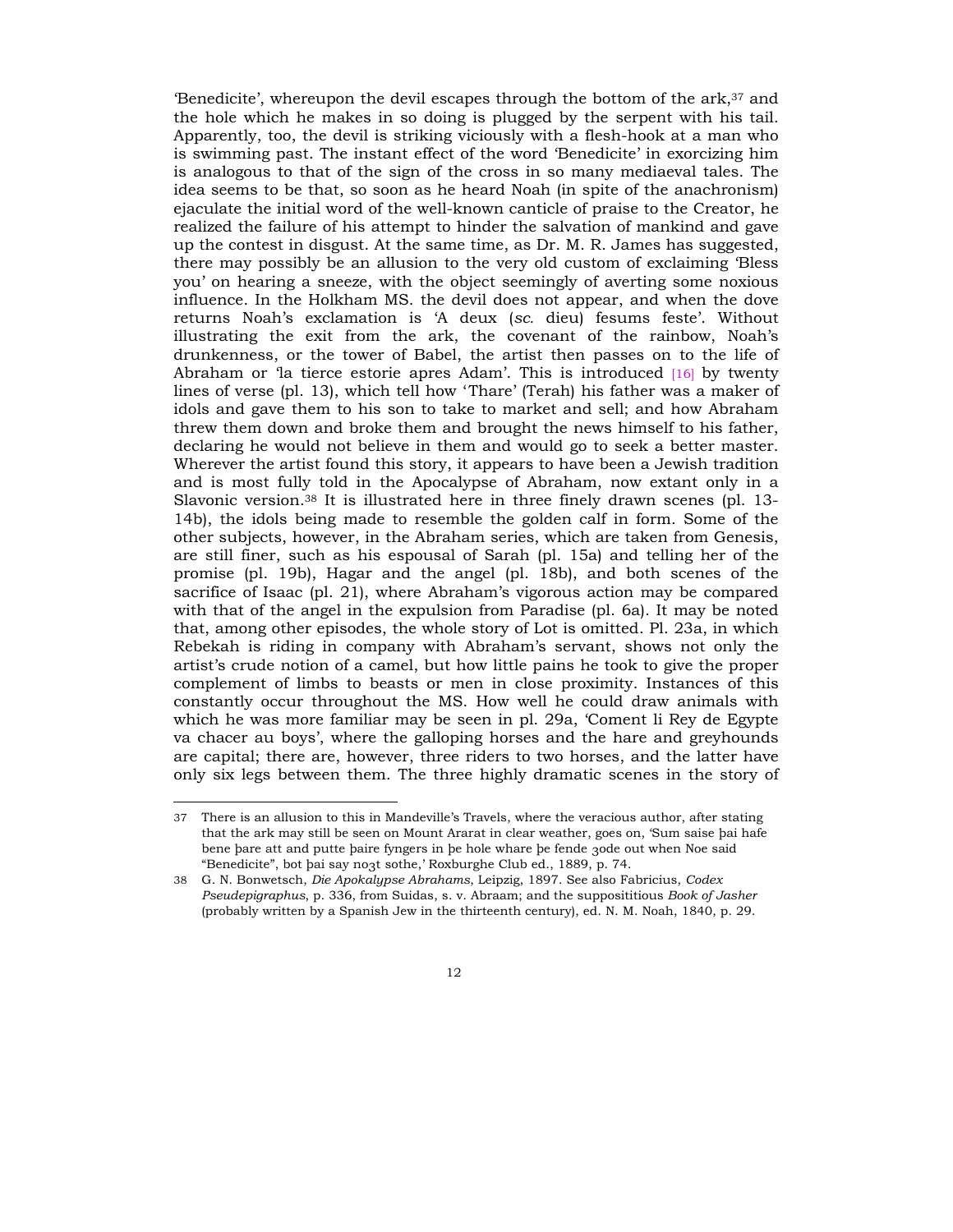Benedicite', whereupon the devil escapes through the bottom of the  $ark^3$  and the hole which he makes in so doing is plugged by the serpent with his tail. Apparently, too, the devil is striking viciously with a flesh-hook at a man who is swimming past. The instant effect of the word 'Benedicite' in exorcizing him is analogous to that of the sign of the cross in so many mediaeval tales. The idea seems to be that, so soon as he heard Noah (in spite of the anachronism) ejaculate the initial word of the well-known canticle of praise to the Creator, he realized the failure of his attempt to hinder the salvation of mankind and gave up the contest in disgust. At the same time, as Dr. M. R. James has suggested, there may possibly be an allusion to the very old custom of exclaiming ëBless youí on hearing a sneeze, with the object seemingly of averting some noxious influence. In the Holkham MS. the devil does not appear, and when the dove returns Noahís exclamation is ëA deux (*sc.* dieu) fesums festeí. Without illustrating the exit from the ark, the covenant of the rainbow, Noahís drunkenness, or the tower of Babel, the artist then passes on to the life of Abraham or 'la tierce estorie apres Adam'. This is introduced  $[16]$  by twenty lines of verse (pl. 13), which tell how 'Thare' (Terah) his father was a maker of idols and gave them to his son to take to market and sell; and how Abraham threw them down and broke them and brought the news himself to his father, declaring he would not believe in them and would go to seek a better master. Wherever the artist found this story, it appears to have been a Jewish tradition and is most fully told in the Apocalypse of Abraham, now extant only in a Slavonic version.38 It is illustrated here in three finely drawn scenes (pl. 13- 14b), the idols being made to resemble the golden calf in form. Some of the other subjects, however, in the Abraham series, which are taken from Genesis, are still finer, such as his espousal of Sarah (pl. 15a) and telling her of the promise (pl. 19b), Hagar and the angel (pl. 18b), and both scenes of the sacrifice of Isaac (pl. 21), where Abraham's vigorous action may be compared with that of the angel in the expulsion from Paradise (pl. 6a). It may be noted that, among other episodes, the whole story of Lot is omitted. Pl. 23a, in which Rebekah is riding in company with Abrahamís servant, shows not only the artistís crude notion of a camel, but how little pains he took to give the proper complement of limbs to beasts or men in close proximity. Instances of this constantly occur throughout the MS. How well he could draw animals with which he was more familiar may be seen in pl. 29a, 'Coment li Rey de Egypte va chacer au boysí, where the galloping horses and the hare and greyhounds are capital; there are, however, three riders to two horses, and the latter have only six legs between them. The three highly dramatic scenes in the story of

<sup>37</sup> There is an allusion to this in Mandevilleís Travels, where the veracious author, after stating that the ark may still be seen on Mount Ararat in clear weather, goes on, 'Sum saise bai hafe bene bare att and putte baire fyngers in be hole whare be fende 3ode out when Noe said "Benedicite", bot þai say no3t sothe,' Roxburghe Club ed., 1889, p. 74.

<sup>38</sup> G. N. Bonwetsch, *Die Apokalypse Abrahams*, Leipzig, 1897. See also Fabricius, *Codex Pseudepigraphus*, p. 336, from Suidas, s. v. Abraam; and the supposititious *Book of Jasher* (probably written by a Spanish Jew in the thirteenth century), ed. N. M. Noah, 1840, p. 29.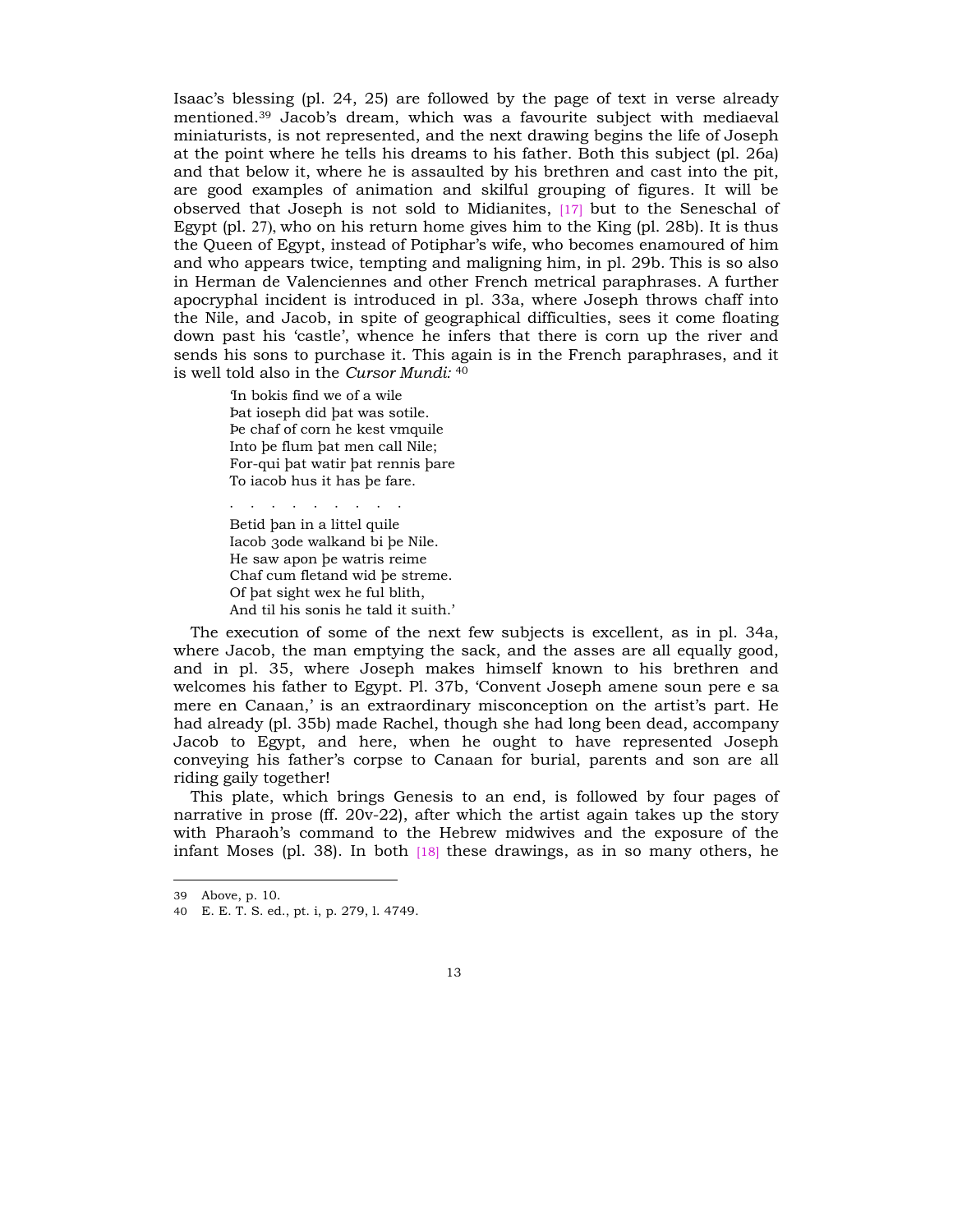Isaac's blessing (pl. 24, 25) are followed by the page of text in verse already mentioned.<sup>39</sup> Jacob's dream, which was a favourite subject with mediaeval miniaturists, is not represented, and the next drawing begins the life of Joseph at the point where he tells his dreams to his father. Both this subject (pl. 26a) and that below it, where he is assaulted by his brethren and cast into the pit, are good examples of animation and skilful grouping of figures. It will be observed that Joseph is not sold to Midianites, [17] but to the Seneschal of Egypt (pl. 27), who on his return home gives him to the King (pl. 28b). It is thus the Queen of Egypt, instead of Potiphar's wife, who becomes enamoured of him and who appears twice, tempting and maligning him, in pl. 29b*.* This is so also in Herman de Valenciennes and other French metrical paraphrases. A further apocryphal incident is introduced in pl. 33a, where Joseph throws chaff into the Nile, and Jacob, in spite of geographical difficulties, sees it come floating down past his 'castle', whence he infers that there is corn up the river and sends his sons to purchase it. This again is in the French paraphrases, and it is well told also in the *Cursor Mundi:* <sup>40</sup>

In bokis find we of a wile Pat ioseph did bat was sotile. fie chaf of corn he kest vmquile Into be flum bat men call Nile; For-qui bat watir bat rennis bare To iacob hus it has be fare.

· · · · · · · · · Betid ban in a littel quile Iacob 3ode walkand bi be Nile. He saw apon be watris reime Chaf cum fletand wid be streme. Of bat sight wex he ful blith, And til his sonis he tald it suith.'

The execution of some of the next few subjects is excellent, as in pl. 34a, where Jacob, the man emptying the sack, and the asses are all equally good, and in pl. 35, where Joseph makes himself known to his brethren and welcomes his father to Egypt. Pl. 37b, 'Convent Joseph amene soun pere e sa mere en Canaan,' is an extraordinary misconception on the artist's part. He had already (pl. 35b) made Rachel, though she had long been dead, accompany Jacob to Egypt, and here, when he ought to have represented Joseph conveying his fatherís corpse to Canaan for burial, parents and son are all riding gaily together!

This plate, which brings Genesis to an end, is followed by four pages of narrative in prose (ff. 20v-22), after which the artist again takes up the story with Pharaoh's command to the Hebrew midwives and the exposure of the infant Moses (pl. 38). In both [18] these drawings, as in so many others, he

<sup>39</sup> Above, p. 10.

<sup>40</sup> E. E. T. S. ed., pt. i, p. 279, l. 4749.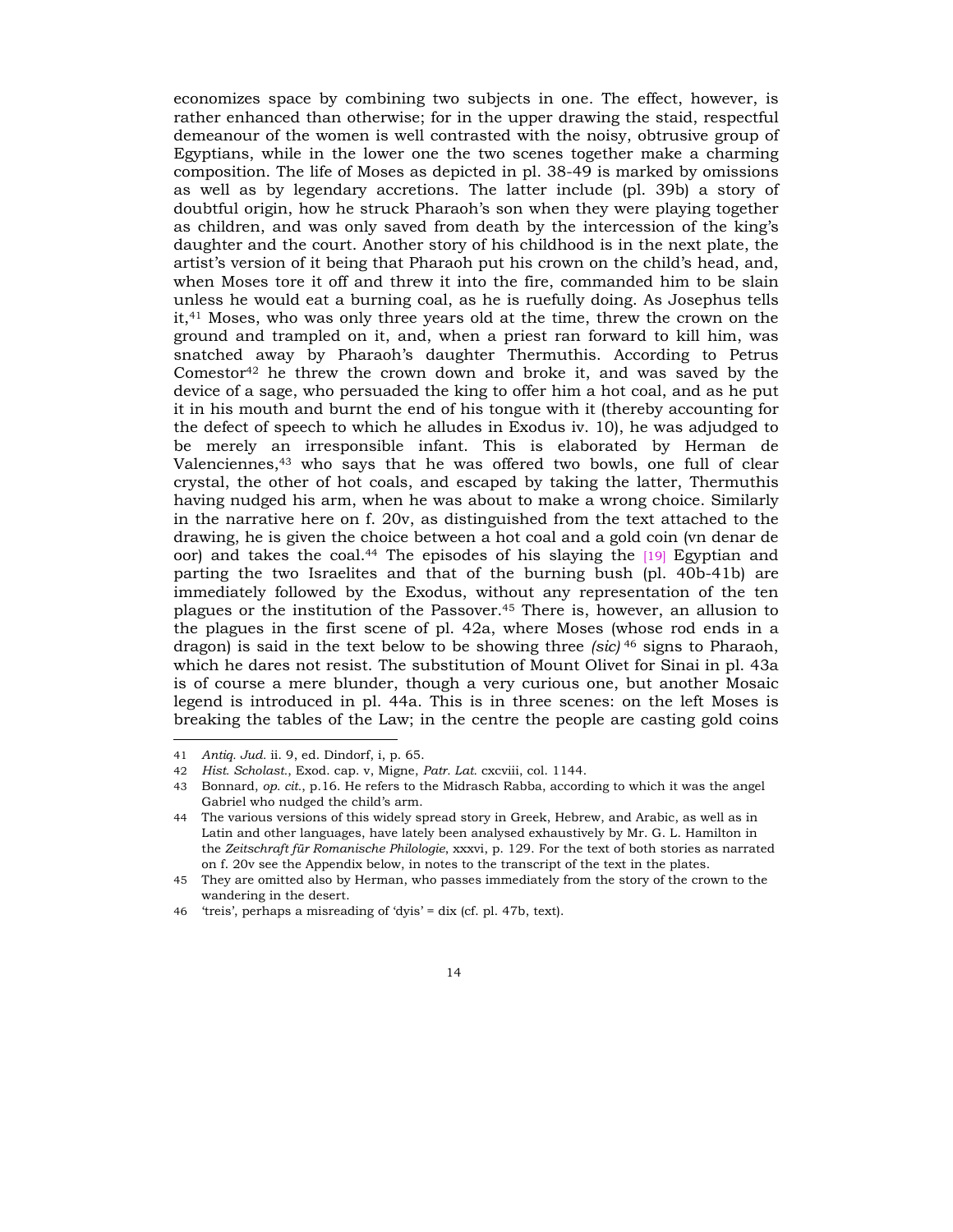economizes space by combining two subjects in one. The effect, however, is rather enhanced than otherwise; for in the upper drawing the staid, respectful demeanour of the women is well contrasted with the noisy, obtrusive group of Egyptians, while in the lower one the two scenes together make a charming composition. The life of Moses as depicted in pl. 38-49 is marked by omissions as well as by legendary accretions. The latter include (pl. 39b) a story of doubtful origin, how he struck Pharaoh's son when they were playing together as children, and was only saved from death by the intercession of the kingís daughter and the court. Another story of his childhood is in the next plate, the artist's version of it being that Pharaoh put his crown on the child's head, and, when Moses tore it off and threw it into the fire, commanded him to be slain unless he would eat a burning coal, as he is ruefully doing. As Josephus tells it,41 Moses, who was only three years old at the time, threw the crown on the ground and trampled on it, and, when a priest ran forward to kill him, was snatched away by Pharaohís daughter Thermuthis. According to Petrus Comestor<sup>42</sup> he threw the crown down and broke it, and was saved by the device of a sage, who persuaded the king to offer him a hot coal, and as he put it in his mouth and burnt the end of his tongue with it (thereby accounting for the defect of speech to which he alludes in Exodus iv. 10), he was adjudged to be merely an irresponsible infant. This is elaborated by Herman de Valenciennes,43 who says that he was offered two bowls, one full of clear crystal, the other of hot coals, and escaped by taking the latter, Thermuthis having nudged his arm, when he was about to make a wrong choice. Similarly in the narrative here on f. 20v, as distinguished from the text attached to the drawing, he is given the choice between a hot coal and a gold coin (vn denar de oor) and takes the coal.44 The episodes of his slaying the [19] Egyptian and parting the two Israelites and that of the burning bush (pl. 40b-41b) are immediately followed by the Exodus, without any representation of the ten plagues or the institution of the Passover.45 There is, however, an allusion to the plagues in the first scene of pl. 42a, where Moses (whose rod ends in a dragon) is said in the text below to be showing three *(sic)* 46 signs to Pharaoh, which he dares not resist. The substitution of Mount Olivet for Sinai in pl. 43a is of course a mere blunder, though a very curious one, but another Mosaic legend is introduced in pl. 44a. This is in three scenes: on the left Moses is breaking the tables of the Law; in the centre the people are casting gold coins

<sup>41</sup> *Antiq. Jud.* ii. 9, ed. Dindorf, i, p. 65.

<sup>42</sup> *Hist. Scholast.*, Exod. cap. v, Migne, *Patr. Lat.* cxcviii, col. 1144.

<sup>43</sup> Bonnard, *op. cit.*, p.16. He refers to the Midrasch Rabba, according to which it was the angel Gabriel who nudged the child's arm.

<sup>44</sup> The various versions of this widely spread story in Greek, Hebrew, and Arabic, as well as in Latin and other languages, have lately been analysed exhaustively by Mr. G. L. Hamilton in the Zeitschraft für Romanische Philologie, xxxvi, p. 129. For the text of both stories as narrated on f. 20v see the Appendix below, in notes to the transcript of the text in the plates.

<sup>45</sup> They are omitted also by Herman, who passes immediately from the story of the crown to the wandering in the desert.

<sup>46 &#</sup>x27;treis', perhaps a misreading of 'dyis' = dix (cf. pl. 47b, text).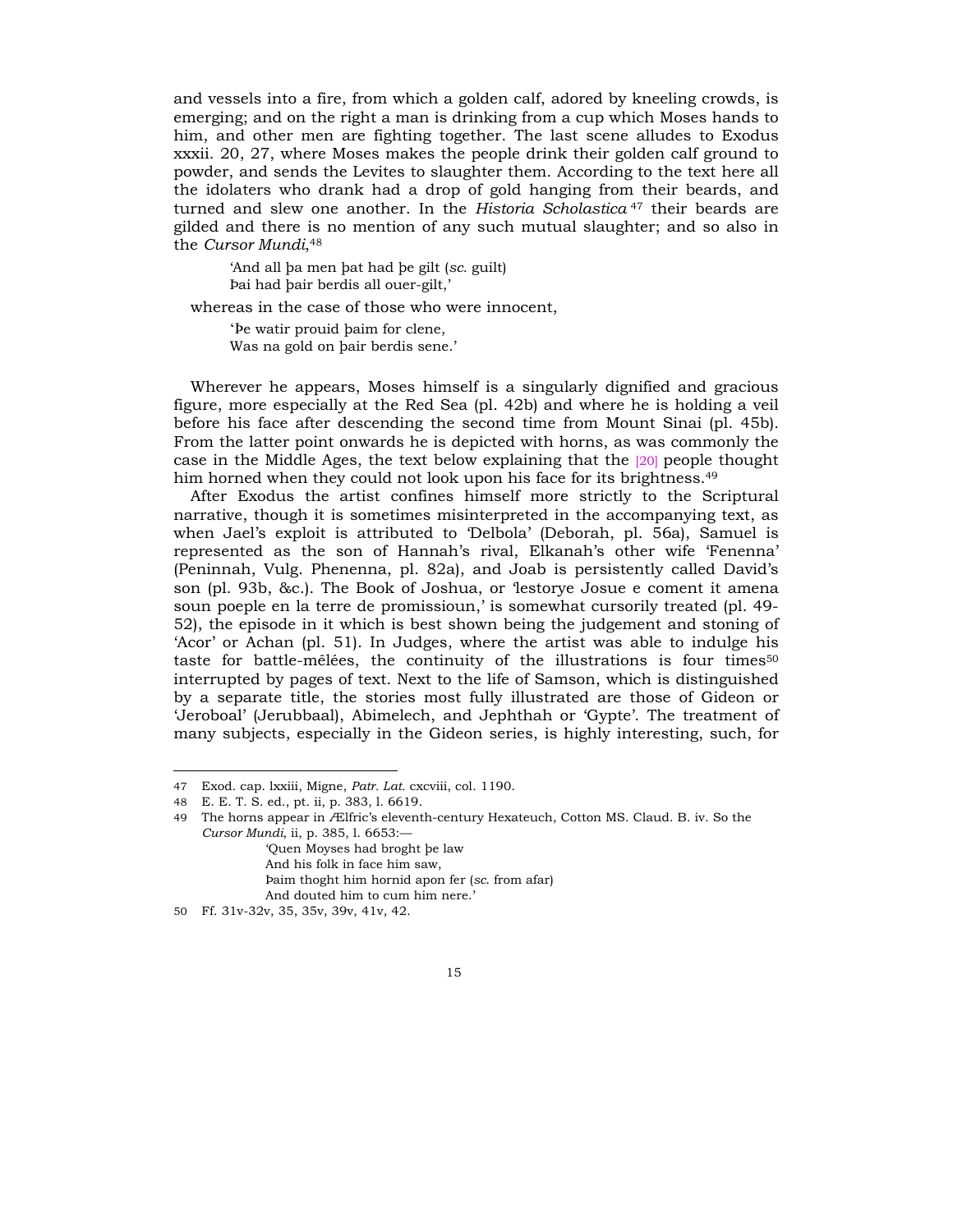and vessels into a fire, from which a golden calf, adored by kneeling crowds, is emerging; and on the right a man is drinking from a cup which Moses hands to him, and other men are fighting together. The last scene alludes to Exodus xxxii. 20, 27, where Moses makes the people drink their golden calf ground to powder, and sends the Levites to slaughter them. According to the text here all the idolaters who drank had a drop of gold hanging from their beards, and turned and slew one another. In the *Historia Scholastica* 47 their beards are gilded and there is no mention of any such mutual slaughter; and so also in the *Cursor Mundi*,48

ëAnd all ˛a men ˛at had ˛e gilt (*sc.* guilt) Þai had þair berdis all ouer-gilt,'

whereas in the case of those who were innocent,

'be watir prouid baim for clene, Was na gold on bair berdis sene.'

Wherever he appears, Moses himself is a singularly dignified and gracious figure, more especially at the Red Sea (pl. 42b) and where he is holding a veil before his face after descending the second time from Mount Sinai (pl. 45b)*.*  From the latter point onwards he is depicted with horns, as was commonly the case in the Middle Ages, the text below explaining that the [20] people thought him horned when they could not look upon his face for its brightness.<sup>49</sup>

After Exodus the artist confines himself more strictly to the Scriptural narrative, though it is sometimes misinterpreted in the accompanying text, as when Jael's exploit is attributed to 'Delbola' (Deborah, pl. 56a), Samuel is represented as the son of Hannah's rival, Elkanah's other wife 'Fenenna' (Peninnah, Vulg. Phenenna, pl. 82a), and Joab is persistently called David's son (pl. 93b, &c.). The Book of Joshua, or 'lestorye Josue e coment it amena soun poeple en la terre de promissioun, is somewhat cursorily treated (pl. 49-52), the episode in it which is best shown being the judgement and stoning of ëAcorí or Achan (pl. 51). In Judges, where the artist was able to indulge his taste for battle-mêlées, the continuity of the illustrations is four times<sup>50</sup> interrupted by pages of text. Next to the life of Samson, which is distinguished by a separate title, the stories most fully illustrated are those of Gideon or ëJeroboalí (Jerubbaal), Abimelech, and Jephthah or ëGypteí. The treatment of many subjects, especially in the Gideon series, is highly interesting, such, for

<sup>47</sup> Exod. cap. lxxiii, Migne, *Patr. Lat.* cxcviii, col. 1190.

<sup>48</sup> E. E. T. S. ed., pt. ii, p. 383, l. 6619.

<sup>49</sup> The horns appear in Ælfricís eleventh-century Hexateuch, Cotton MS. Claud. B. iv. So the *Cursor Mundi*, ii, p. 385, 1. 6653: ëQuen Moyses had broght ˛e law

And his folk in face him saw,

fiaim thoght him hornid apon fer (*sc*. from afar)

And douted him to cum him nere.'

<sup>50</sup> Ff. 31v-32v, 35, 35v, 39v, 41v, 42.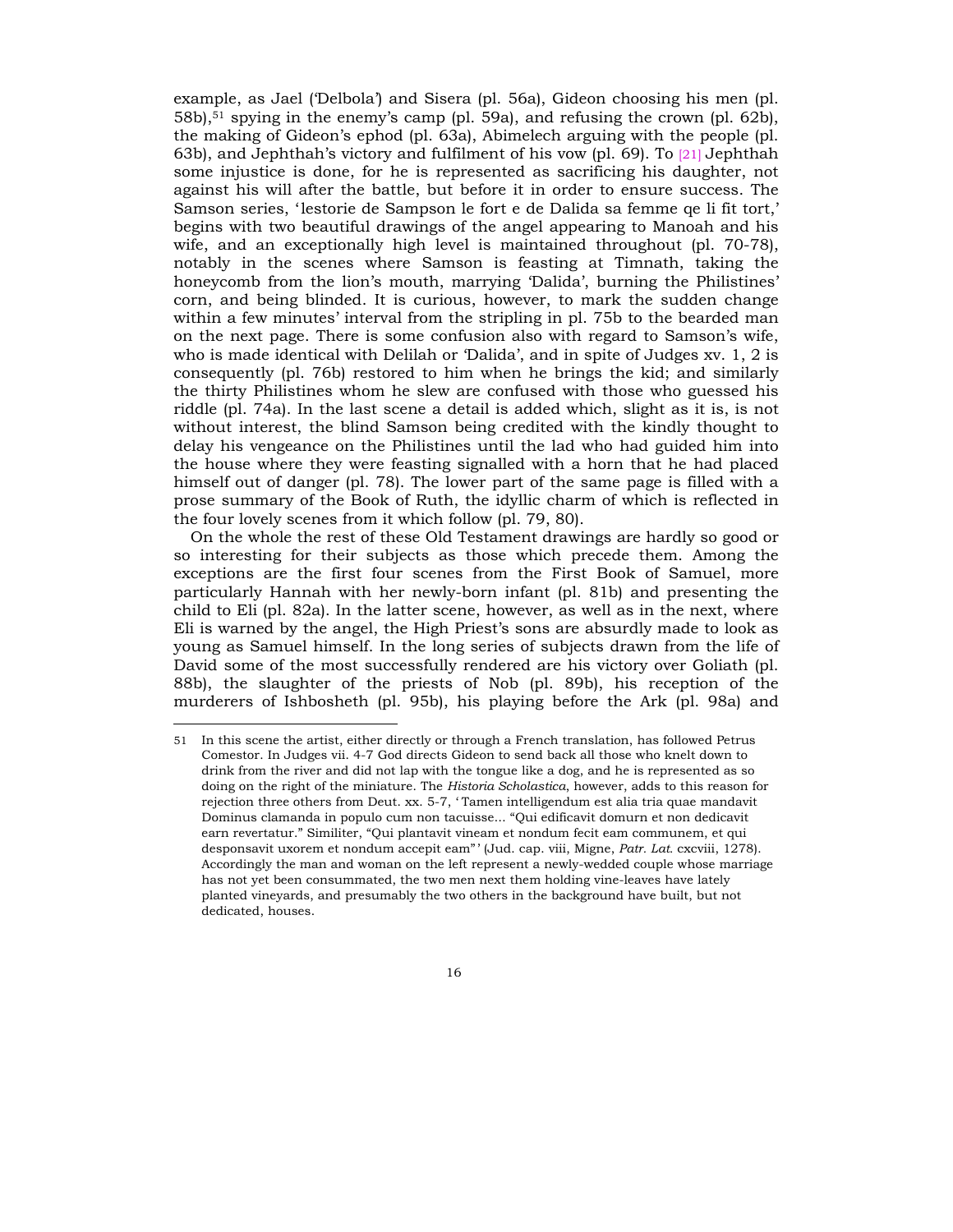example, as Jael (Delbola) and Sisera (pl. 56a), Gideon choosing his men (pl. 58b),51 spying in the enemyís camp (pl. 59a), and refusing the crown (pl. 62b), the making of Gideonís ephod (pl. 63a), Abimelech arguing with the people (pl. 63b), and Jephthahís victory and fulfilment of his vow (pl. 69). To [21] Jephthah some injustice is done, for he is represented as sacrificing his daughter, not against his will after the battle, but before it in order to ensure success. The Samson series, 'lestorie de Sampson le fort e de Dalida sa femme qe li fit tort,' begins with two beautiful drawings of the angel appearing to Manoah and his wife, and an exceptionally high level is maintained throughout (pl. 70-78), notably in the scenes where Samson is feasting at Timnath, taking the honeycomb from the lion's mouth, marrying 'Dalida', burning the Philistines' corn, and being blinded. It is curious, however, to mark the sudden change within a few minutes' interval from the stripling in pl. 75b to the bearded man on the next page. There is some confusion also with regard to Samsonís wife, who is made identical with Delilah or 'Dalida', and in spite of Judges  $xv$ . 1, 2 is consequently (pl. 76b) restored to him when he brings the kid; and similarly the thirty Philistines whom he slew are confused with those who guessed his riddle (pl. 74a). In the last scene a detail is added which, slight as it is, is not without interest, the blind Samson being credited with the kindly thought to delay his vengeance on the Philistines until the lad who had guided him into the house where they were feasting signalled with a horn that he had placed himself out of danger (pl. 78). The lower part of the same page is filled with a prose summary of the Book of Ruth, the idyllic charm of which is reflected in the four lovely scenes from it which follow (pl. 79, 80).

On the whole the rest of these Old Testament drawings are hardly so good or so interesting for their subjects as those which precede them. Among the exceptions are the first four scenes from the First Book of Samuel, more particularly Hannah with her newly-born infant (pl. 81b) and presenting the child to Eli (pl. 82a). In the latter scene, however, as well as in the next, where Eli is warned by the angel, the High Priestís sons are absurdly made to look as young as Samuel himself. In the long series of subjects drawn from the life of David some of the most successfully rendered are his victory over Goliath (pl. 88b), the slaughter of the priests of Nob (pl. 89b), his reception of the murderers of Ishbosheth (pl. 95b), his playing before the Ark (pl. 98a) and

<sup>51</sup> In this scene the artist, either directly or through a French translation, has followed Petrus Comestor. In Judges vii. 4-7 God directs Gideon to send back all those who knelt down to drink from the river and did not lap with the tongue like a dog, and he is represented as so doing on the right of the miniature. The *Historia Scholastica*, however, adds to this reason for rejection three others from Deut. xx. 5-7, 'Tamen intelligendum est alia tria quae mandavit Dominus clamanda in populo cum non tacuisse... "Qui edificavit domurn et non dedicavit earn revertatur." Similiter, "Qui plantavit vineam et nondum fecit eam communem, et qui desponsavit uxorem et nondum accepit eamî í (Jud. cap. viii, Migne, *Patr. Lat.* cxcviii, 1278). Accordingly the man and woman on the left represent a newly-wedded couple whose marriage has not yet been consummated, the two men next them holding vine-leaves have lately planted vineyards, and presumably the two others in the background have built, but not dedicated, houses.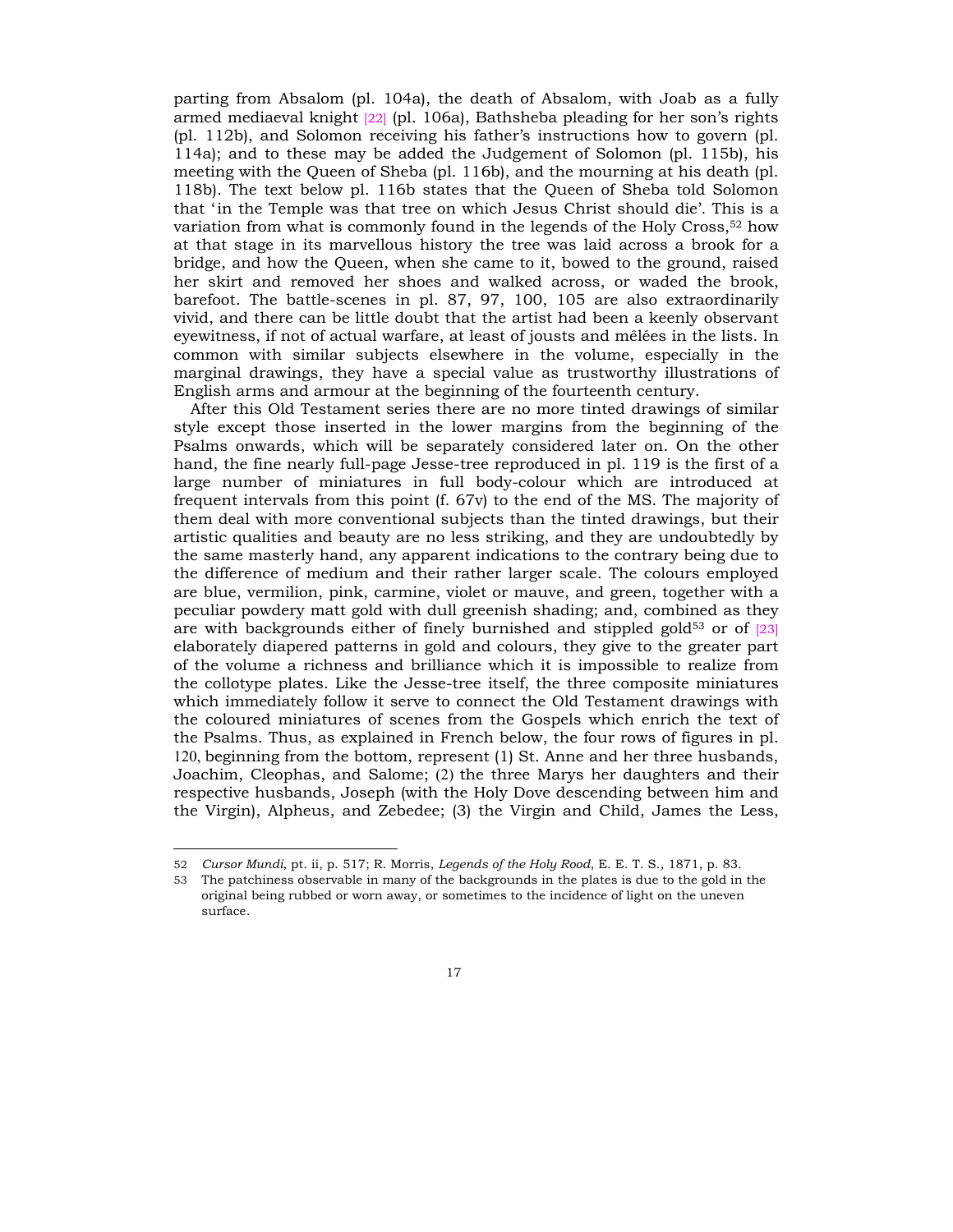parting from Absalom (pl. 104a), the death of Absalom, with Joab as a fully armed mediaeval knight [22] (pl. 106a), Bathsheba pleading for her sonís rights  $(pl. 112b)$ , and Solomon receiving his father's instructions how to govern  $(pl. 112b)$ 114a); and to these may be added the Judgement of Solomon (pl. 115b), his meeting with the Queen of Sheba (pl. 116b), and the mourning at his death (pl. 118b). The text below pl. 116b states that the Queen of Sheba told Solomon that 'in the Temple was that tree on which Jesus Christ should die'. This is a variation from what is commonly found in the legends of the Holy Cross,52 how at that stage in its marvellous history the tree was laid across a brook for a bridge, and how the Queen, when she came to it, bowed to the ground, raised her skirt and removed her shoes and walked across, or waded the brook, barefoot. The battle-scenes in pl. 87, 97, 100, 105 are also extraordinarily vivid, and there can be little doubt that the artist had been a keenly observant eyewitness, if not of actual warfare, at least of jousts and mêlées in the lists. In common with similar subjects elsewhere in the volume, especially in the marginal drawings, they have a special value as trustworthy illustrations of English arms and armour at the beginning of the fourteenth century.

After this Old Testament series there are no more tinted drawings of similar style except those inserted in the lower margins from the beginning of the Psalms onwards, which will be separately considered later on. On the other hand, the fine nearly full-page Jesse-tree reproduced in pl. 119 is the first of a large number of miniatures in full body-colour which are introduced at frequent intervals from this point (f. 67v) to the end of the MS. The majority of them deal with more conventional subjects than the tinted drawings, but their artistic qualities and beauty are no less striking, and they are undoubtedly by the same masterly hand, any apparent indications to the contrary being due to the difference of medium and their rather larger scale. The colours employed are blue, vermilion, pink, carmine, violet or mauve, and green, together with a peculiar powdery matt gold with dull greenish shading; and, combined as they are with backgrounds either of finely burnished and stippled gold $53$  or of  $[23]$ elaborately diapered patterns in gold and colours, they give to the greater part of the volume a richness and brilliance which it is impossible to realize from the collotype plates. Like the Jesse-tree itself, the three composite miniatures which immediately follow it serve to connect the Old Testament drawings with the coloured miniatures of scenes from the Gospels which enrich the text of the Psalms. Thus, as explained in French below, the four rows of figures in pl. 120, beginning from the bottom, represent (1) St. Anne and her three husbands, Joachim, Cleophas, and Salome; (2) the three Marys her daughters and their respective husbands, Joseph (with the Holy Dove descending between him and the Virgin), Alpheus, and Zebedee; (3) the Virgin and Child, James the Less,

<sup>52</sup> *Cursor Mundi*, pt. ii, p. 517; R. Morris, *Legends of the Holy Rood*, E. E. T. S., 1871, p. 83.

<sup>53</sup> The patchiness observable in many of the backgrounds in the plates is due to the gold in the original being rubbed or worn away, or sometimes to the incidence of light on the uneven surface.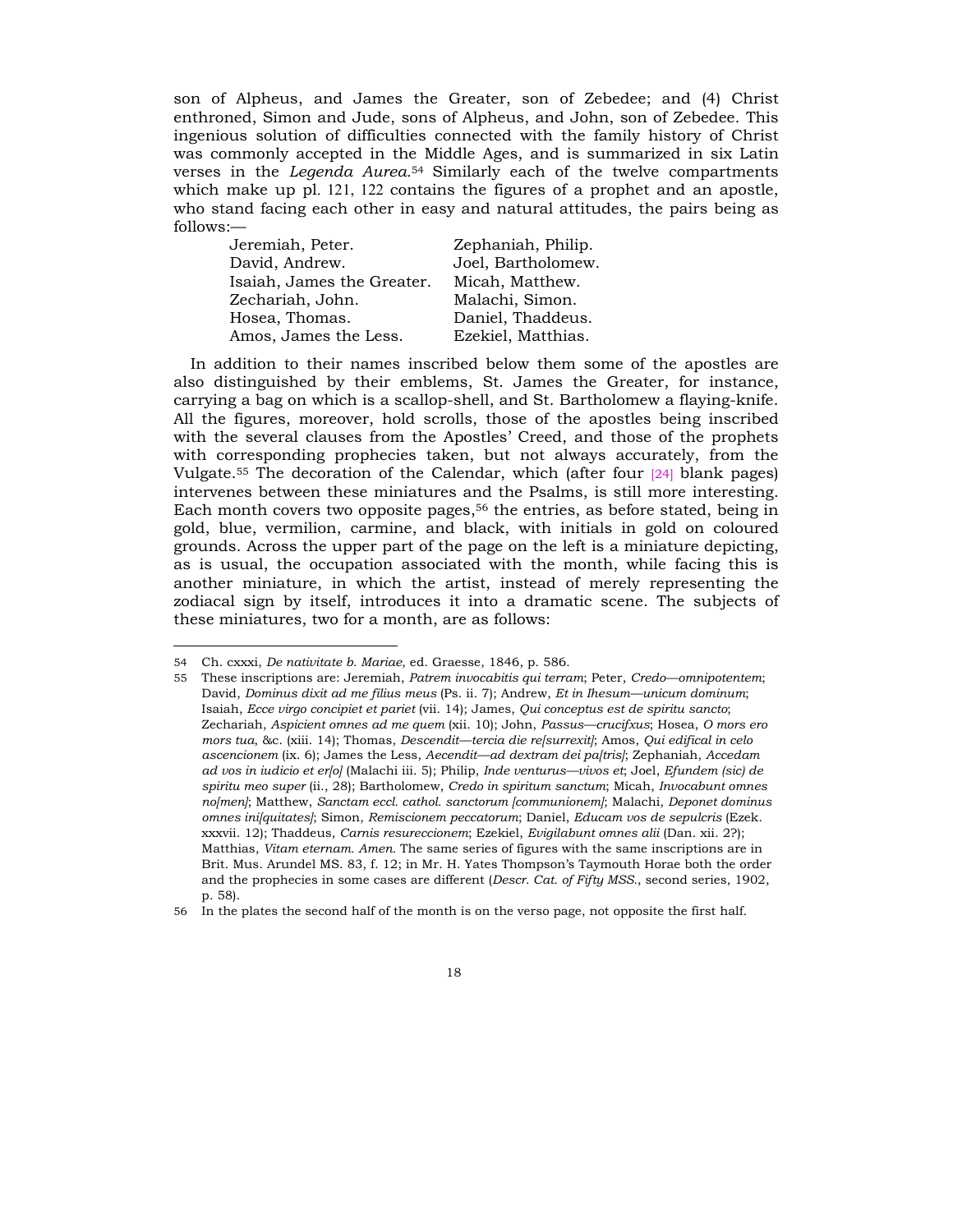son of Alpheus, and James the Greater, son of Zebedee; and (4) Christ enthroned, Simon and Jude, sons of Alpheus, and John, son of Zebedee. This ingenious solution of difficulties connected with the family history of Christ was commonly accepted in the Middle Ages, and is summarized in six Latin verses in the *Legenda Aurea.*<sup>54</sup> Similarly each of the twelve compartments which make up pl. 121, 122 contains the figures of a prophet and an apostle, who stand facing each other in easy and natural attitudes, the pairs being as  $follows:$ 

| Jeremiah, Peter.           | Zephaniah, Philip. |
|----------------------------|--------------------|
| David, Andrew.             | Joel, Bartholomew. |
| Isaiah, James the Greater. | Micah, Matthew.    |
| Zechariah, John.           | Malachi, Simon.    |
| Hosea, Thomas.             | Daniel, Thaddeus.  |
| Amos, James the Less.      | Ezekiel, Matthias. |

In addition to their names inscribed below them some of the apostles are also distinguished by their emblems, St. James the Greater, for instance, carrying a bag on which is a scallop-shell, and St. Bartholomew a flaying-knife. All the figures, moreover, hold scrolls, those of the apostles being inscribed with the several clauses from the Apostles' Creed, and those of the prophets with corresponding prophecies taken, but not always accurately, from the Vulgate.55 The decoration of the Calendar, which (after four [24] blank pages) intervenes between these miniatures and the Psalms, is still more interesting. Each month covers two opposite pages,<sup>56</sup> the entries, as before stated, being in gold, blue, vermilion, carmine, and black, with initials in gold on coloured grounds. Across the upper part of the page on the left is a miniature depicting, as is usual, the occupation associated with the month, while facing this is another miniature, in which the artist, instead of merely representing the zodiacal sign by itself, introduces it into a dramatic scene. The subjects of these miniatures, two for a month, are as follows:

<sup>54</sup> Ch. cxxxi, *De nativitate b. Mariae*, ed. Graesse, 1846, p. 586.

<sup>55</sup> These inscriptions are: Jeremiah, *Patrem invocabitis qui terram*; Peter, *Credo*—omnipotentem; David, *Dominus dixit ad me filius meus* (Ps. ii. 7); Andrew, *Et in Ihesum—unicum dominum*; Isaiah, *Ecce virgo concipiet et pariet* (vii. 14); James, *Qui conceptus est de spiritu sancto*; Zechariah, *Aspicient omnes ad me quem* (xii. 10); John, *Passus—crucifxus*; Hosea, *O mors ero mors tua*, &c. (xiii. 14); Thomas, *Descendit—tercia die re[surrexit]*; Amos, *Qui edifical in celo ascencionem* (ix. 6); James the Less, *Aecendit—ad dextram dei pa[tris]*; Zephaniah, *Accedam ad vos in iudicio et er[o]* (Malachi iii. 5); Philip, *Inde venturus—vivos et*; Joel, *Efundem (sic) de spiritu meo super* (ii., 28); Bartholomew, *Credo in spiritum sanctum*; Micah, *Invocabunt omnes no[men]*; Matthew, *Sanctam eccl. cathol. sanctorum [communionem]*; Malachi, *Deponet dominus omnes ini[quitates]*; Simon, *Remiscionem peccatorum*; Daniel, *Educam vos de sepulcris* (Ezek. xxxvii. 12); Thaddeus, *Carnis resureccionem*; Ezekiel, *Evigilabunt omnes alii* (Dan. xii. 2?); Matthias, *Vitam eternam. Amen.* The same series of figures with the same inscriptions are in Brit. Mus. Arundel MS. 83, f. 12; in Mr. H. Yates Thompson's Taymouth Horae both the order and the prophecies in some cases are different (*Descr. Cat. of Fifty MSS.*, second series, 1902, p. 58).

<sup>56</sup> In the plates the second half of the month is on the verso page, not opposite the first half.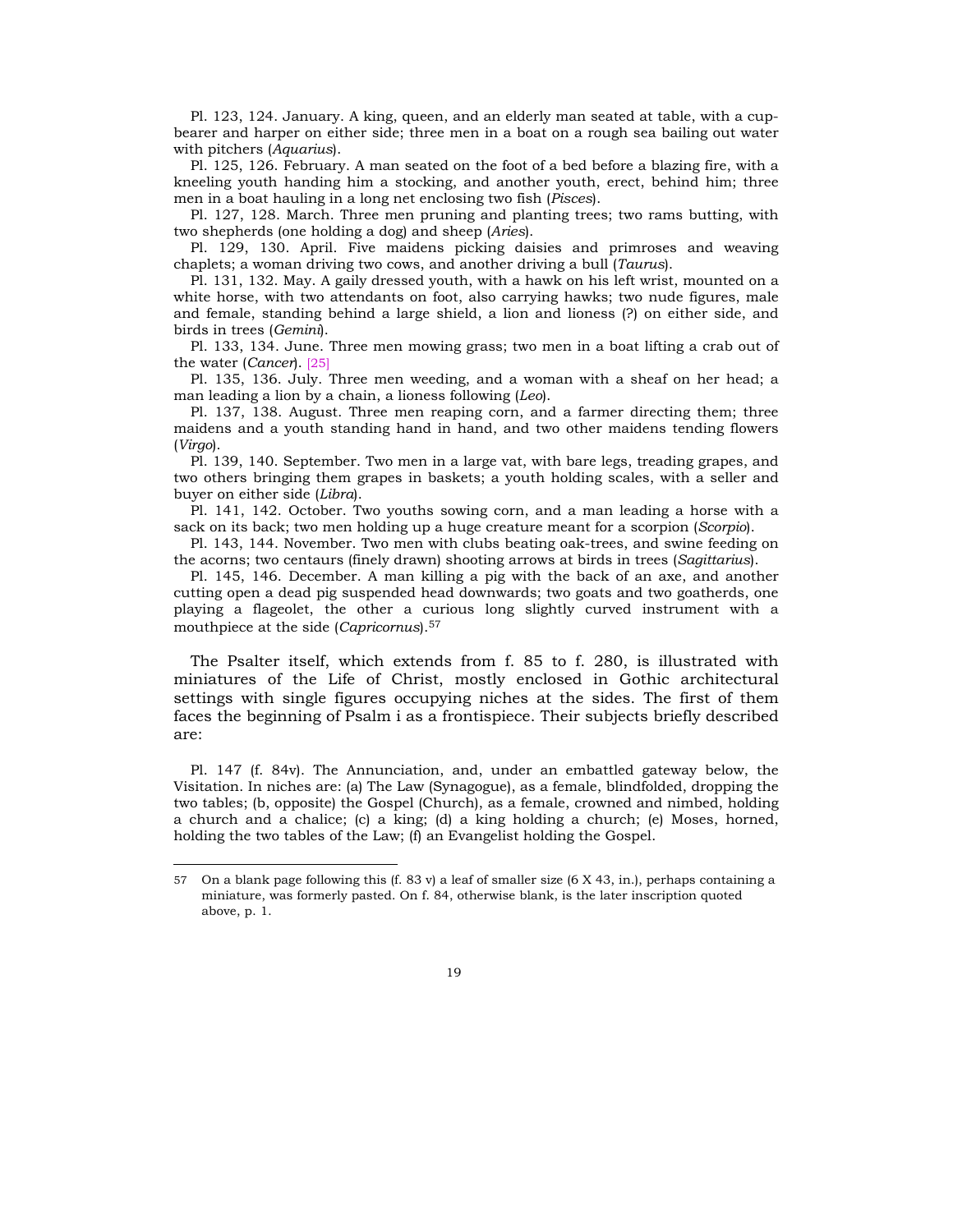Pl. 123, 124. January. A king, queen, and an elderly man seated at table, with a cupbearer and harper on either side; three men in a boat on a rough sea bailing out water with pitchers (*Aquarius*).

Pl. 125, 126. February. A man seated on the foot of a bed before a blazing fire, with a kneeling youth handing him a stocking, and another youth, erect, behind him; three men in a boat hauling in a long net enclosing two fish (*Pisces*).

Pl. 127, 128. March. Three men pruning and planting trees; two rams butting, with two shepherds (one holding a dog) and sheep (*Aries*).

Pl. 129, 130. April. Five maidens picking daisies and primroses and weaving chaplets; a woman driving two cows, and another driving a bull (*Taurus*).

Pl. 131, 132. May. A gaily dressed youth, with a hawk on his left wrist, mounted on a white horse, with two attendants on foot, also carrying hawks; two nude figures, male and female, standing behind a large shield, a lion and lioness (?) on either side, and birds in trees (*Gemini*).

Pl. 133, 134. June. Three men mowing grass; two men in a boat lifting a crab out of the water (*Cancer*). [25]

Pl. 135, 136. July. Three men weeding, and a woman with a sheaf on her head; a man leading a lion by a chain, a lioness following (*Leo*).

Pl. 137, 138. August. Three men reaping corn, and a farmer directing them; three maidens and a youth standing hand in hand, and two other maidens tending flowers (*Virgo*).

Pl. 139, 140. September. Two men in a large vat, with bare legs, treading grapes, and two others bringing them grapes in baskets; a youth holding scales, with a seller and buyer on either side (*Libra*).

Pl. 141, 142. October. Two youths sowing corn, and a man leading a horse with a sack on its back; two men holding up a huge creature meant for a scorpion (*Scorpio*).

Pl. 143, 144. November. Two men with clubs beating oak-trees, and swine feeding on the acorns; two centaurs (finely drawn) shooting arrows at birds in trees (*Sagittarius*).

Pl. 145, 146. December. A man killing a pig with the back of an axe, and another cutting open a dead pig suspended head downwards; two goats and two goatherds, one playing a flageolet, the other a curious long slightly curved instrument with a mouthpiece at the side (*Capricornus*).57

The Psalter itself, which extends from f. 85 to f. 280, is illustrated with miniatures of the Life of Christ, mostly enclosed in Gothic architectural settings with single figures occupying niches at the sides. The first of them faces the beginning of Psalm i as a frontispiece. Their subjects briefly described are:

Pl. 147 (f. 84v). The Annunciation, and, under an embattled gateway below, the Visitation. In niches are: (a) The Law (Synagogue), as a female, blindfolded, dropping the two tables; (b, opposite) the Gospel (Church), as a female, crowned and nimbed, holding a church and a chalice; (c) a king; (d) a king holding a church; (e) Moses, horned, holding the two tables of the Law; (f) an Evangelist holding the Gospel.

<sup>57</sup> On a blank page following this (f. 83 v) a leaf of smaller size (6 X 43, in.), perhaps containing a miniature, was formerly pasted. On f. 84, otherwise blank, is the later inscription quoted above, p. 1.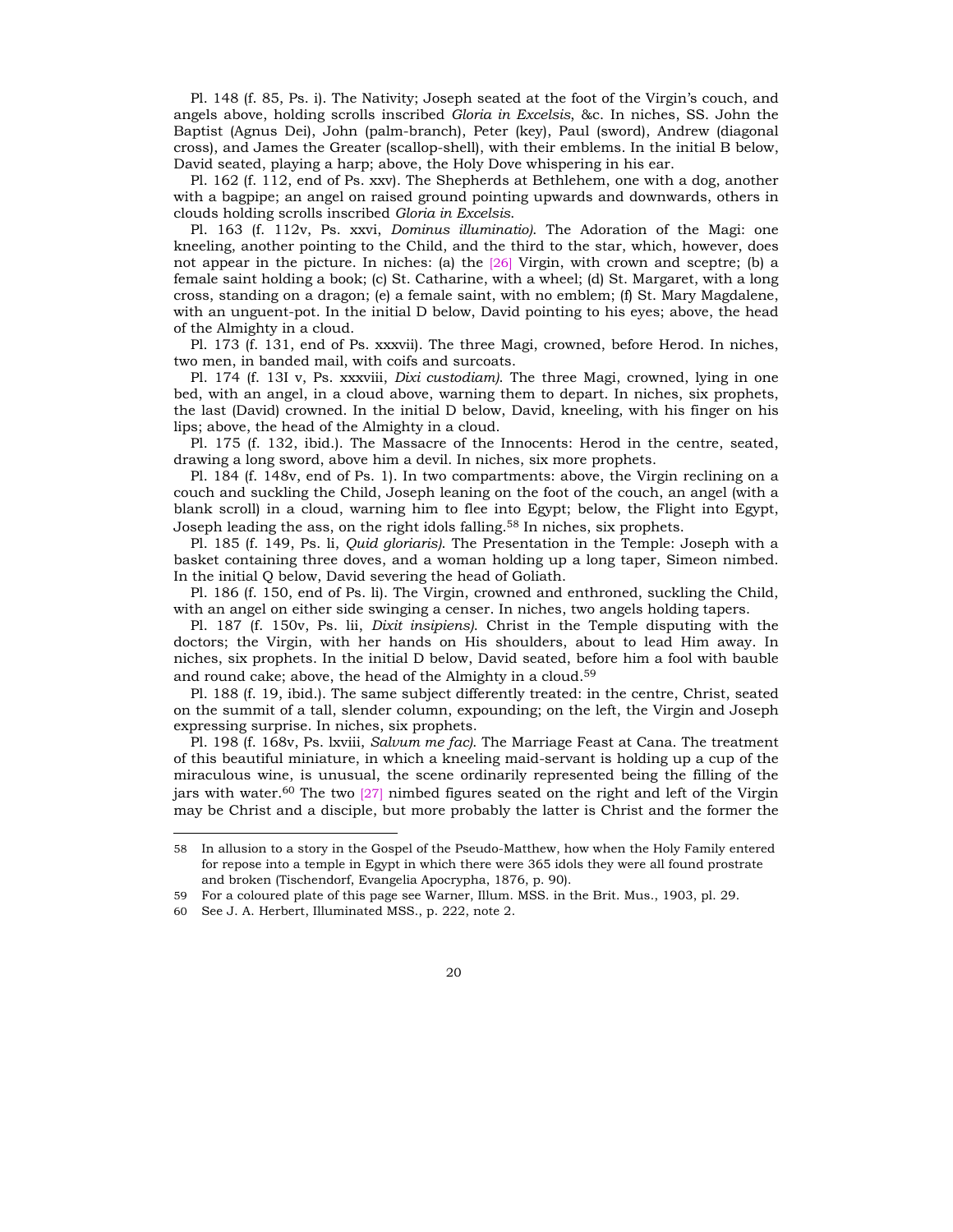Pl. 148 (f. 85, Ps. i). The Nativity; Joseph seated at the foot of the Virgin's couch, and angels above, holding scrolls inscribed *Gloria in Excelsis*, &c. In niches, SS. John the Baptist (Agnus Dei), John (palm-branch), Peter (key), Paul (sword), Andrew (diagonal cross), and James the Greater (scallop-shell), with their emblems. In the initial B below, David seated, playing a harp; above, the Holy Dove whispering in his ear.

Pl. 162 (f. 112, end of Ps. xxv). The Shepherds at Bethlehem, one with a dog, another with a bagpipe; an angel on raised ground pointing upwards and downwards, others in clouds holding scrolls inscribed *Gloria in Excelsis*.

Pl. 163 (f. 112v, Ps. xxvi, *Dominus illuminatio)*. The Adoration of the Magi: one kneeling, another pointing to the Child, and the third to the star, which, however, does not appear in the picture. In niches: (a) the [26] Virgin, with crown and sceptre; (b) a female saint holding a book; (c) St. Catharine, with a wheel; (d) St. Margaret, with a long cross, standing on a dragon; (e) a female saint, with no emblem; (f) St. Mary Magdalene, with an unguent-pot. In the initial D below, David pointing to his eyes; above, the head of the Almighty in a cloud.

Pl. 173 (f. 131, end of Ps. xxxvii). The three Magi, crowned, before Herod. In niches, two men, in banded mail, with coifs and surcoats.

Pl. 174 (f. 13I v, Ps. xxxviii, *Dixi custodiam)*. The three Magi, crowned, lying in one bed, with an angel, in a cloud above, warning them to depart. In niches, six prophets, the last (David) crowned. In the initial D below, David, kneeling, with his finger on his lips; above, the head of the Almighty in a cloud.

Pl. 175 (f. 132, ibid.). The Massacre of the Innocents: Herod in the centre, seated, drawing a long sword, above him a devil. In niches, six more prophets.

Pl. 184 (f. 148v, end of Ps. 1). In two compartments: above, the Virgin reclining on a couch and suckling the Child, Joseph leaning on the foot of the couch, an angel (with a blank scroll) in a cloud, warning him to flee into Egypt; below, the Flight into Egypt, Joseph leading the ass, on the right idols falling.<sup>58</sup> In niches, six prophets.

Pl. 185 (f. 149, Ps. li, *Quid gloriaris)*. The Presentation in the Temple: Joseph with a basket containing three doves, and a woman holding up a long taper, Simeon nimbed. In the initial Q below, David severing the head of Goliath.

Pl. 186 (f. 150, end of Ps. li). The Virgin, crowned and enthroned, suckling the Child, with an angel on either side swinging a censer. In niches, two angels holding tapers.

Pl. 187 (f. 150v, Ps. lii, *Dixit insipiens)*. Christ in the Temple disputing with the doctors; the Virgin, with her hands on His shoulders, about to lead Him away. In niches, six prophets. In the initial D below, David seated, before him a fool with bauble and round cake; above, the head of the Almighty in a cloud.59

Pl. 188 (f. 19, ibid.). The same subject differently treated: in the centre, Christ, seated on the summit of a tall, slender column, expounding; on the left, the Virgin and Joseph expressing surprise. In niches, six prophets.

Pl. 198 (f. 168v, Ps. lxviii, *Salvum me fac)*. The Marriage Feast at Cana. The treatment of this beautiful miniature, in which a kneeling maid-servant is holding up a cup of the miraculous wine, is unusual, the scene ordinarily represented being the filling of the jars with water.<sup>60</sup> The two  $\left[27\right]$  nimbed figures seated on the right and left of the Virgin may be Christ and a disciple, but more probably the latter is Christ and the former the

<sup>58</sup> In allusion to a story in the Gospel of the Pseudo-Matthew, how when the Holy Family entered for repose into a temple in Egypt in which there were 365 idols they were all found prostrate and broken (Tischendorf, Evangelia Apocrypha, 1876, p. 90).

<sup>59</sup> For a coloured plate of this page see Warner, Illum. MSS. in the Brit. Mus., 1903, pl. 29.

<sup>60</sup> See J. A. Herbert, Illuminated MSS., p. 222, note 2.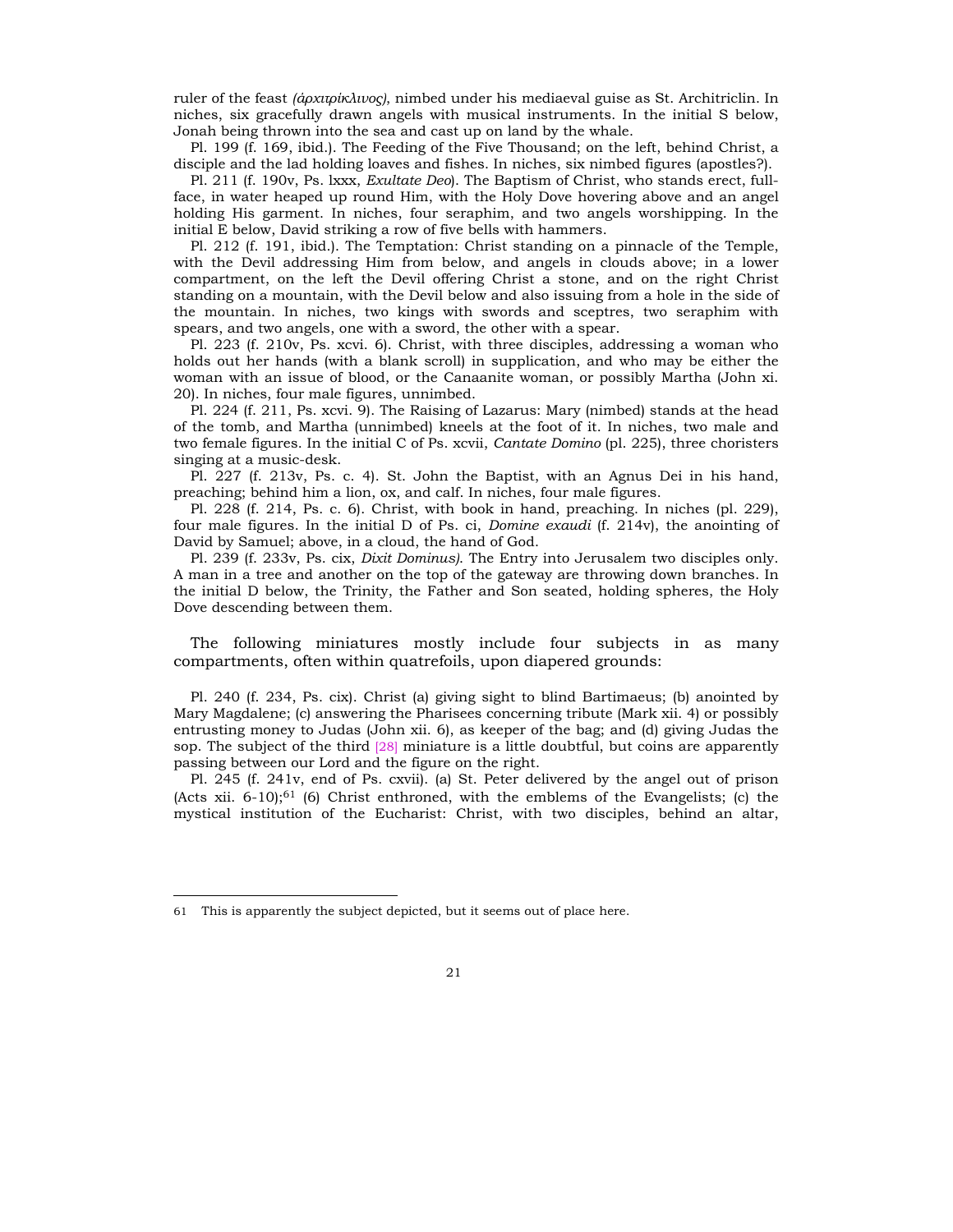ruler of the feast *(άρχιτρίκλινος)*, nimbed under his mediaeval guise as St. Architriclin. In niches, six gracefully drawn angels with musical instruments. In the initial S below, Jonah being thrown into the sea and cast up on land by the whale.

Pl. 199 (f. 169, ibid.). The Feeding of the Five Thousand; on the left, behind Christ, a disciple and the lad holding loaves and fishes. In niches, six nimbed figures (apostles?).

Pl. 211 (f. 190v, Ps. lxxx, *Exultate Deo*). The Baptism of Christ, who stands erect, fullface, in water heaped up round Him, with the Holy Dove hovering above and an angel holding His garment. In niches, four seraphim, and two angels worshipping. In the initial E below, David striking a row of five bells with hammers.

Pl. 212 (f. 191, ibid.). The Temptation: Christ standing on a pinnacle of the Temple, with the Devil addressing Him from below, and angels in clouds above; in a lower compartment, on the left the Devil offering Christ a stone, and on the right Christ standing on a mountain, with the Devil below and also issuing from a hole in the side of the mountain. In niches, two kings with swords and sceptres, two seraphim with spears, and two angels, one with a sword, the other with a spear.

Pl. 223 (f. 210v, Ps. xcvi. 6). Christ, with three disciples, addressing a woman who holds out her hands (with a blank scroll) in supplication, and who may be either the woman with an issue of blood, or the Canaanite woman, or possibly Martha (John xi. 20). In niches, four male figures, unnimbed.

Pl. 224 (f. 211, Ps. xcvi. 9). The Raising of Lazarus: Mary (nimbed) stands at the head of the tomb, and Martha (unnimbed) kneels at the foot of it. In niches, two male and two female figures. In the initial C of Ps. xcvii, *Cantate Domino* (pl. 225), three choristers singing at a music-desk.

Pl. 227 (f. 213v, Ps. c. 4). St. John the Baptist, with an Agnus Dei in his hand, preaching; behind him a lion, ox, and calf. In niches, four male figures.

Pl. 228 (f. 214, Ps. c. 6). Christ, with book in hand, preaching. In niches (pl. 229), four male figures. In the initial D of Ps. ci, *Domine exaudi* (f. 214v), the anointing of David by Samuel; above, in a cloud, the hand of God.

Pl. 239 (f. 233v, Ps. cix, *Dixit Dominus)*. The Entry into Jerusalem two disciples only. A man in a tree and another on the top of the gateway are throwing down branches. In the initial D below, the Trinity, the Father and Son seated, holding spheres, the Holy Dove descending between them.

The following miniatures mostly include four subjects in as many compartments, often within quatrefoils, upon diapered grounds:

Pl. 240 (f. 234, Ps. cix). Christ (a) giving sight to blind Bartimaeus; (b) anointed by Mary Magdalene; (c) answering the Pharisees concerning tribute (Mark xii. 4) or possibly entrusting money to Judas (John xii. 6), as keeper of the bag; and (d) giving Judas the sop. The subject of the third [28] miniature is a little doubtful, but coins are apparently passing between our Lord and the figure on the right.

Pl. 245 (f. 241v, end of Ps. cxvii). (a) St. Peter delivered by the angel out of prison (Acts xii.  $6-10$ ); $61$  (6) Christ enthroned, with the emblems of the Evangelists; (c) the mystical institution of the Eucharist: Christ, with two disciples, behind an altar,

<sup>61</sup> This is apparently the subject depicted, but it seems out of place here.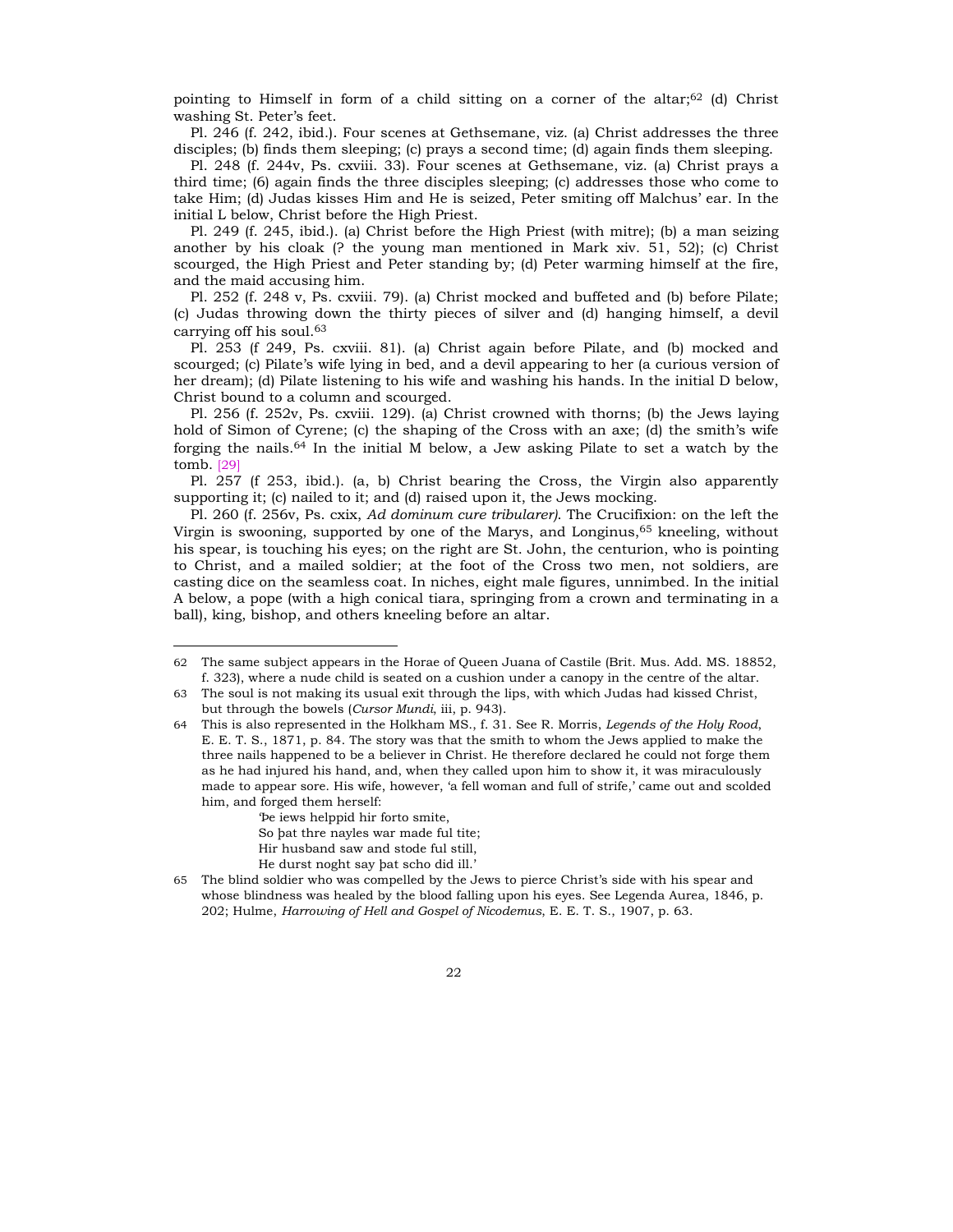pointing to Himself in form of a child sitting on a corner of the altar; $62$  (d) Christ washing St. Peter's feet.

Pl. 246 (f. 242, ibid.). Four scenes at Gethsemane, viz. (a) Christ addresses the three disciples; (b) finds them sleeping; (c) prays a second time; (d) again finds them sleeping.

Pl. 248 (f. 244v, Ps. cxviii. 33). Four scenes at Gethsemane, viz. (a) Christ prays a third time; (6) again finds the three disciples sleeping; (c) addresses those who come to take Him; (d) Judas kisses Him and He is seized, Peter smiting off Malchus' ear. In the initial L below, Christ before the High Priest.

Pl. 249 (f. 245, ibid.). (a) Christ before the High Priest (with mitre); (b) a man seizing another by his cloak (? the young man mentioned in Mark xiv. 51, 52); (c) Christ scourged, the High Priest and Peter standing by; (d) Peter warming himself at the fire, and the maid accusing him.

Pl. 252 (f. 248 v, Ps. cxviii. 79). (a) Christ mocked and buffeted and (b) before Pilate; (c) Judas throwing down the thirty pieces of silver and (d) hanging himself, a devil carrying off his soul.63

Pl. 253 (f 249, Ps. cxviii. 81). (a) Christ again before Pilate, and (b) mocked and scourged; (c) Pilate's wife lying in bed, and a devil appearing to her (a curious version of her dream); (d) Pilate listening to his wife and washing his hands. In the initial D below, Christ bound to a column and scourged.

Pl. 256 (f. 252v, Ps. cxviii. 129). (a) Christ crowned with thorns; (b) the Jews laying hold of Simon of Cyrene; (c) the shaping of the Cross with an axe; (d) the smith's wife forging the nails.64 In the initial M below, a Jew asking Pilate to set a watch by the tomb. [29]

Pl. 257 (f 253, ibid.). (a, b) Christ bearing the Cross, the Virgin also apparently supporting it; (c) nailed to it; and (d) raised upon it, the Jews mocking.

Pl. 260 (f. 256v, Ps. cxix, *Ad dominum cure tribularer)*. The Crucifixion: on the left the Virgin is swooning, supported by one of the Marys, and Longinus,65 kneeling, without his spear, is touching his eyes; on the right are St. John, the centurion, who is pointing to Christ, and a mailed soldier; at the foot of the Cross two men, not soldiers, are casting dice on the seamless coat. In niches, eight male figures, unnimbed. In the initial A below, a pope (with a high conical tiara, springing from a crown and terminating in a ball), king, bishop, and others kneeling before an altar.

 $Pe$  iews helppid hir forto smite, So bat thre nayles war made ful tite; Hir husband saw and stode ful still, He durst noght say bat scho did ill.'

<sup>62</sup> The same subject appears in the Horae of Queen Juana of Castile (Brit. Mus. Add. MS. 18852, f. 323), where a nude child is seated on a cushion under a canopy in the centre of the altar.

<sup>63</sup> The soul is not making its usual exit through the lips, with which Judas had kissed Christ, but through the bowels (*Cursor Mundi*, iii, p. 943).

<sup>64</sup> This is also represented in the Holkham MS., f. 31. See R. Morris, *Legends of the Holy Rood*, E. E. T. S., 1871, p. 84. The story was that the smith to whom the Jews applied to make the three nails happened to be a believer in Christ. He therefore declared he could not forge them as he had injured his hand, and, when they called upon him to show it, it was miraculously made to appear sore. His wife, however, 'a fell woman and full of strife,' came out and scolded him, and forged them herself:

<sup>65</sup> The blind soldier who was compelled by the Jews to pierce Christís side with his spear and whose blindness was healed by the blood falling upon his eyes. See Legenda Aurea, 1846, p. 202; Hulme, *Harrowing of Hell and Gospel of Nicodemus*, E. E. T. S., 1907, p. 63.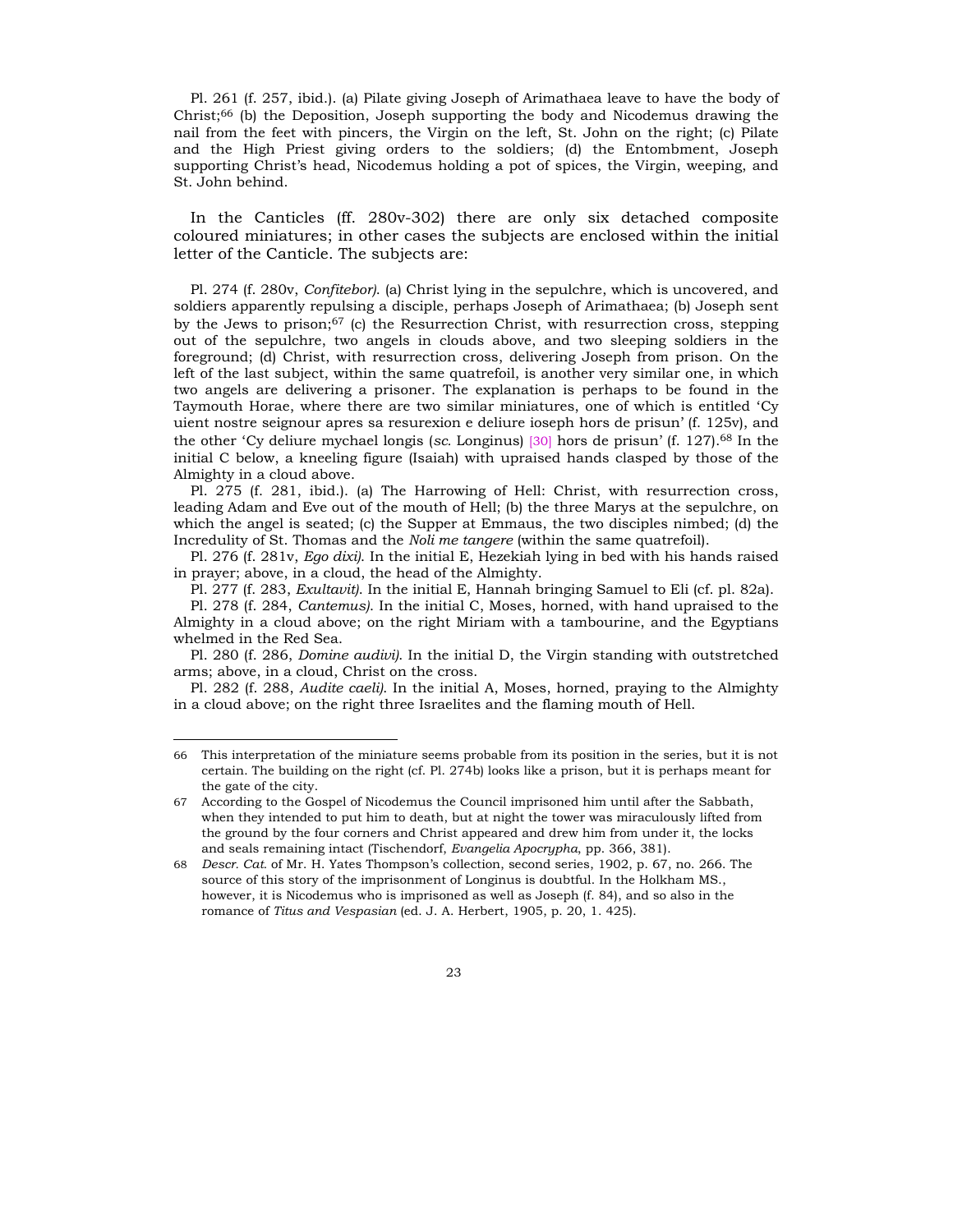Pl. 261 (f. 257, ibid.). (a) Pilate giving Joseph of Arimathaea leave to have the body of Christ;66 (b) the Deposition, Joseph supporting the body and Nicodemus drawing the nail from the feet with pincers, the Virgin on the left, St. John on the right; (c) Pilate and the High Priest giving orders to the soldiers; (d) the Entombment, Joseph supporting Christís head, Nicodemus holding a pot of spices, the Virgin, weeping, and St. John behind.

In the Canticles (ff. 280v-302) there are only six detached composite coloured miniatures; in other cases the subjects are enclosed within the initial letter of the Canticle. The subjects are:

Pl. 274 (f. 280v, *Confitebor)*. (a) Christ lying in the sepulchre, which is uncovered, and soldiers apparently repulsing a disciple, perhaps Joseph of Arimathaea; (b) Joseph sent by the Jews to prison;67 (c) the Resurrection Christ, with resurrection cross, stepping out of the sepulchre, two angels in clouds above, and two sleeping soldiers in the foreground; (d) Christ, with resurrection cross, delivering Joseph from prison. On the left of the last subject, within the same quatrefoil, is another very similar one, in which two angels are delivering a prisoner. The explanation is perhaps to be found in the Taymouth Horae, where there are two similar miniatures, one of which is entitled 'Cy uient nostre seignour apres sa resurexion e deliure ioseph hors de prisun' (f. 125v), and the other 'Cy deliure mychael longis (*sc.* Longinus) [30] hors de prisun' (f. 127).<sup>68</sup> In the initial C below, a kneeling figure (Isaiah) with upraised hands clasped by those of the Almighty in a cloud above.

Pl. 275 (f. 281, ibid.). (a) The Harrowing of Hell: Christ, with resurrection cross, leading Adam and Eve out of the mouth of Hell; (b) the three Marys at the sepulchre, on which the angel is seated; (c) the Supper at Emmaus, the two disciples nimbed; (d) the Incredulity of St. Thomas and the *Noli me tangere* (within the same quatrefoil).

Pl. 276 (f. 281v, *Ego dixi)*. In the initial E, Hezekiah lying in bed with his hands raised in prayer; above, in a cloud, the head of the Almighty.

Pl. 277 (f. 283, *Exultavit)*. In the initial E, Hannah bringing Samuel to Eli (cf. pl. 82a).

Pl. 278 (f. 284, *Cantemus)*. In the initial C, Moses, horned, with hand upraised to the Almighty in a cloud above; on the right Miriam with a tambourine, and the Egyptians whelmed in the Red Sea.

Pl. 280 (f. 286, *Domine audivi)*. In the initial D, the Virgin standing with outstretched arms; above, in a cloud, Christ on the cross.

Pl. 282 (f. 288, *Audite caeli)*. In the initial A, Moses, horned, praying to the Almighty in a cloud above; on the right three Israelites and the flaming mouth of Hell.

<sup>66</sup> This interpretation of the miniature seems probable from its position in the series, but it is not certain. The building on the right (cf. Pl. 274b) looks like a prison, but it is perhaps meant for the gate of the city.

<sup>67</sup> According to the Gospel of Nicodemus the Council imprisoned him until after the Sabbath, when they intended to put him to death, but at night the tower was miraculously lifted from the ground by the four corners and Christ appeared and drew him from under it, the locks and seals remaining intact (Tischendorf, *Evangelia Apocrypha*, pp. 366, 381).

<sup>68</sup> *Descr. Cat.* of Mr. H. Yates Thompsonís collection, second series, 1902, p. 67, no. 266. The source of this story of the imprisonment of Longinus is doubtful. In the Holkham MS., however, it is Nicodemus who is imprisoned as well as Joseph (f. 84), and so also in the romance of *Titus and Vespasian* (ed. J. A. Herbert, 1905, p. 20, 1. 425).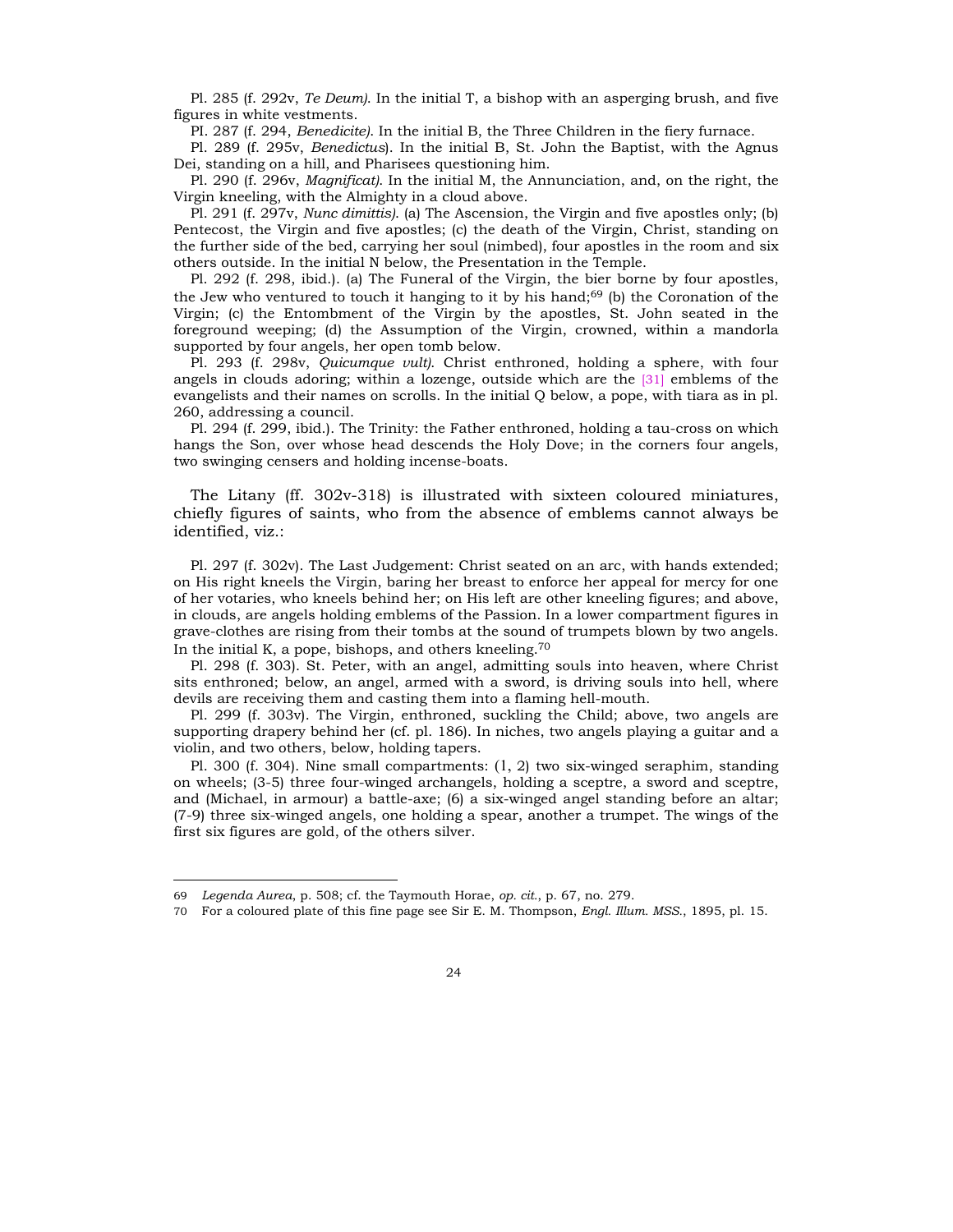Pl. 285 (f. 292v, *Te Deum)*. In the initial T, a bishop with an asperging brush, and five figures in white vestments.

PI. 287 (f. 294, *Benedicite)*. In the initial B, the Three Children in the fiery furnace.

Pl. 289 (f. 295v, *Benedictus*). In the initial B, St. John the Baptist, with the Agnus Dei, standing on a hill, and Pharisees questioning him.

Pl. 290 (f. 296v, *Magnificat)*. In the initial M, the Annunciation, and, on the right, the Virgin kneeling, with the Almighty in a cloud above.

Pl. 291 (f. 297v, *Nunc dimittis)*. (a) The Ascension, the Virgin and five apostles only; (b) Pentecost, the Virgin and five apostles; (c) the death of the Virgin, Christ, standing on the further side of the bed, carrying her soul (nimbed), four apostles in the room and six others outside. In the initial N below, the Presentation in the Temple.

Pl. 292 (f. 298, ibid.). (a) The Funeral of the Virgin, the bier borne by four apostles, the Jew who ventured to touch it hanging to it by his hand;<sup>69</sup> (b) the Coronation of the Virgin; (c) the Entombment of the Virgin by the apostles, St. John seated in the foreground weeping; (d) the Assumption of the Virgin, crowned, within a mandorla supported by four angels, her open tomb below.

Pl. 293 (f. 298v, *Quicumque vult)*. Christ enthroned, holding a sphere, with four angels in clouds adoring; within a lozenge, outside which are the [31] emblems of the evangelists and their names on scrolls. In the initial Q below, a pope, with tiara as in pl. 260, addressing a council.

Pl. 294 (f. 299, ibid.). The Trinity: the Father enthroned, holding a tau-cross on which hangs the Son, over whose head descends the Holy Dove; in the corners four angels, two swinging censers and holding incense-boats.

The Litany (ff. 302v-318) is illustrated with sixteen coloured miniatures, chiefly figures of saints, who from the absence of emblems cannot always be identified, viz.:

Pl. 297 (f. 302v). The Last Judgement: Christ seated on an arc, with hands extended; on His right kneels the Virgin, baring her breast to enforce her appeal for mercy for one of her votaries, who kneels behind her; on His left are other kneeling figures; and above, in clouds, are angels holding emblems of the Passion. In a lower compartment figures in grave-clothes are rising from their tombs at the sound of trumpets blown by two angels. In the initial K, a pope, bishops, and others kneeling.<sup>70</sup>

Pl. 298 (f. 303). St. Peter, with an angel, admitting souls into heaven, where Christ sits enthroned; below, an angel, armed with a sword, is driving souls into hell, where devils are receiving them and casting them into a flaming hell-mouth.

Pl. 299 (f. 303v). The Virgin, enthroned, suckling the Child; above, two angels are supporting drapery behind her (cf. pl. 186). In niches, two angels playing a guitar and a violin, and two others, below, holding tapers.

Pl. 300 (f. 304). Nine small compartments: (1, 2) two six-winged seraphim, standing on wheels; (3-5) three four-winged archangels, holding a sceptre, a sword and sceptre, and (Michael, in armour) a battle-axe; (6) a six-winged angel standing before an altar; (7-9) three six-winged angels, one holding a spear, another a trumpet. The wings of the first six figures are gold, of the others silver.

<sup>69</sup> *Legenda Aurea*, p. 508; cf. the Taymouth Horae, *op. cit.*, p. 67, no. 279.

<sup>70</sup> For a coloured plate of this fine page see Sir E. M. Thompson, *Engl. Illum. MSS.*, 1895, pl. 15.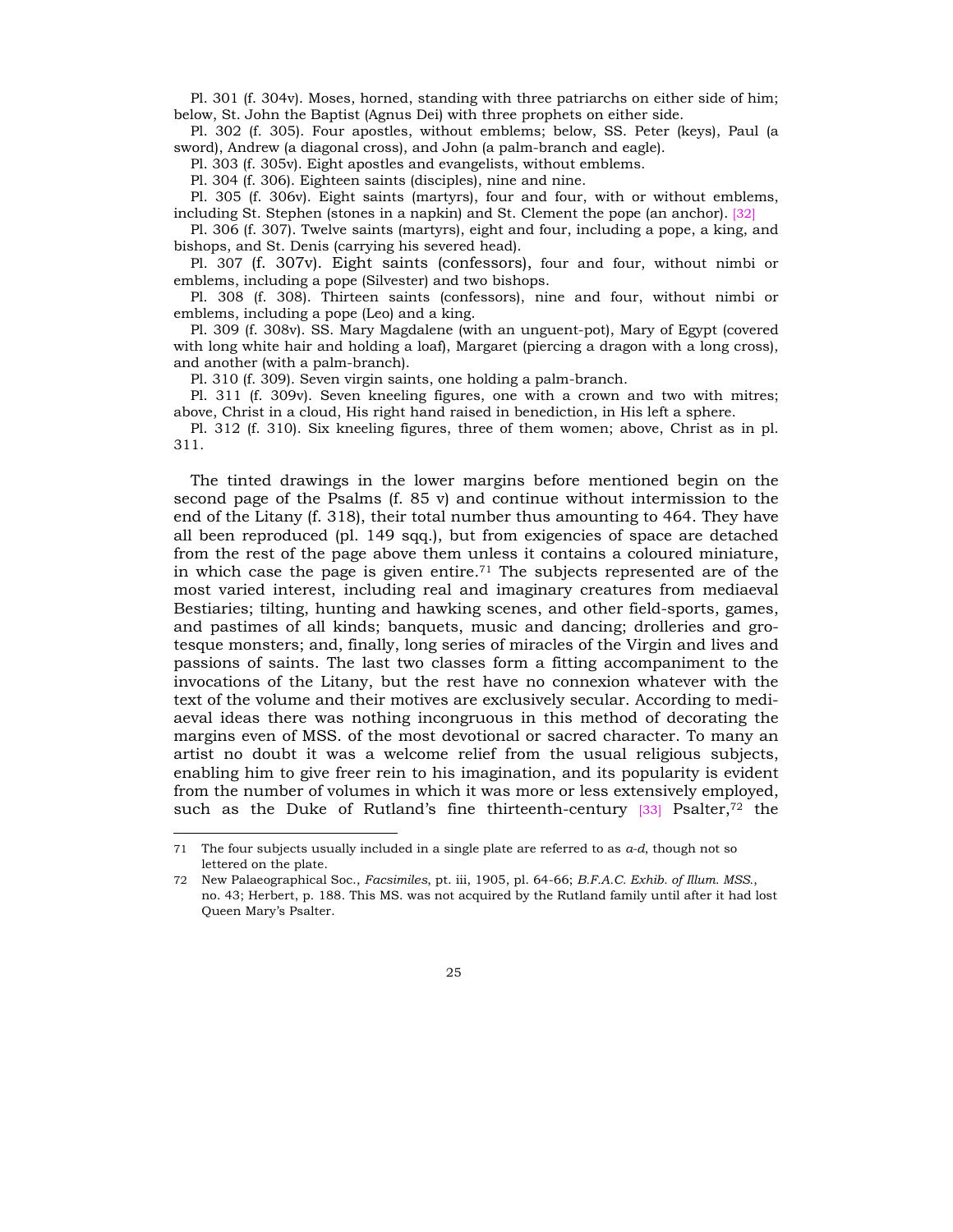Pl. 301 (f. 304v). Moses, horned, standing with three patriarchs on either side of him; below, St. John the Baptist (Agnus Dei) with three prophets on either side.

Pl. 302 (f. 305). Four apostles, without emblems; below, SS. Peter (keys), Paul (a sword), Andrew (a diagonal cross), and John (a palm-branch and eagle).

Pl. 303 (f. 305v). Eight apostles and evangelists, without emblems.

Pl. 304 (f. 306). Eighteen saints (disciples), nine and nine.

Pl. 305 (f. 306v). Eight saints (martyrs), four and four, with or without emblems, including St. Stephen (stones in a napkin) and St. Clement the pope (an anchor). [32]

Pl. 306 (f. 307). Twelve saints (martyrs), eight and four, including a pope, a king, and bishops, and St. Denis (carrying his severed head).

Pl. 307 (f. 307v). Eight saints (confessors), four and four, without nimbi or emblems, including a pope (Silvester) and two bishops.

Pl. 308 (f. 308). Thirteen saints (confessors), nine and four, without nimbi or emblems, including a pope (Leo) and a king.

Pl. 309 (f. 308v). SS. Mary Magdalene (with an unguent-pot), Mary of Egypt (covered with long white hair and holding a loaf), Margaret (piercing a dragon with a long cross), and another (with a palm-branch).

Pl. 310 (f. 309). Seven virgin saints, one holding a palm-branch.

Pl. 311 (f. 309v). Seven kneeling figures, one with a crown and two with mitres; above, Christ in a cloud, His right hand raised in benediction, in His left a sphere.

Pl. 312 (f. 310). Six kneeling figures, three of them women; above, Christ as in pl. 311.

The tinted drawings in the lower margins before mentioned begin on the second page of the Psalms (f. 85 v) and continue without intermission to the end of the Litany (f. 318), their total number thus amounting to 464. They have all been reproduced (pl. 149 sqq.), but from exigencies of space are detached from the rest of the page above them unless it contains a coloured miniature, in which case the page is given entire.<sup>71</sup> The subjects represented are of the most varied interest, including real and imaginary creatures from mediaeval Bestiaries; tilting, hunting and hawking scenes, and other field-sports, games, and pastimes of all kinds; banquets, music and dancing; drolleries and grotesque monsters; and, finally, long series of miracles of the Virgin and lives and passions of saints. The last two classes form a fitting accompaniment to the invocations of the Litany, but the rest have no connexion whatever with the text of the volume and their motives are exclusively secular. According to mediaeval ideas there was nothing incongruous in this method of decorating the margins even of MSS. of the most devotional or sacred character. To many an artist no doubt it was a welcome relief from the usual religious subjects, enabling him to give freer rein to his imagination, and its popularity is evident from the number of volumes in which it was more or less extensively employed, such as the Duke of Rutland's fine thirteenth-century  $[33]$  Psalter,<sup>72</sup> the

<sup>71</sup> The four subjects usually included in a single plate are referred to as *a-d*, though not so lettered on the plate.

<sup>72</sup> New Palaeographical Soc., *Facsimiles*, pt. iii, 1905, pl. 64-66; *B.F.A.C. Exhib. of Illum. MSS.*, no. 43; Herbert, p. 188. This MS. was not acquired by the Rutland family until after it had lost Queen Maryís Psalter.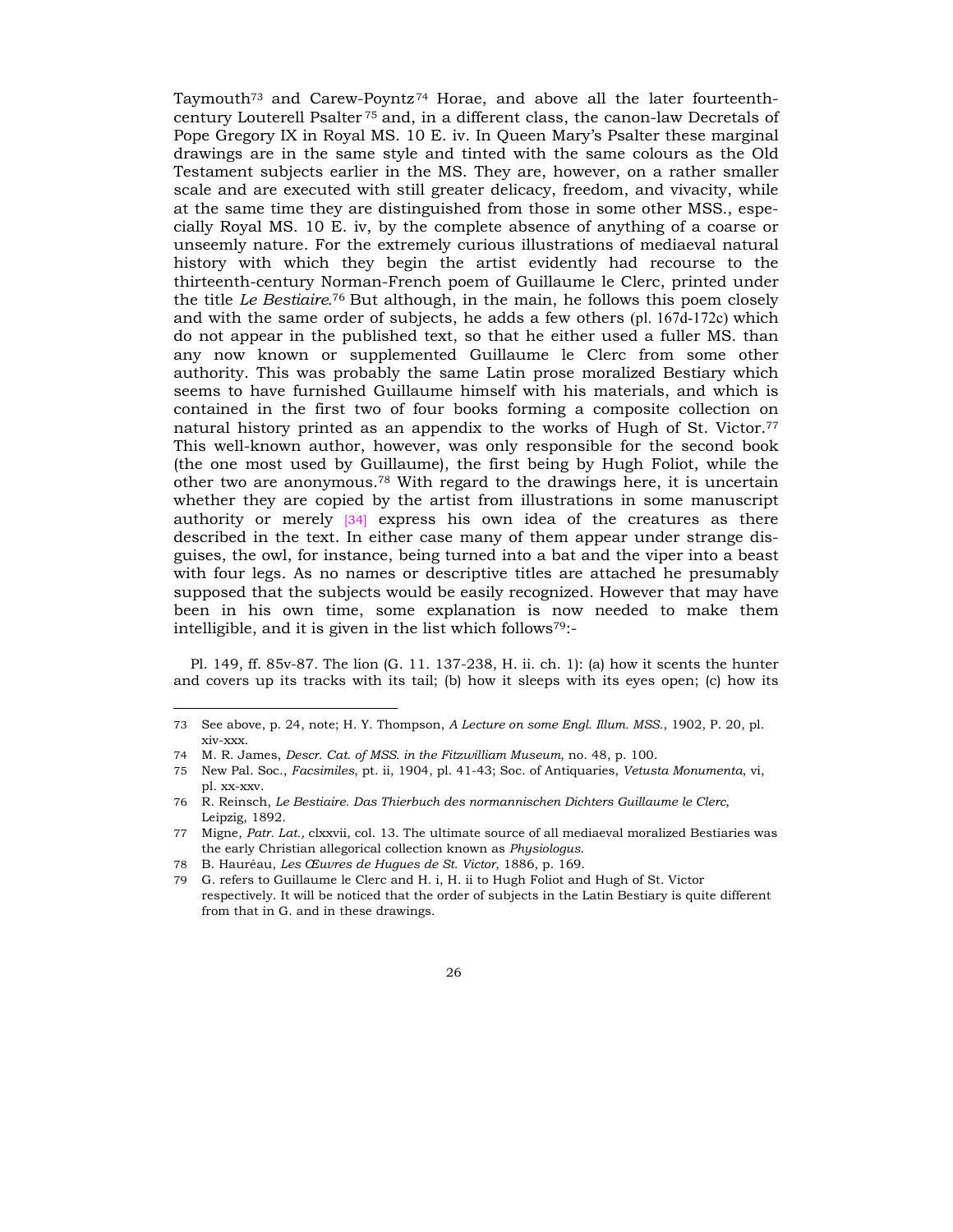Taymouth<sup> $73$ </sup> and Carew-Poyntz<sup> $74$ </sup> Horae, and above all the later fourteenthcentury Louterell Psalter 75 and, in a different class, the canon-law Decretals of Pope Gregory IX in Royal MS. 10 E. iv. In Queen Maryís Psalter these marginal drawings are in the same style and tinted with the same colours as the Old Testament subjects earlier in the MS. They are, however, on a rather smaller scale and are executed with still greater delicacy, freedom, and vivacity, while at the same time they are distinguished from those in some other MSS., especially Royal MS. 10 E. iv, by the complete absence of anything of a coarse or unseemly nature. For the extremely curious illustrations of mediaeval natural history with which they begin the artist evidently had recourse to the thirteenth-century Norman-French poem of Guillaume le Clerc, printed under the title *Le Bestiaire.*<sup>76</sup> But although, in the main, he follows this poem closely and with the same order of subjects, he adds a few others (pl. 167d-172c) which do not appear in the published text, so that he either used a fuller MS. than any now known or supplemented Guillaume le Clerc from some other authority. This was probably the same Latin prose moralized Bestiary which seems to have furnished Guillaume himself with his materials, and which is contained in the first two of four books forming a composite collection on natural history printed as an appendix to the works of Hugh of St. Victor.77 This well-known author, however, was only responsible for the second book (the one most used by Guillaume), the first being by Hugh Foliot, while the other two are anonymous.78 With regard to the drawings here, it is uncertain whether they are copied by the artist from illustrations in some manuscript authority or merely [34] express his own idea of the creatures as there described in the text. In either case many of them appear under strange disguises, the owl, for instance, being turned into a bat and the viper into a beast with four legs. As no names or descriptive titles are attached he presumably supposed that the subjects would be easily recognized. However that may have been in his own time, some explanation is now needed to make them intelligible, and it is given in the list which follows79:-

Pl. 149, ff. 85v-87. The lion (G. 11. 137-238, H. ii. ch. 1): (a) how it scents the hunter and covers up its tracks with its tail; (b) how it sleeps with its eyes open; (c) how its

<sup>73</sup> See above, p. 24, note; H. Y. Thompson, *A Lecture on some Engl. Illum. MSS.*, 1902, P. 20, pl. xiv-xxx.

<sup>74</sup> M. R. James, *Descr. Cat. of MSS. in the Fitzwilliam Museum*, no. 48, p. 100.

<sup>75</sup> New Pal. Soc., *Facsimiles*, pt. ii, 1904, pl. 41-43; Soc. of Antiquaries, *Vetusta Monumenta*, vi, pl. xx-xxv.

<sup>76</sup> R. Reinsch, *Le Bestiaire. Das Thierbuch des normannischen Dichters Guillaume le Clerc*, Leipzig, 1892.

<sup>77</sup> Migne, *Patr. Lat.,* clxxvii, col. 13. The ultimate source of all mediaeval moralized Bestiaries was the early Christian allegorical collection known as *Physiologus*.

<sup>78</sup> B. HaurÈau, *Les åuvres de Hugues de St. Victor*, 1886, p. 169.

<sup>79</sup> G. refers to Guillaume le Clerc and H. i, H. ii to Hugh Foliot and Hugh of St. Victor respectively. It will be noticed that the order of subjects in the Latin Bestiary is quite different from that in G. and in these drawings.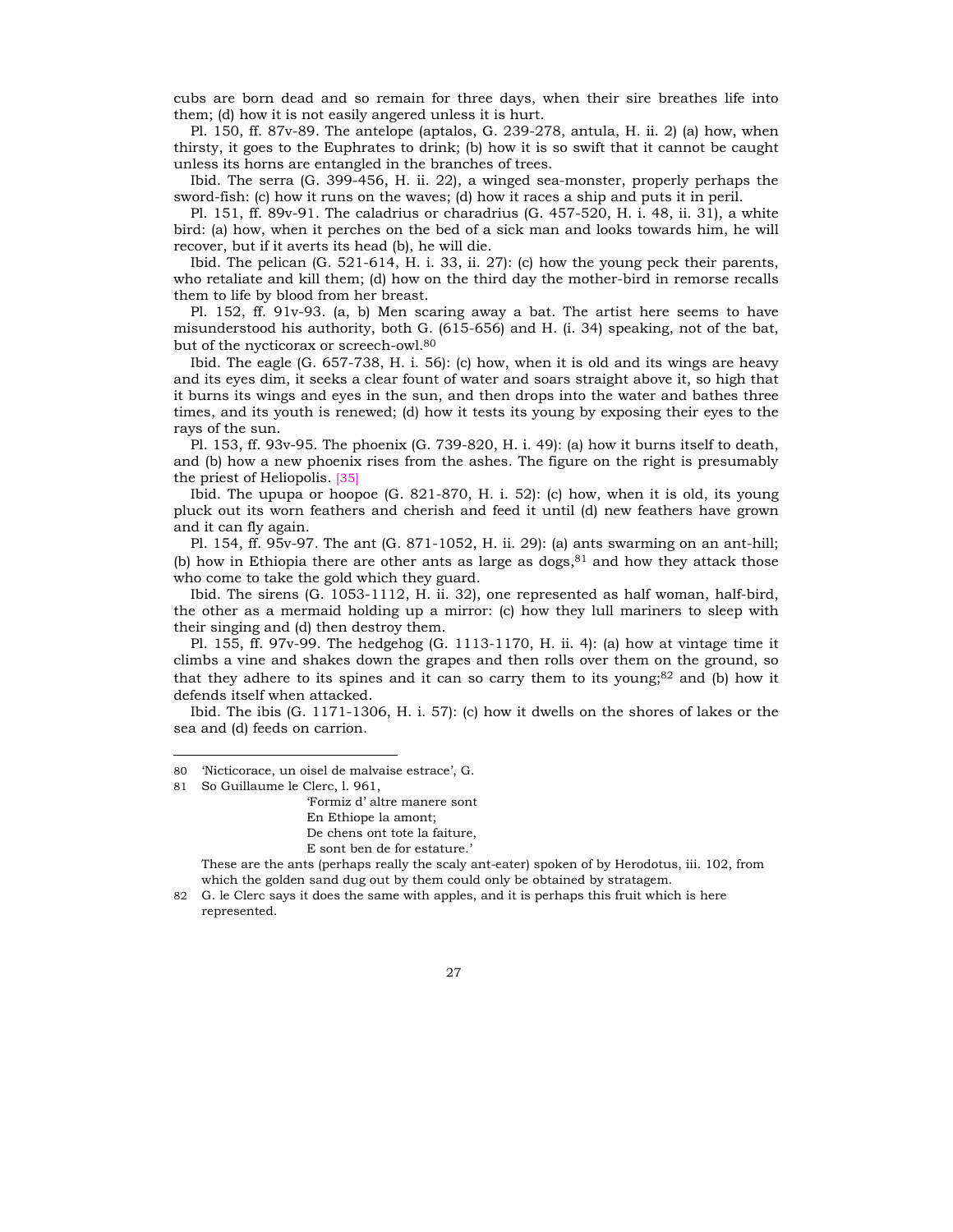cubs are born dead and so remain for three days, when their sire breathes life into them; (d) how it is not easily angered unless it is hurt.

Pl. 150, ff. 87v-89. The antelope (aptalos, G. 239-278, antula, H. ii. 2) (a) how, when thirsty, it goes to the Euphrates to drink; (b) how it is so swift that it cannot be caught unless its horns are entangled in the branches of trees.

Ibid. The serra (G. 399-456, H. ii. 22), a winged sea-monster, properly perhaps the sword-fish: (c) how it runs on the waves; (d) how it races a ship and puts it in peril.

Pl. 151, ff. 89v-91. The caladrius or charadrius (G. 457-520, H. i. 48, ii. 31), a white bird: (a) how, when it perches on the bed of a sick man and looks towards him, he will recover, but if it averts its head (b), he will die.

Ibid. The pelican (G. 521-614, H. i. 33, ii. 27): (c) how the young peck their parents, who retaliate and kill them; (d) how on the third day the mother-bird in remorse recalls them to life by blood from her breast.

Pl. 152, ff. 91v-93. (a, b) Men scaring away a bat. The artist here seems to have misunderstood his authority, both G. (615-656) and H. (i. 34) speaking, not of the bat, but of the nycticorax or screech-owl.80

Ibid. The eagle (G. 657-738, H. i. 56): (c) how, when it is old and its wings are heavy and its eyes dim, it seeks a clear fount of water and soars straight above it, so high that it burns its wings and eyes in the sun, and then drops into the water and bathes three times, and its youth is renewed; (d) how it tests its young by exposing their eyes to the rays of the sun.

Pl. 153, ff. 93v-95. The phoenix (G. 739-820, H. i. 49): (a) how it burns itself to death, and (b) how a new phoenix rises from the ashes. The figure on the right is presumably the priest of Heliopolis. [35]

Ibid. The upupa or hoopoe (G. 821-870, H. i. 52): (c) how, when it is old, its young pluck out its worn feathers and cherish and feed it until (d) new feathers have grown and it can fly again.

Pl. 154, ff. 95v-97. The ant (G. 871-1052, H. ii. 29): (a) ants swarming on an ant-hill; (b) how in Ethiopia there are other ants as large as dogs, $81$  and how they attack those who come to take the gold which they guard.

Ibid. The sirens (G. 1053-1112, H. ii. 32), one represented as half woman, half-bird, the other as a mermaid holding up a mirror: (c) how they lull mariners to sleep with their singing and (d) then destroy them.

Pl. 155, ff. 97v-99. The hedgehog (G. 1113-1170, H. ii. 4): (a) how at vintage time it climbs a vine and shakes down the grapes and then rolls over them on the ground, so that they adhere to its spines and it can so carry them to its young;<sup>82</sup> and (b) how it defends itself when attacked.

Ibid. The ibis (G. 1171-1306, H. i. 57): (c) how it dwells on the shores of lakes or the sea and (d) feeds on carrion.

l

ëFormiz dí altre manere sont En Ethiope la amont; De chens ont tote la faiture, E sont ben de for estature.'

 These are the ants (perhaps really the scaly ant-eater) spoken of by Herodotus, iii. 102, from which the golden sand dug out by them could only be obtained by stratagem.

82 G. le Clerc says it does the same with apples, and it is perhaps this fruit which is here represented.

<sup>80</sup> Wicticorace, un oisel de malvaise estrace', G.

<sup>81</sup> So Guillaume le Clerc, l. 961,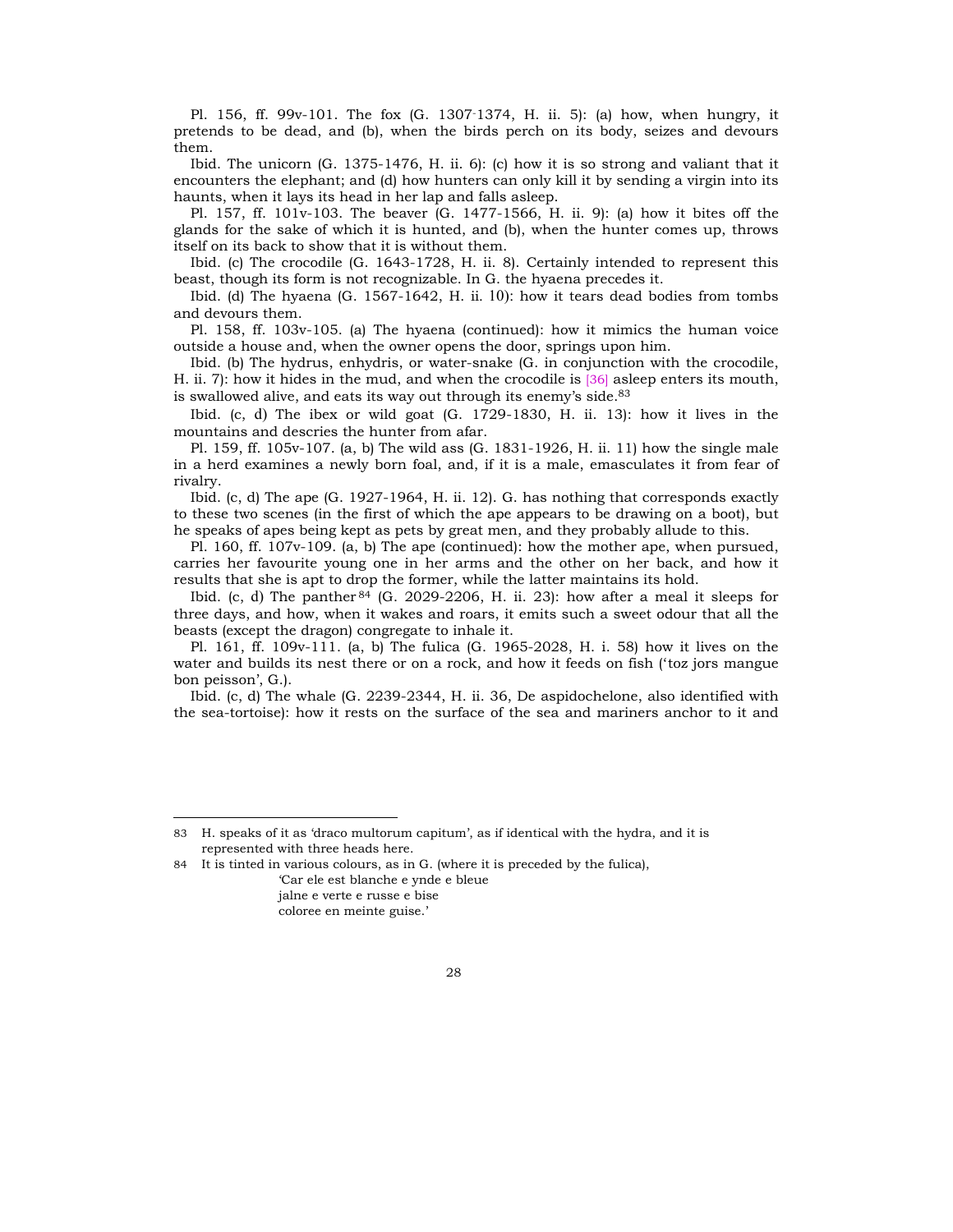Pl. 156, ff. 99v-101. The fox (G. 1307-1374, H. ii. 5): (a) how, when hungry, it pretends to be dead, and (b), when the birds perch on its body, seizes and devours them.

Ibid. The unicorn (G. 1375-1476, H. ii. 6): (c) how it is so strong and valiant that it encounters the elephant; and (d) how hunters can only kill it by sending a virgin into its haunts, when it lays its head in her lap and falls asleep.

Pl. 157, ff. 101v-103. The beaver (G. 1477-1566, H. ii. 9): (a) how it bites off the glands for the sake of which it is hunted, and (b), when the hunter comes up, throws itself on its back to show that it is without them.

Ibid. (c) The crocodile (G. 1643-1728, H. ii. 8). Certainly intended to represent this beast, though its form is not recognizable. In G. the hyaena precedes it.

Ibid. (d) The hyaena (G. 1567-1642, H. ii. 10): how it tears dead bodies from tombs and devours them.

Pl. 158, ff. 103v-105. (a) The hyaena (continued): how it mimics the human voice outside a house and, when the owner opens the door, springs upon him.

Ibid. (b) The hydrus, enhydris, or water-snake (G. in conjunction with the crocodile, H. ii. 7): how it hides in the mud, and when the crocodile is [36] asleep enters its mouth, is swallowed alive, and eats its way out through its enemy's side. $83$ 

Ibid. (c, d) The ibex or wild goat (G. 1729-1830, H. ii. 13): how it lives in the mountains and descries the hunter from afar.

Pl. 159, ff. 105v-107. (a, b) The wild ass (G. 1831-1926, H. ii. 11) how the single male in a herd examines a newly born foal, and, if it is a male, emasculates it from fear of rivalry.

Ibid. (c, d) The ape (G. 1927-1964, H. ii. 12). G. has nothing that corresponds exactly to these two scenes (in the first of which the ape appears to be drawing on a boot), but he speaks of apes being kept as pets by great men, and they probably allude to this.

Pl. 160, ff. 107v-109. (a, b) The ape (continued): how the mother ape, when pursued, carries her favourite young one in her arms and the other on her back, and how it results that she is apt to drop the former, while the latter maintains its hold.

Ibid. (c, d) The panther  $84$  (G, 2029-2206, H, ii. 23): how after a meal it sleeps for three days, and how, when it wakes and roars, it emits such a sweet odour that all the beasts (except the dragon) congregate to inhale it.

Pl. 161, ff. 109v-111. (a, b) The fulica (G. 1965-2028, H. i. 58) how it lives on the water and builds its nest there or on a rock, and how it feeds on fish ('toz jors mangue bon peisson', G.).

Ibid. (c, d) The whale (G. 2239-2344, H. ii. 36, De aspidochelone, also identified with the sea-tortoise): how it rests on the surface of the sea and mariners anchor to it and

83 H. speaks of it as 'draco multorum capitum', as if identical with the hydra, and it is represented with three heads here.

84 It is tinted in various colours, as in G. (where it is preceded by the fulica),

ëCar ele est blanche e ynde e bleue jalne e verte e russe e bise coloree en meinte guise.'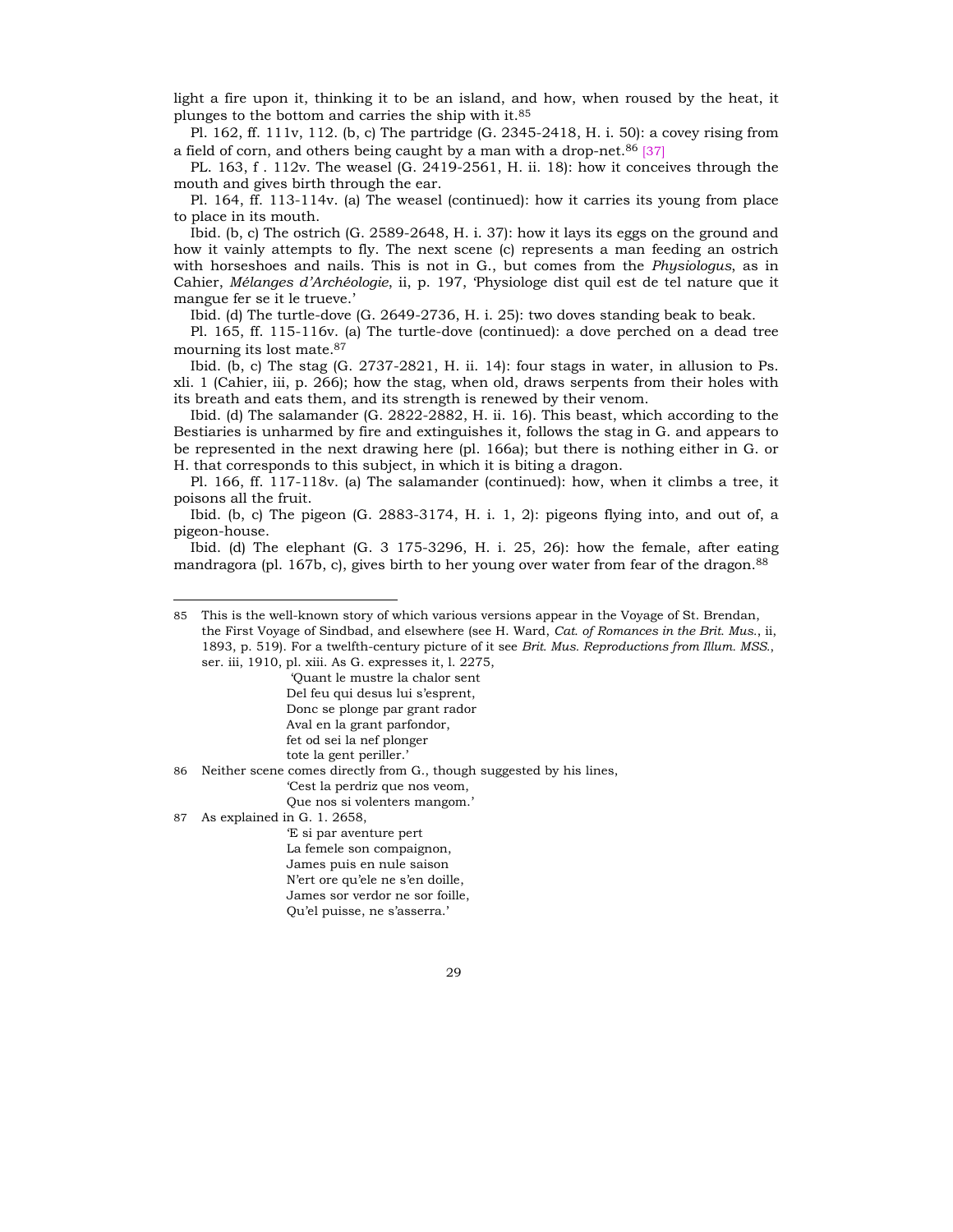light a fire upon it, thinking it to be an island, and how, when roused by the heat, it plunges to the bottom and carries the ship with it.85

Pl. 162, ff. 111v, 112. (b, c) The partridge (G. 2345-2418, H. i. 50): a covey rising from a field of corn, and others being caught by a man with a drop-net.<sup>86</sup> [37]

PL. 163, f . 112v. The weasel (G. 2419-2561, H. ii. 18): how it conceives through the mouth and gives birth through the ear.

Pl. 164, ff. 113-114v. (a) The weasel (continued): how it carries its young from place to place in its mouth.

Ibid. (b, c) The ostrich (G. 2589-2648, H. i. 37): how it lays its eggs on the ground and how it vainly attempts to fly. The next scene (c) represents a man feeding an ostrich with horseshoes and nails. This is not in G., but comes from the *Physiologus*, as in Cahier, *MÈlanges díArchÈologie*, ii, p. 197, ëPhysiologe dist quil est de tel nature que it mangue fer se it le trueve.'

Ibid. (d) The turtle-dove (G. 2649-2736, H. i. 25): two doves standing beak to beak.

Pl. 165, ff. 115-116v. (a) The turtle-dove (continued): a dove perched on a dead tree mourning its lost mate.87

Ibid. (b, c) The stag (G. 2737-2821, H. ii. 14): four stags in water, in allusion to Ps. xli. 1 (Cahier, iii, p. 266); how the stag, when old, draws serpents from their holes with its breath and eats them, and its strength is renewed by their venom.

Ibid. (d) The salamander (G. 2822-2882, H. ii. 16). This beast, which according to the Bestiaries is unharmed by fire and extinguishes it, follows the stag in G. and appears to be represented in the next drawing here (pl. 166a); but there is nothing either in G. or H. that corresponds to this subject, in which it is biting a dragon.

Pl. 166, ff. 117-118v. (a) The salamander (continued): how, when it climbs a tree, it poisons all the fruit.

Ibid. (b, c) The pigeon (G. 2883-3174, H. i. 1, 2): pigeons flying into, and out of, a pigeon-house.

Ibid. (d) The elephant (G. 3 175-3296, H. i. 25, 26): how the female, after eating mandragora (pl. 167b, c), gives birth to her young over water from fear of the dragon.<sup>88</sup>

'Ouant le mustre la chalor sent Del feu qui desus lui s'esprent, Donc se plonge par grant rador Aval en la grant parfondor, fet od sei la nef plonger

tote la gent periller.'

86 Neither scene comes directly from G., though suggested by his lines,

ëCest la perdriz que nos veom,

Que nos si volenters mangom.'

87 As explained in G. 1. 2658,

l

ëE si par aventure pert La femele son compaignon, James puis en nule saison N'ert ore qu'ele ne s'en doille. James sor verdor ne sor foille, Qu'el puisse, ne s'asserra.'

<sup>85</sup> This is the well-known story of which various versions appear in the Voyage of St. Brendan, the First Voyage of Sindbad, and elsewhere (see H. Ward, *Cat. of Romances in the Brit. Mus.*, ii, 1893, p. 519). For a twelfth-century picture of it see *Brit. Mus. Reproductions from Illum. MSS.*, ser. iii, 1910, pl. xiii. As G. expresses it, l. 2275,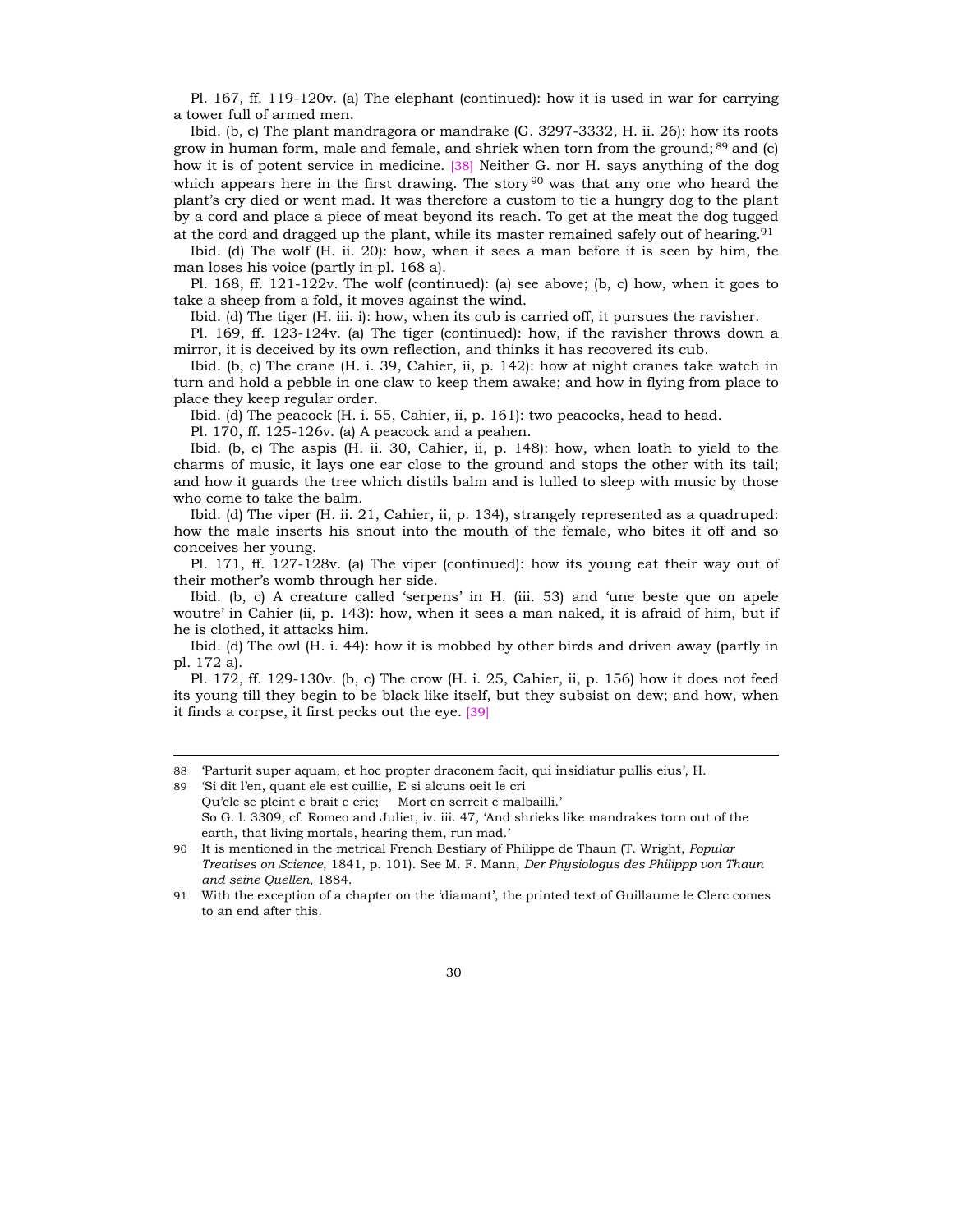Pl. 167, ff. 119-120v. (a) The elephant (continued): how it is used in war for carrying a tower full of armed men.

Ibid. (b, c) The plant mandragora or mandrake (G. 3297-3332, H. ii. 26): how its roots grow in human form, male and female, and shriek when torn from the ground;  $89$  and (c) how it is of potent service in medicine. [38] Neither G. nor H. says anything of the dog which appears here in the first drawing. The story  $90$  was that any one who heard the plantís cry died or went mad. It was therefore a custom to tie a hungry dog to the plant by a cord and place a piece of meat beyond its reach. To get at the meat the dog tugged at the cord and dragged up the plant, while its master remained safely out of hearing.  $91$ 

Ibid. (d) The wolf (H. ii. 20): how, when it sees a man before it is seen by him, the man loses his voice (partly in pl. 168 a).

Pl. 168, ff. 121-122v*.* The wolf (continued): (a) see above; (b, c) how, when it goes to take a sheep from a fold, it moves against the wind.

Ibid. (d) The tiger (H. iii. i): how, when its cub is carried off, it pursues the ravisher.

Pl. 169, ff. 123-124v. (a) The tiger (continued): how, if the ravisher throws down a mirror, it is deceived by its own reflection, and thinks it has recovered its cub.

Ibid. (b, c) The crane (H. i. 39, Cahier, ii, p. 142): how at night cranes take watch in turn and hold a pebble in one claw to keep them awake; and how in flying from place to place they keep regular order.

Ibid. (d) The peacock (H. i. 55, Cahier, ii, p. 161): two peacocks, head to head.

Pl. 170, ff. 125-126v. (a) A peacock and a peahen.

-

Ibid. (b, c) The aspis (H. ii. 30, Cahier, ii, p. 148): how, when loath to yield to the charms of music, it lays one ear close to the ground and stops the other with its tail; and how it guards the tree which distils balm and is lulled to sleep with music by those who come to take the balm.

Ibid. (d) The viper (H. ii. 21, Cahier, ii, p. 134), strangely represented as a quadruped: how the male inserts his snout into the mouth of the female, who bites it off and so conceives her young.

Pl. 171, ff. 127-128v. (a) The viper (continued): how its young eat their way out of their mother's womb through her side.

Ibid. (b, c) A creature called 'serpens' in H. (iii. 53) and 'une beste que on apele woutre' in Cahier (ii, p. 143): how, when it sees a man naked, it is afraid of him, but if he is clothed, it attacks him.

Ibid. (d) The owl (H. i. 44): how it is mobbed by other birds and driven away (partly in pl. 172 a).

Pl. 172, ff. 129-130v. (b, c) The crow (H. i. 25, Cahier, ii, p. 156) how it does not feed its young till they begin to be black like itself, but they subsist on dew; and how, when it finds a corpse, it first pecks out the eye. [39]

89 'Si dit l'en, quant ele est cuillie, E si alcuns oeit le cri Qu'ele se pleint e brait e crie; Mort en serreit e malbailli.' So G. l. 3309; cf. Romeo and Juliet, iv. iii. 47, 'And shrieks like mandrakes torn out of the earth, that living mortals, hearing them, run mad.'

<sup>88</sup> Parturit super aquam, et hoc propter draconem facit, qui insidiatur pullis eius', H.

<sup>90</sup> It is mentioned in the metrical French Bestiary of Philippe de Thaun (T. Wright, *Popular Treatises on Science*, 1841, p. 101). See M. F. Mann, *Der Physiologus des Philippp von Thaun and seine Quellen*, 1884.

<sup>91</sup> With the exception of a chapter on the 'diamant', the printed text of Guillaume le Clerc comes to an end after this.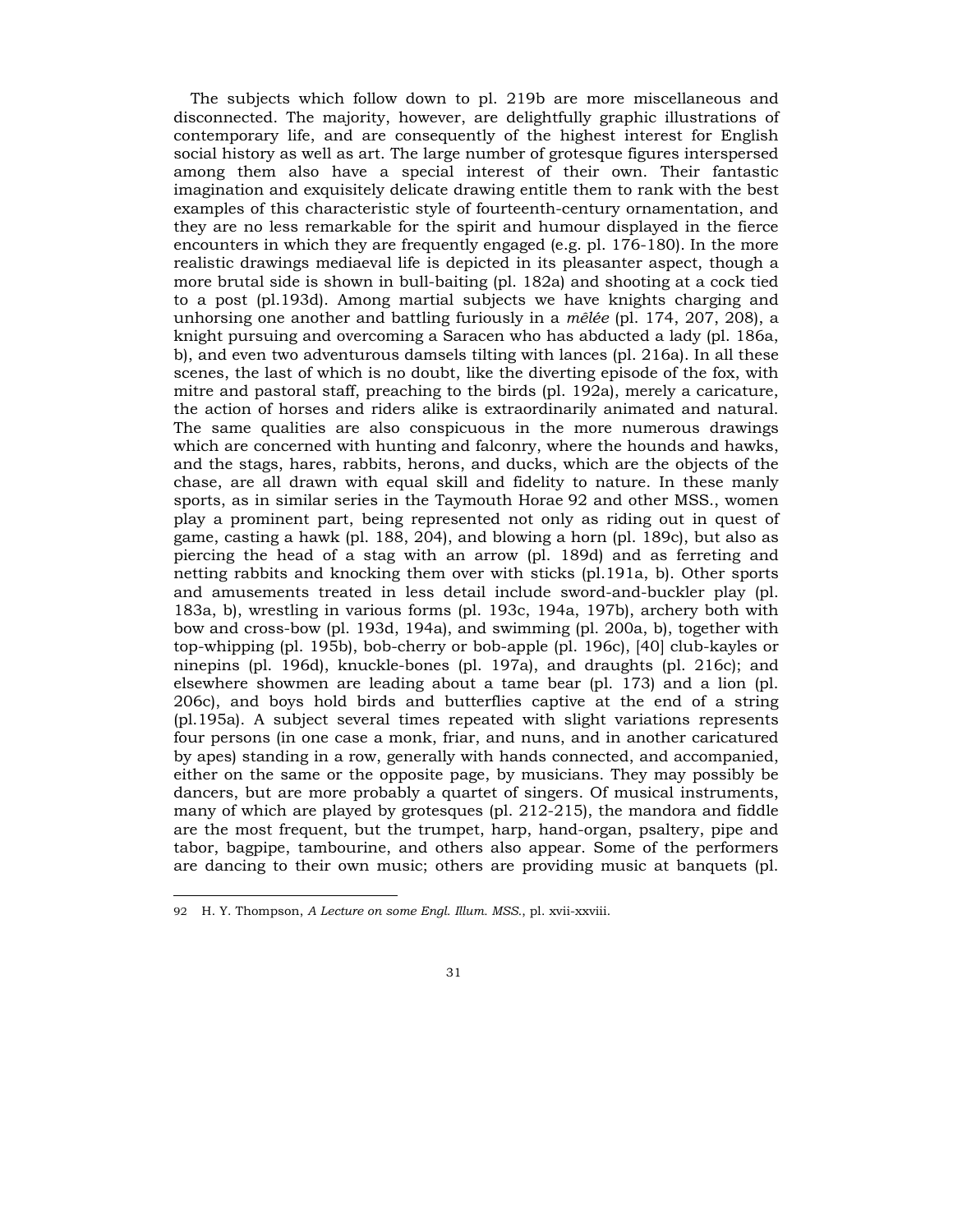The subjects which follow down to pl. 219b are more miscellaneous and disconnected. The majority, however, are delightfully graphic illustrations of contemporary life, and are consequently of the highest interest for English social history as well as art. The large number of grotesque figures interspersed among them also have a special interest of their own. Their fantastic imagination and exquisitely delicate drawing entitle them to rank with the best examples of this characteristic style of fourteenth-century ornamentation, and they are no less remarkable for the spirit and humour displayed in the fierce encounters in which they are frequently engaged (e.g. pl. 176-180). In the more realistic drawings mediaeval life is depicted in its pleasanter aspect, though a more brutal side is shown in bull-baiting (pl. 182a) and shooting at a cock tied to a post (pl.193d). Among martial subjects we have knights charging and unhorsing one another and battling furiously in a *mêlée* (pl. 174, 207, 208), a knight pursuing and overcoming a Saracen who has abducted a lady (pl. 186a, b), and even two adventurous damsels tilting with lances (pl. 216a). In all these scenes, the last of which is no doubt, like the diverting episode of the fox, with mitre and pastoral staff, preaching to the birds (pl. 192a), merely a caricature, the action of horses and riders alike is extraordinarily animated and natural. The same qualities are also conspicuous in the more numerous drawings which are concerned with hunting and falconry, where the hounds and hawks, and the stags, hares, rabbits, herons, and ducks, which are the objects of the chase, are all drawn with equal skill and fidelity to nature. In these manly sports, as in similar series in the Taymouth Horae 92 and other MSS., women play a prominent part, being represented not only as riding out in quest of game, casting a hawk (pl. 188, 204), and blowing a horn (pl. 189c), but also as piercing the head of a stag with an arrow (pl. 189d) and as ferreting and netting rabbits and knocking them over with sticks (pl.191a, b). Other sports and amusements treated in less detail include sword-and-buckler play (pl. 183a, b), wrestling in various forms (pl. 193c, 194a, 197b), archery both with bow and cross-bow (pl. 193d, 194a), and swimming (pl. 200a, b), together with top-whipping (pl. 195b), bob-cherry or bob-apple (pl. 196c), [40] club-kayles or ninepins (pl. 196d), knuckle-bones (pl. 197a), and draughts (pl. 216c); and elsewhere showmen are leading about a tame bear (pl. 173) and a lion (pl. 206c), and boys hold birds and butterflies captive at the end of a string (pl.195a). A subject several times repeated with slight variations represents four persons (in one case a monk, friar, and nuns, and in another caricatured by apes) standing in a row, generally with hands connected, and accompanied, either on the same or the opposite page, by musicians. They may possibly be dancers, but are more probably a quartet of singers. Of musical instruments, many of which are played by grotesques (pl. 212-215), the mandora and fiddle are the most frequent, but the trumpet, harp, hand-organ, psaltery, pipe and tabor, bagpipe, tambourine, and others also appear. Some of the performers are dancing to their own music; others are providing music at banquets (pl.

<sup>92</sup> H. Y. Thompson, *A Lecture on some Engl. Illum. MSS.*, pl. xvii-xxviii.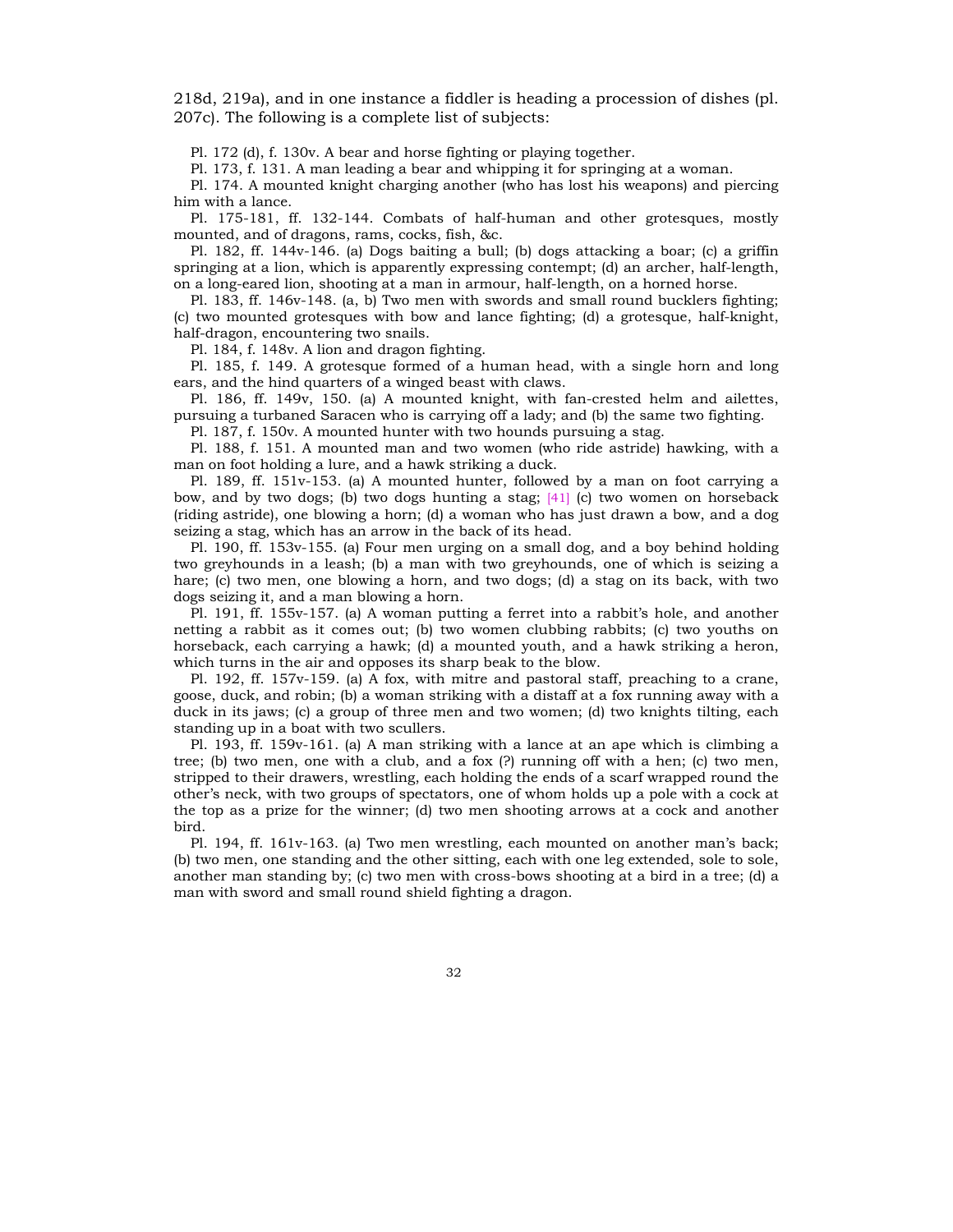218d, 219a), and in one instance a fiddler is heading a procession of dishes (pl. 207c). The following is a complete list of subjects:

Pl. 172 (d), f. 130v. A bear and horse fighting or playing together.

Pl. 173, f. 131. A man leading a bear and whipping it for springing at a woman.

Pl. 174. A mounted knight charging another (who has lost his weapons) and piercing him with a lance.

Pl. 175-181, ff. 132-144. Combats of half-human and other grotesques, mostly mounted, and of dragons, rams, cocks, fish, &c.

Pl. 182, ff. 144v-146. (a) Dogs baiting a bull; (b) dogs attacking a boar; (c) a griffin springing at a lion, which is apparently expressing contempt; (d) an archer, half-length, on a long-eared lion, shooting at a man in armour, half-length, on a horned horse.

Pl. 183, ff. 146v-148. (a, b) Two men with swords and small round bucklers fighting; (c) two mounted grotesques with bow and lance fighting; (d) a grotesque, half-knight, half-dragon, encountering two snails.

Pl. 184, f. 148v. A lion and dragon fighting.

Pl. 185, f. 149. A grotesque formed of a human head, with a single horn and long ears, and the hind quarters of a winged beast with claws.

Pl. 186, ff. 149v, 150. (a) A mounted knight, with fan-crested helm and ailettes, pursuing a turbaned Saracen who is carrying off a lady; and (b) the same two fighting.

Pl. 187, f. 150v. A mounted hunter with two hounds pursuing a stag.

Pl. 188, f. 151. A mounted man and two women (who ride astride) hawking, with a man on foot holding a lure, and a hawk striking a duck.

Pl. 189, ff. 151v-153. (a) A mounted hunter, followed by a man on foot carrying a bow, and by two dogs; (b) two dogs hunting a stag;  $[41]$  (c) two women on horseback (riding astride), one blowing a horn; (d) a woman who has just drawn a bow, and a dog seizing a stag, which has an arrow in the back of its head.

Pl. 190, ff. 153v-155. (a) Four men urging on a small dog, and a boy behind holding two greyhounds in a leash; (b) a man with two greyhounds, one of which is seizing a hare; (c) two men, one blowing a horn, and two dogs; (d) a stag on its back, with two dogs seizing it, and a man blowing a horn.

Pl. 191, ff. 155v-157. (a) A woman putting a ferret into a rabbitís hole, and another netting a rabbit as it comes out; (b) two women clubbing rabbits; (c) two youths on horseback, each carrying a hawk; (d) a mounted youth, and a hawk striking a heron, which turns in the air and opposes its sharp beak to the blow.

Pl. 192, ff. 157v-159. (a) A fox, with mitre and pastoral staff, preaching to a crane, goose, duck, and robin; (b) a woman striking with a distaff at a fox running away with a duck in its jaws; (c) a group of three men and two women; (d) two knights tilting, each standing up in a boat with two scullers.

Pl. 193, ff. 159v-161. (a) A man striking with a lance at an ape which is climbing a tree; (b) two men, one with a club, and a fox (?) running off with a hen; (c) two men, stripped to their drawers, wrestling, each holding the ends of a scarf wrapped round the otherís neck, with two groups of spectators, one of whom holds up a pole with a cock at the top as a prize for the winner; (d) two men shooting arrows at a cock and another bird.

Pl. 194, ff. 161v-163. (a) Two men wrestling, each mounted on another manís back; (b) two men, one standing and the other sitting, each with one leg extended, sole to sole, another man standing by; (c) two men with cross-bows shooting at a bird in a tree; (d) a man with sword and small round shield fighting a dragon.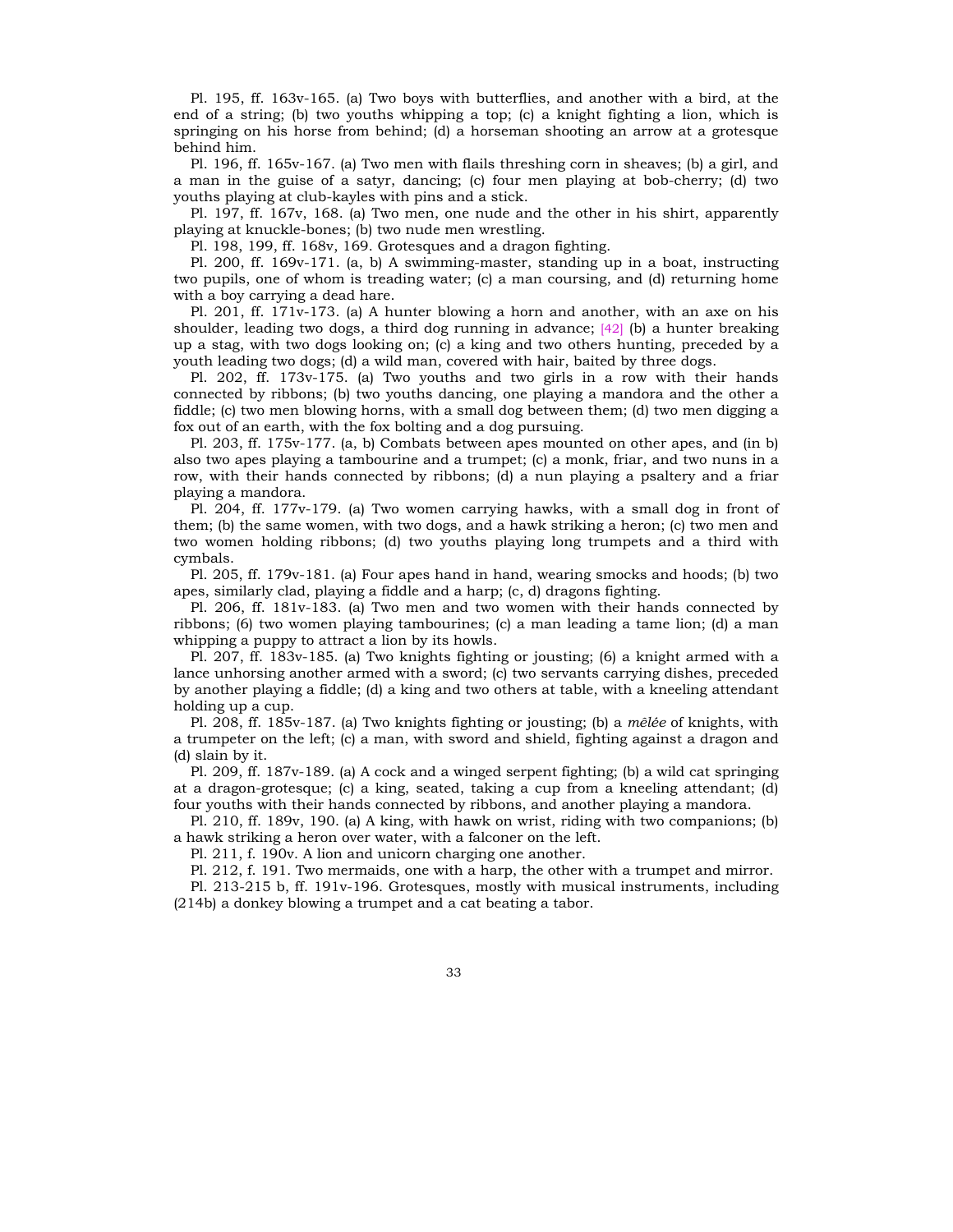Pl. 195, ff. 163v-165. (a) Two boys with butterflies, and another with a bird, at the end of a string; (b) two youths whipping a top; (c) a knight fighting a lion, which is springing on his horse from behind; (d) a horseman shooting an arrow at a grotesque behind him.

Pl. 196, ff. 165v-167. (a) Two men with flails threshing corn in sheaves; (b) a girl, and a man in the guise of a satyr, dancing; (c) four men playing at bob-cherry; (d) two youths playing at club-kayles with pins and a stick.

Pl. 197, ff. 167v, 168. (a) Two men, one nude and the other in his shirt, apparently playing at knuckle-bones; (b) two nude men wrestling.

Pl. 198, 199, ff. 168v, 169. Grotesques and a dragon fighting.

Pl. 200, ff. 169v-171. (a, b) A swimming-master, standing up in a boat, instructing two pupils, one of whom is treading water; (c) a man coursing, and (d) returning home with a boy carrying a dead hare.

Pl. 201, ff. 171v-173. (a) A hunter blowing a horn and another, with an axe on his shoulder, leading two dogs, a third dog running in advance; [42] (b) a hunter breaking up a stag, with two dogs looking on; (c) a king and two others hunting, preceded by a youth leading two dogs; (d) a wild man, covered with hair, baited by three dogs.

Pl. 202, ff. 173v-175. (a) Two youths and two girls in a row with their hands connected by ribbons; (b) two youths dancing, one playing a mandora and the other a fiddle; (c) two men blowing horns, with a small dog between them; (d) two men digging a fox out of an earth, with the fox bolting and a dog pursuing.

Pl. 203, ff. 175v-177. (a, b) Combats between apes mounted on other apes, and (in b) also two apes playing a tambourine and a trumpet; (c) a monk, friar, and two nuns in a row, with their hands connected by ribbons; (d) a nun playing a psaltery and a friar playing a mandora.

Pl. 204, ff. 177v-179. (a) Two women carrying hawks, with a small dog in front of them; (b) the same women, with two dogs, and a hawk striking a heron; (c) two men and two women holding ribbons; (d) two youths playing long trumpets and a third with cymbals.

Pl. 205, ff. 179v-181. (a) Four apes hand in hand, wearing smocks and hoods; (b) two apes, similarly clad, playing a fiddle and a harp; (c, d) dragons fighting.

Pl. 206, ff. 181v-183. (a) Two men and two women with their hands connected by ribbons; (6) two women playing tambourines; (c) a man leading a tame lion; (d) a man whipping a puppy to attract a lion by its howls.

Pl. 207, ff. 183v-185. (a) Two knights fighting or jousting; (6) a knight armed with a lance unhorsing another armed with a sword; (c) two servants carrying dishes, preceded by another playing a fiddle; (d) a king and two others at table, with a kneeling attendant holding up a cup.

Pl. 208, ff. 185v-187. (a) Two knights fighting or jousting; (b) a *mêlée* of knights, with a trumpeter on the left; (c) a man, with sword and shield, fighting against a dragon and (d) slain by it.

Pl. 209, ff. 187v-189. (a) A cock and a winged serpent fighting; (b) a wild cat springing at a dragon-grotesque; (c) a king, seated, taking a cup from a kneeling attendant; (d) four youths with their hands connected by ribbons, and another playing a mandora.

Pl. 210, ff. 189v, 190. (a) A king, with hawk on wrist, riding with two companions; (b) a hawk striking a heron over water, with a falconer on the left.

Pl. 211, f. 190v. A lion and unicorn charging one another.

Pl. 212, f. 191. Two mermaids, one with a harp, the other with a trumpet and mirror.

Pl. 213-215 b, ff. 191v-196. Grotesques, mostly with musical instruments, including (214b) a donkey blowing a trumpet and a cat beating a tabor.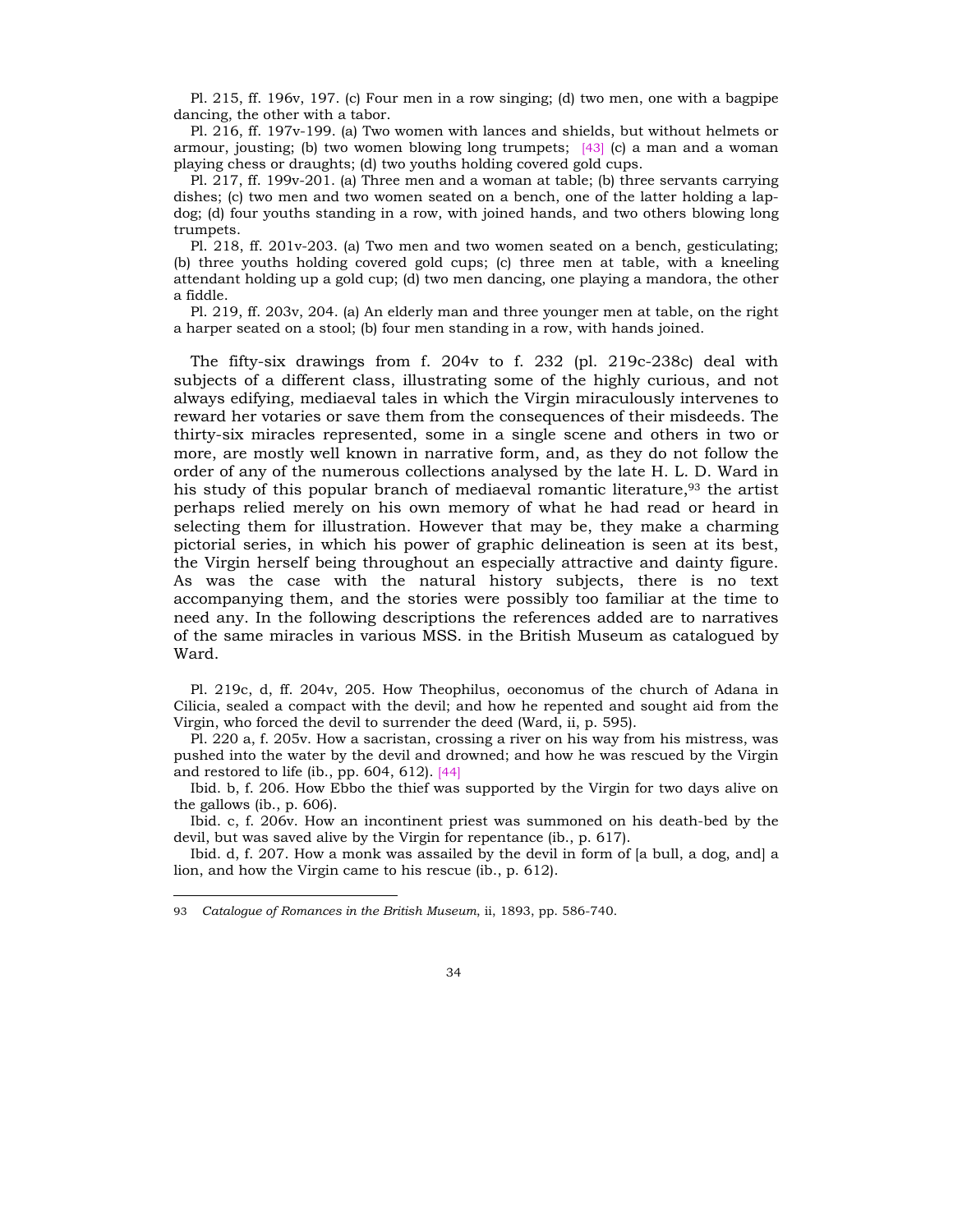Pl. 215, ff. 196v, 197. (c) Four men in a row singing; (d) two men, one with a bagpipe dancing, the other with a tabor.

Pl. 216, ff. 197v-199. (a) Two women with lances and shields, but without helmets or armour, jousting; (b) two women blowing long trumpets; [43] (c) a man and a woman playing chess or draughts; (d) two youths holding covered gold cups.

Pl. 217, ff. 199v-201. (a) Three men and a woman at table; (b) three servants carrying dishes; (c) two men and two women seated on a bench, one of the latter holding a lapdog; (d) four youths standing in a row, with joined hands, and two others blowing long trumpets.

Pl. 218, ff. 201v-203. (a) Two men and two women seated on a bench, gesticulating; (b) three youths holding covered gold cups; (c) three men at table, with a kneeling attendant holding up a gold cup; (d) two men dancing, one playing a mandora, the other a fiddle.

Pl. 219, ff. 203v, 204. (a) An elderly man and three younger men at table, on the right a harper seated on a stool; (b) four men standing in a row, with hands joined.

The fifty-six drawings from f. 204v to f. 232 (pl. 219c-238c) deal with subjects of a different class, illustrating some of the highly curious, and not always edifying, mediaeval tales in which the Virgin miraculously intervenes to reward her votaries or save them from the consequences of their misdeeds. The thirty-six miracles represented, some in a single scene and others in two or more, are mostly well known in narrative form, and, as they do not follow the order of any of the numerous collections analysed by the late H. L. D. Ward in his study of this popular branch of mediaeval romantic literature,93 the artist perhaps relied merely on his own memory of what he had read or heard in selecting them for illustration. However that may be, they make a charming pictorial series, in which his power of graphic delineation is seen at its best, the Virgin herself being throughout an especially attractive and dainty figure. As was the case with the natural history subjects, there is no text accompanying them, and the stories were possibly too familiar at the time to need any. In the following descriptions the references added are to narratives of the same miracles in various MSS. in the British Museum as catalogued by Ward.

Pl. 219c, d, ff. 204v, 205. How Theophilus, oeconomus of the church of Adana in Cilicia, sealed a compact with the devil; and how he repented and sought aid from the Virgin, who forced the devil to surrender the deed (Ward, ii, p. 595).

Pl. 220 a, f. 205v. How a sacristan, crossing a river on his way from his mistress, was pushed into the water by the devil and drowned; and how he was rescued by the Virgin and restored to life (ib., pp.  $604$ ,  $612$ ). [44]

Ibid. b, f. 206. How Ebbo the thief was supported by the Virgin for two days alive on the gallows (ib., p. 606).

Ibid. c, f. 206v. How an incontinent priest was summoned on his death-bed by the devil, but was saved alive by the Virgin for repentance (ib., p. 617).

Ibid. d, f. 207. How a monk was assailed by the devil in form of [a bull, a dog, and] a lion, and how the Virgin came to his rescue (ib., p. 612).

<sup>93</sup> *Catalogue of Romances in the British Museum*, ii, 1893, pp. 586-740.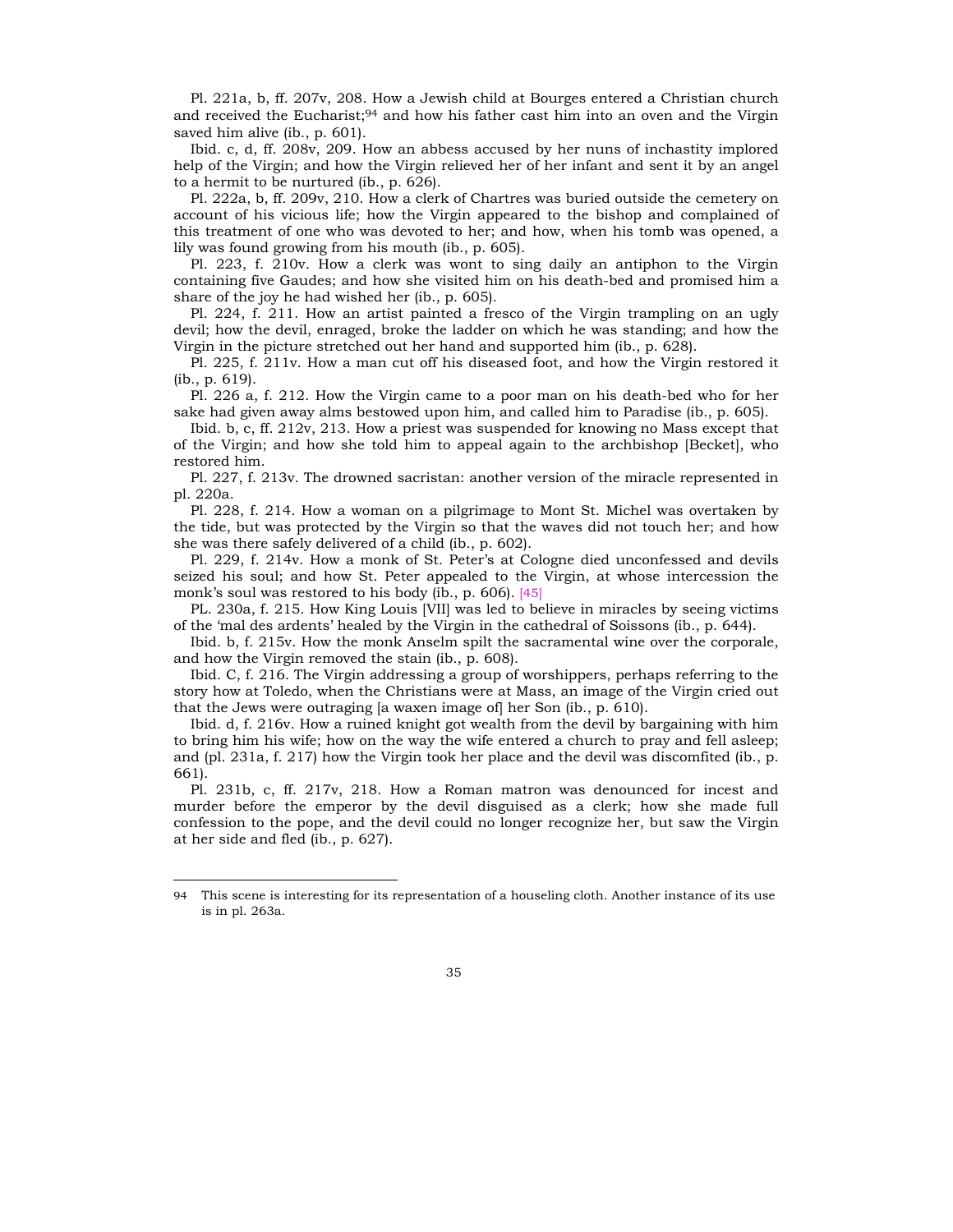Pl. 221a, b, ff. 207v, 208. How a Jewish child at Bourges entered a Christian church and received the Eucharist;  $94$  and how his father cast him into an oven and the Virgin saved him alive (ib., p. 601).

Ibid. c, d, ff. 208v, 209. How an abbess accused by her nuns of inchastity implored help of the Virgin; and how the Virgin relieved her of her infant and sent it by an angel to a hermit to be nurtured (ib., p. 626).

Pl. 222a, b, ff. 209v, 210. How a clerk of Chartres was buried outside the cemetery on account of his vicious life; how the Virgin appeared to the bishop and complained of this treatment of one who was devoted to her; and how, when his tomb was opened, a lily was found growing from his mouth (ib., p. 605).

Pl. 223, f. 210v. How a clerk was wont to sing daily an antiphon to the Virgin containing five Gaudes; and how she visited him on his death-bed and promised him a share of the joy he had wished her (ib., p. 605).

Pl. 224, f. 211. How an artist painted a fresco of the Virgin trampling on an ugly devil; how the devil, enraged, broke the ladder on which he was standing; and how the Virgin in the picture stretched out her hand and supported him (ib., p. 628).

Pl. 225, f. 211v. How a man cut off his diseased foot, and how the Virgin restored it (ib., p. 619).

Pl. 226 a, f. 212. How the Virgin came to a poor man on his death-bed who for her sake had given away alms bestowed upon him, and called him to Paradise (ib., p. 605).

Ibid. b, c, ff. 212v, 213. How a priest was suspended for knowing no Mass except that of the Virgin; and how she told him to appeal again to the archbishop [Becket], who restored him.

Pl. 227, f. 213v. The drowned sacristan: another version of the miracle represented in pl. 220a.

Pl. 228, f. 214. How a woman on a pilgrimage to Mont St. Michel was overtaken by the tide, but was protected by the Virgin so that the waves did not touch her; and how she was there safely delivered of a child (ib., p. 602).

Pl. 229, f. 214v. How a monk of St. Peterís at Cologne died unconfessed and devils seized his soul; and how St. Peter appealed to the Virgin, at whose intercession the monk's soul was restored to his body (ib., p. 606). [45]

PL. 230a, f. 215. How King Louis [VII] was led to believe in miracles by seeing victims of the ëmal des ardentsí healed by the Virgin in the cathedral of Soissons (ib., p. 644).

Ibid. b, f. 215v. How the monk Anselm spilt the sacramental wine over the corporale, and how the Virgin removed the stain (ib., p. 608).

Ibid. C, f. 216. The Virgin addressing a group of worshippers, perhaps referring to the story how at Toledo, when the Christians were at Mass, an image of the Virgin cried out that the Jews were outraging [a waxen image of] her Son (ib., p. 610).

Ibid. d, f. 216v. How a ruined knight got wealth from the devil by bargaining with him to bring him his wife; how on the way the wife entered a church to pray and fell asleep; and (pl. 231a, f. 217) how the Virgin took her place and the devil was discomfited (ib., p. 661).

Pl. 231b, c, ff. 217v, 218. How a Roman matron was denounced for incest and murder before the emperor by the devil disguised as a clerk; how she made full confession to the pope, and the devil could no longer recognize her, but saw the Virgin at her side and fled (ib., p. 627).

<sup>94</sup> This scene is interesting for its representation of a houseling cloth. Another instance of its use is in pl. 263a.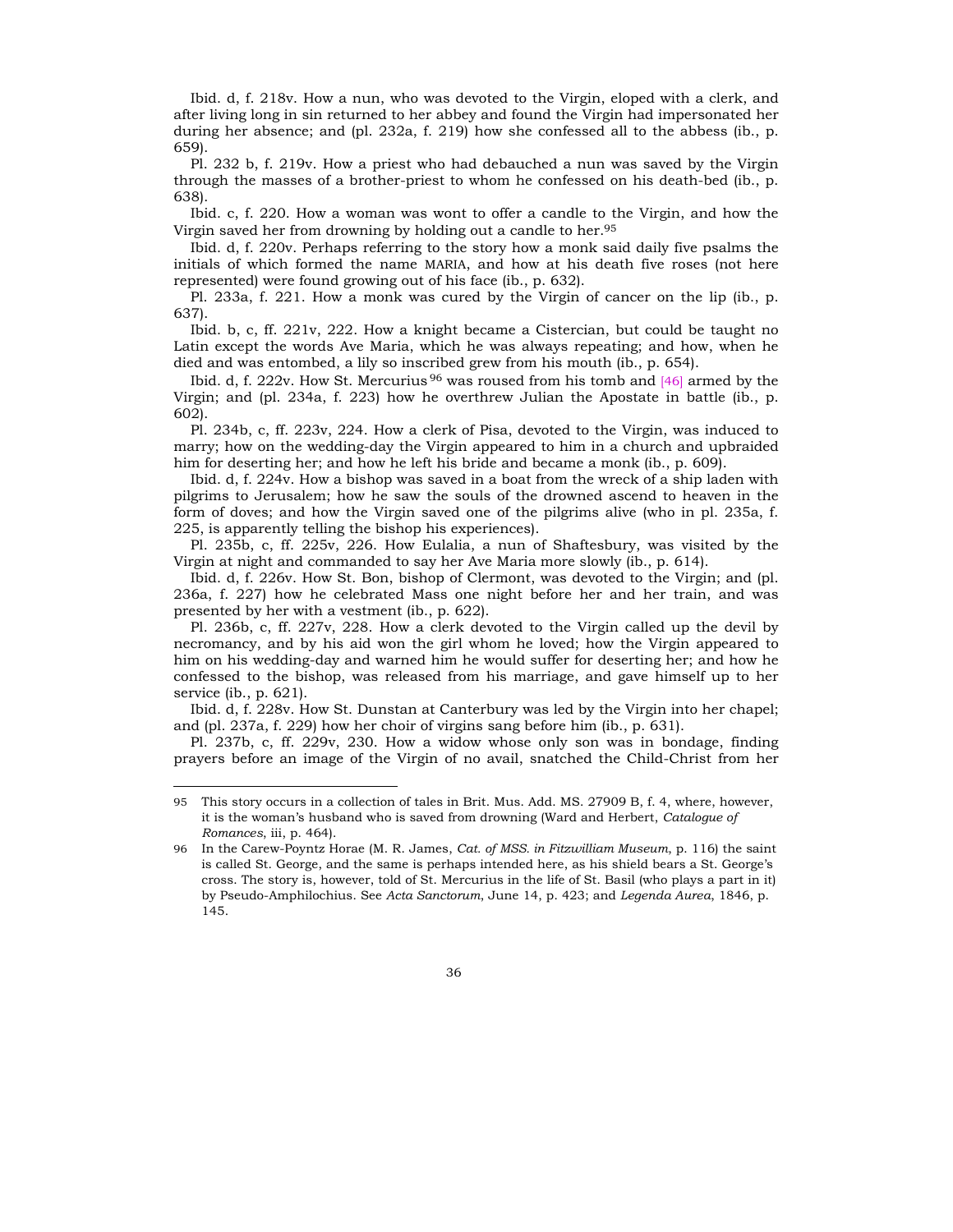Ibid. d, f. 218v. How a nun, who was devoted to the Virgin, eloped with a clerk, and after living long in sin returned to her abbey and found the Virgin had impersonated her during her absence; and (pl. 232a, f. 219) how she confessed all to the abbess (ib., p. 659).

Pl. 232 b, f. 219v. How a priest who had debauched a nun was saved by the Virgin through the masses of a brother-priest to whom he confessed on his death-bed (ib., p. 638).

Ibid. c, f. 220. How a woman was wont to offer a candle to the Virgin, and how the Virgin saved her from drowning by holding out a candle to her.95

Ibid. d, f. 220v. Perhaps referring to the story how a monk said daily five psalms the initials of which formed the name MARIA, and how at his death five roses (not here represented) were found growing out of his face (ib., p. 632).

Pl. 233a, f. 221. How a monk was cured by the Virgin of cancer on the lip (ib., p. 637).

Ibid. b, c, ff. 221v, 222. How a knight became a Cistercian, but could be taught no Latin except the words Ave Maria, which he was always repeating; and how, when he died and was entombed, a lily so inscribed grew from his mouth (ib., p. 654).

Ibid. d, f. 222v. How St. Mercurius <sup>96</sup> was roused from his tomb and [46] armed by the Virgin; and (pl. 234a, f. 223) how he overthrew Julian the Apostate in battle (ib., p. 602).

Pl. 234b, c, ff. 223v, 224. How a clerk of Pisa, devoted to the Virgin, was induced to marry; how on the wedding-day the Virgin appeared to him in a church and upbraided him for deserting her; and how he left his bride and became a monk (ib., p. 609).

Ibid. d, f. 224v. How a bishop was saved in a boat from the wreck of a ship laden with pilgrims to Jerusalem; how he saw the souls of the drowned ascend to heaven in the form of doves; and how the Virgin saved one of the pilgrims alive (who in pl. 235a, f. 225, is apparently telling the bishop his experiences).

Pl. 235b, c, ff. 225v, 226. How Eulalia, a nun of Shaftesbury, was visited by the Virgin at night and commanded to say her Ave Maria more slowly (ib., p. 614).

Ibid. d, f. 226v. How St. Bon, bishop of Clermont, was devoted to the Virgin; and (pl. 236a, f. 227) how he celebrated Mass one night before her and her train, and was presented by her with a vestment (ib., p. 622).

Pl. 236b, c, ff. 227v, 228. How a clerk devoted to the Virgin called up the devil by necromancy, and by his aid won the girl whom he loved; how the Virgin appeared to him on his wedding-day and warned him he would suffer for deserting her; and how he confessed to the bishop, was released from his marriage, and gave himself up to her service (ib., p. 621).

Ibid. d, f. 228v. How St. Dunstan at Canterbury was led by the Virgin into her chapel; and (pl. 237a, f. 229) how her choir of virgins sang before him (ib., p. 631).

Pl. 237b, c, ff. 229v, 230. How a widow whose only son was in bondage, finding prayers before an image of the Virgin of no avail, snatched the Child-Christ from her

<sup>95</sup> This story occurs in a collection of tales in Brit. Mus. Add. MS. 27909 B, f. 4, where, however, it is the womanís husband who is saved from drowning (Ward and Herbert, *Catalogue of Romances*, iii, p. 464).

<sup>96</sup> In the Carew-Poyntz Horae (M. R. James, *Cat. of MSS. in Fitzwilliam Museum*, p. 116) the saint is called St. George, and the same is perhaps intended here, as his shield bears a St. George's cross. The story is, however, told of St. Mercurius in the life of St. Basil (who plays a part in it) by Pseudo-Amphilochius. See *Acta Sanctorum*, June 14, p. 423; and *Legenda Aurea*, 1846, p. 145.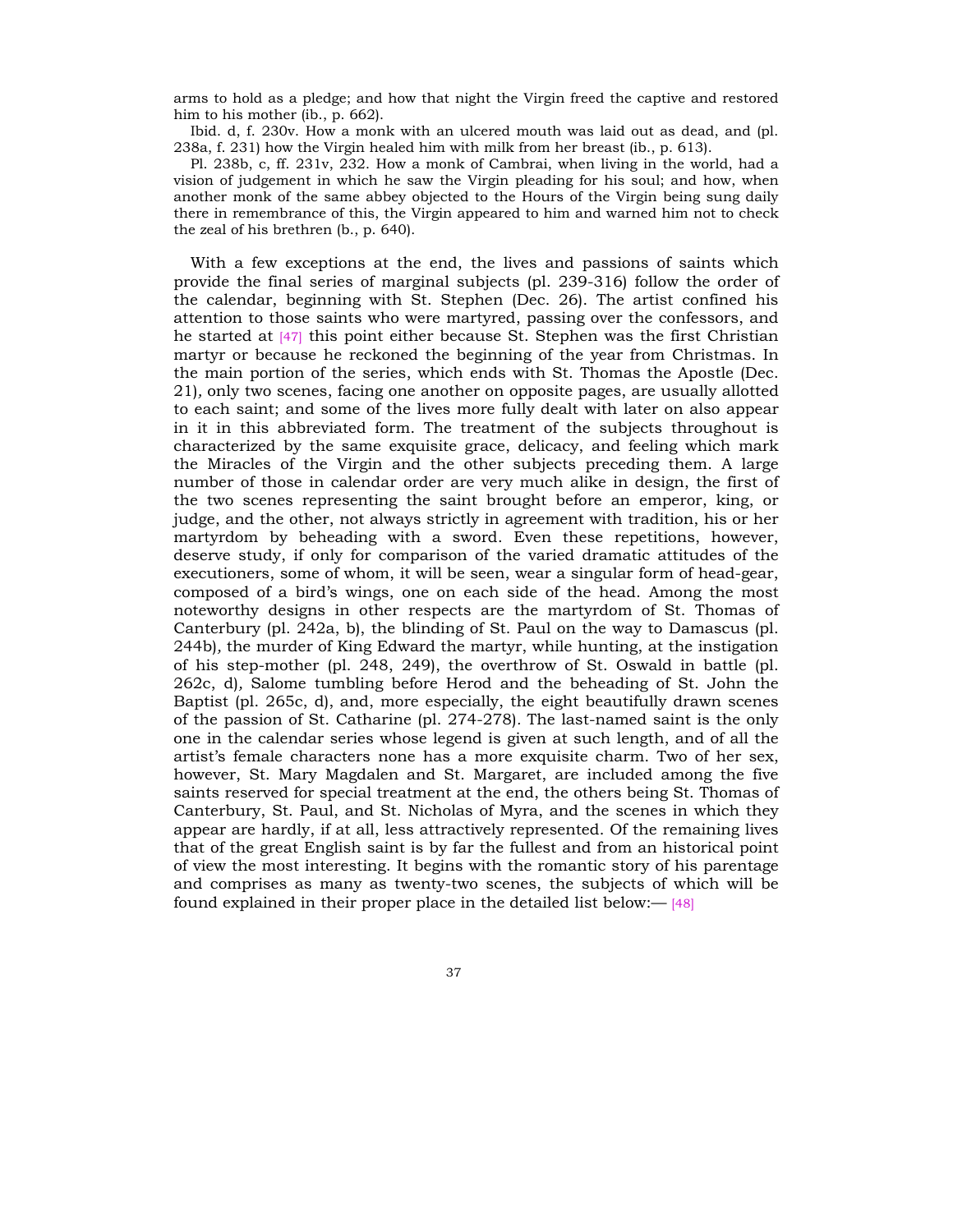arms to hold as a pledge; and how that night the Virgin freed the captive and restored him to his mother (ib., p. 662).

Ibid. d, f. 230v. How a monk with an ulcered mouth was laid out as dead, and (pl. 238a, f. 231) how the Virgin healed him with milk from her breast (ib., p. 613).

Pl. 238b, c, ff. 231v, 232. How a monk of Cambrai, when living in the world, had a vision of judgement in which he saw the Virgin pleading for his soul; and how, when another monk of the same abbey objected to the Hours of the Virgin being sung daily there in remembrance of this, the Virgin appeared to him and warned him not to check the zeal of his brethren (b., p. 640).

With a few exceptions at the end, the lives and passions of saints which provide the final series of marginal subjects (pl. 239-316) follow the order of the calendar, beginning with St. Stephen (Dec. 26). The artist confined his attention to those saints who were martyred, passing over the confessors, and he started at [47] this point either because St. Stephen was the first Christian martyr or because he reckoned the beginning of the year from Christmas. In the main portion of the series, which ends with St. Thomas the Apostle (Dec. 21)*,* only two scenes, facing one another on opposite pages, are usually allotted to each saint; and some of the lives more fully dealt with later on also appear in it in this abbreviated form. The treatment of the subjects throughout is characterized by the same exquisite grace, delicacy, and feeling which mark the Miracles of the Virgin and the other subjects preceding them. A large number of those in calendar order are very much alike in design, the first of the two scenes representing the saint brought before an emperor, king, or judge, and the other, not always strictly in agreement with tradition, his or her martyrdom by beheading with a sword. Even these repetitions, however, deserve study, if only for comparison of the varied dramatic attitudes of the executioners, some of whom, it will be seen, wear a singular form of head-gear, composed of a birdís wings, one on each side of the head. Among the most noteworthy designs in other respects are the martyrdom of St. Thomas of Canterbury (pl. 242a, b), the blinding of St. Paul on the way to Damascus (pl. 244b)*,* the murder of King Edward the martyr, while hunting, at the instigation of his step-mother (pl. 248, 249), the overthrow of St. Oswald in battle (pl. 262c, d)*,* Salome tumbling before Herod and the beheading of St. John the Baptist (pl. 265c, d), and, more especially, the eight beautifully drawn scenes of the passion of St. Catharine (pl. 274-278)*.* The last-named saint is the only one in the calendar series whose legend is given at such length, and of all the artistís female characters none has a more exquisite charm. Two of her sex, however, St. Mary Magdalen and St. Margaret, are included among the five saints reserved for special treatment at the end, the others being St. Thomas of Canterbury, St. Paul, and St. Nicholas of Myra, and the scenes in which they appear are hardly, if at all, less attractively represented. Of the remaining lives that of the great English saint is by far the fullest and from an historical point of view the most interesting. It begins with the romantic story of his parentage and comprises as many as twenty-two scenes, the subjects of which will be found explained in their proper place in the detailed list below: $-$  [48]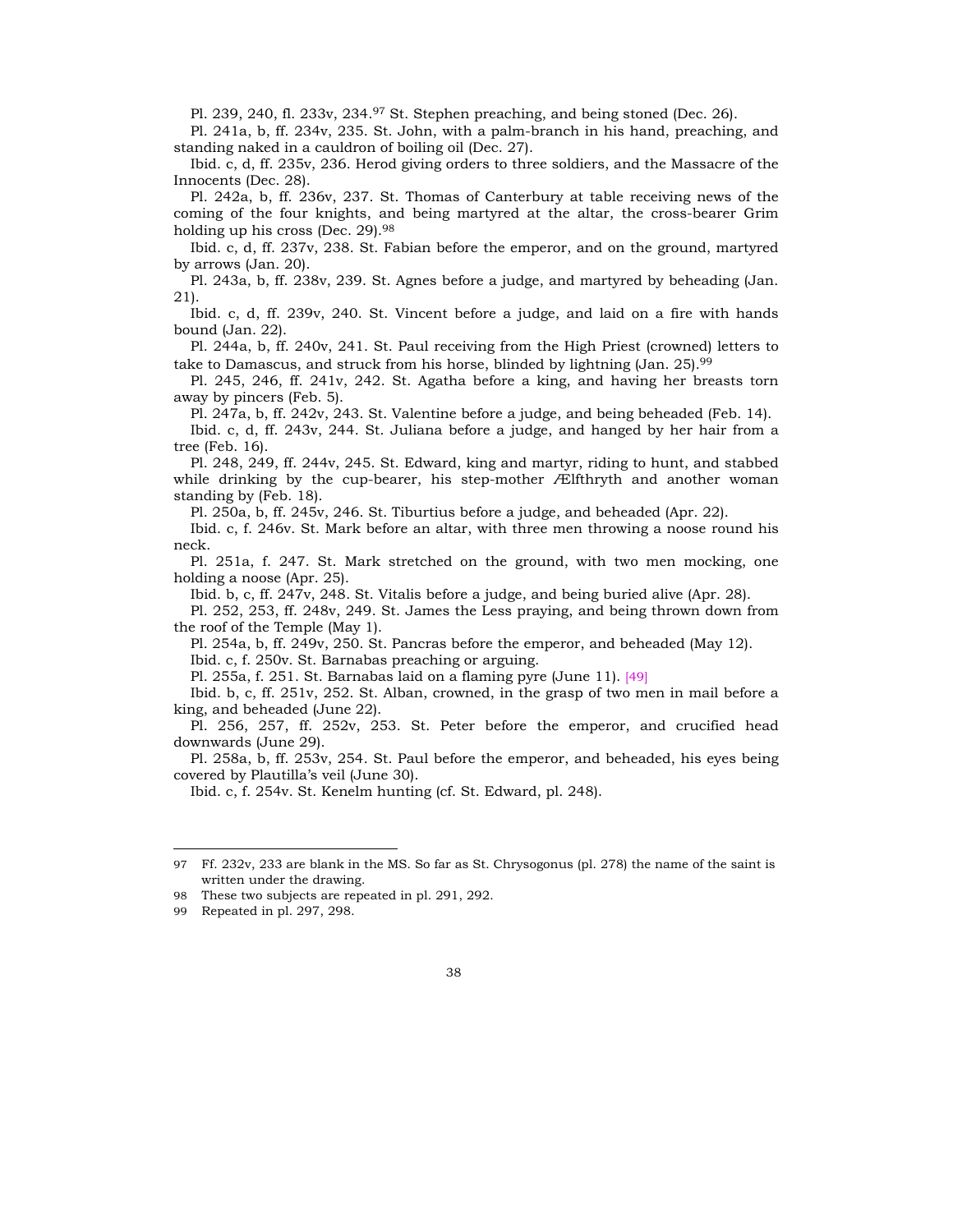Pl. 239, 240, fl. 233v, 234.97 St. Stephen preaching, and being stoned (Dec. 26).

Pl. 241a, b, ff. 234v, 235. St. John, with a palm-branch in his hand, preaching, and standing naked in a cauldron of boiling oil (Dec. 27).

Ibid. c, d, ff. 235v, 236. Herod giving orders to three soldiers, and the Massacre of the Innocents (Dec. 28).

Pl. 242a, b, ff. 236v, 237. St. Thomas of Canterbury at table receiving news of the coming of the four knights, and being martyred at the altar, the cross-bearer Grim holding up his cross (Dec. 29).<sup>98</sup>

Ibid. c, d, ff. 237v, 238. St. Fabian before the emperor, and on the ground, martyred by arrows (Jan. 20).

Pl. 243a, b, ff. 238v, 239. St. Agnes before a judge, and martyred by beheading (Jan. 21).

Ibid. c, d, ff. 239v, 240. St. Vincent before a judge, and laid on a fire with hands bound (Jan. 22).

Pl. 244a, b, ff. 240v, 241. St. Paul receiving from the High Priest (crowned) letters to take to Damascus, and struck from his horse, blinded by lightning (Jan. 25).99

Pl. 245, 246, ff. 241v, 242. St. Agatha before a king, and having her breasts torn away by pincers (Feb. 5).

Pl. 247a, b, ff. 242v, 243. St. Valentine before a judge, and being beheaded (Feb. 14).

Ibid. c, d, ff. 243v, 244. St. Juliana before a judge, and hanged by her hair from a tree (Feb. 16).

Pl. 248, 249, ff. 244v, 245. St. Edward, king and martyr, riding to hunt, and stabbed while drinking by the cup-bearer, his step-mother Ælfthryth and another woman standing by (Feb. 18).

Pl. 250a, b, ff. 245v, 246. St. Tiburtius before a judge, and beheaded (Apr. 22).

Ibid. c, f. 246v. St. Mark before an altar, with three men throwing a noose round his neck.

Pl. 251a, f. 247. St. Mark stretched on the ground, with two men mocking, one holding a noose (Apr. 25).

Ibid. b, c, ff. 247v, 248. St. Vitalis before a judge, and being buried alive (Apr. 28).

Pl. 252, 253, ff. 248v, 249. St. James the Less praying, and being thrown down from the roof of the Temple (May 1).

Pl. 254a, b, ff. 249v, 250. St. Pancras before the emperor, and beheaded (May 12). Ibid. c, f. 250v. St. Barnabas preaching or arguing.

Pl. 255a, f. 251. St. Barnabas laid on a flaming pyre (June 11). [49]

Ibid. b, c, ff. 251v, 252. St. Alban, crowned, in the grasp of two men in mail before a king, and beheaded (June 22).

Pl. 256, 257, ff. 252v, 253. St. Peter before the emperor, and crucified head downwards (June 29).

Pl. 258a, b, ff. 253v, 254. St. Paul before the emperor, and beheaded, his eyes being covered by Plautilla's veil (June 30).

Ibid. c, f. 254v. St. Kenelm hunting (cf. St. Edward, pl. 248).

<sup>97</sup> Ff. 232v, 233 are blank in the MS. So far as St. Chrysogonus (pl. 278) the name of the saint is written under the drawing.

<sup>98</sup> These two subjects are repeated in pl. 291, 292.

<sup>99</sup> Repeated in pl. 297, 298.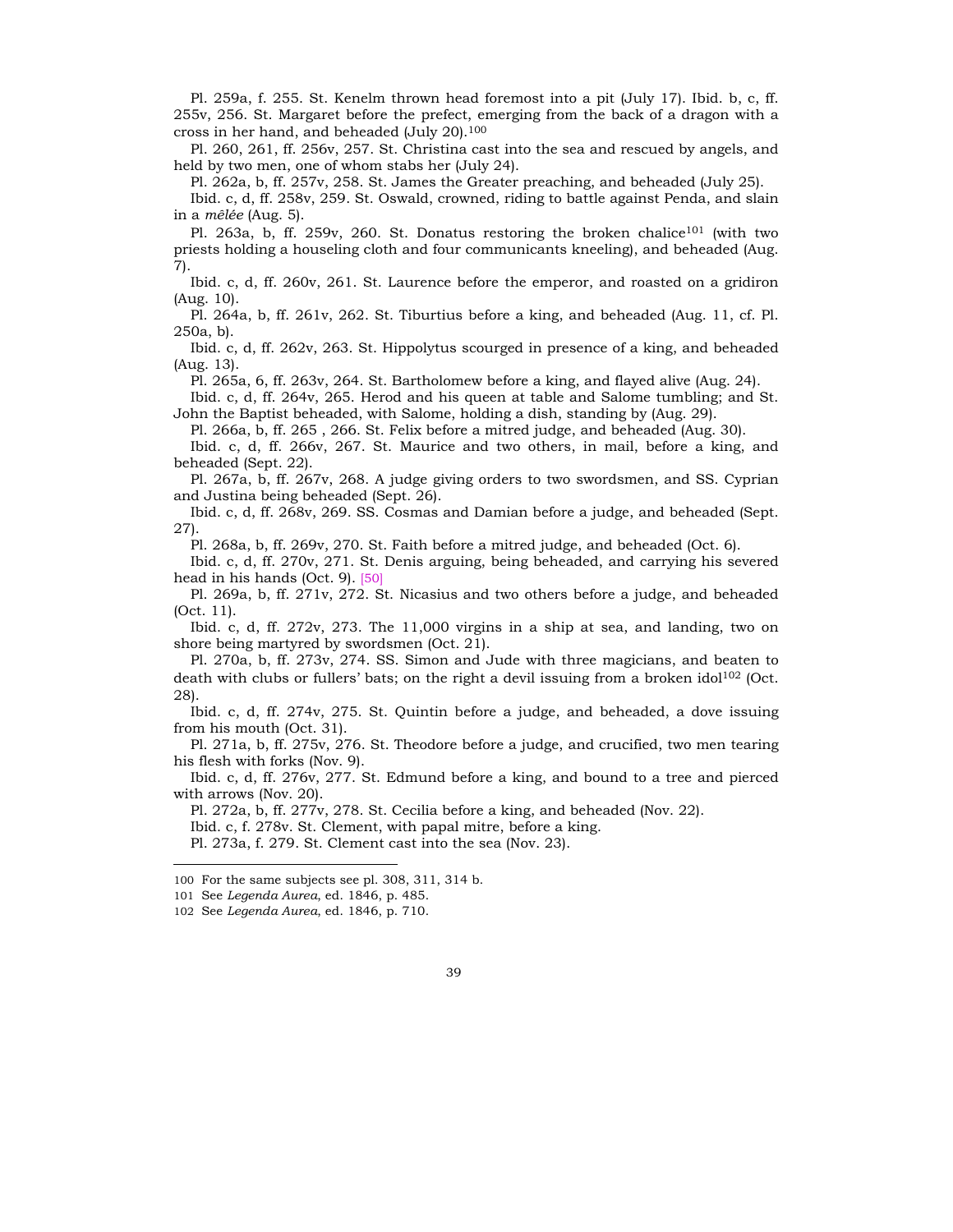Pl. 259a, f. 255. St. Kenelm thrown head foremost into a pit (July 17). Ibid. b, c, ff. 255v, 256. St. Margaret before the prefect, emerging from the back of a dragon with a cross in her hand, and beheaded (July 20).100

Pl. 260, 261, ff. 256v, 257. St. Christina cast into the sea and rescued by angels, and held by two men, one of whom stabs her (July 24).

Pl. 262a, b, ff. 257v, 258. St. James the Greater preaching, and beheaded (July 25).

Ibid. c, d, ff. 258v, 259. St. Oswald, crowned, riding to battle against Penda, and slain in a *mêlée* (Aug. 5).

Pl. 263a, b, ff. 259v, 260. St. Donatus restoring the broken chalice<sup>101</sup> (with two priests holding a houseling cloth and four communicants kneeling), and beheaded (Aug. 7).

Ibid. c, d, ff. 260v, 261. St. Laurence before the emperor, and roasted on a gridiron (Aug. 10).

Pl. 264a, b, ff. 261v, 262. St. Tiburtius before a king, and beheaded (Aug. 11, cf. Pl. 250a, b).

Ibid. c, d, ff. 262v, 263. St. Hippolytus scourged in presence of a king, and beheaded (Aug. 13).

Pl. 265a, 6, ff. 263v, 264. St. Bartholomew before a king, and flayed alive (Aug. 24).

Ibid. c, d, ff. 264v, 265. Herod and his queen at table and Salome tumbling; and St. John the Baptist beheaded, with Salome, holding a dish, standing by (Aug. 29).

Pl. 266a, b, ff. 265 , 266. St. Felix before a mitred judge, and beheaded (Aug. 30).

Ibid. c, d, ff. 266v, 267. St. Maurice and two others, in mail, before a king, and beheaded (Sept. 22).

Pl. 267a, b, ff. 267v, 268. A judge giving orders to two swordsmen, and SS. Cyprian and Justina being beheaded (Sept. 26).

Ibid. c, d, ff. 268v, 269. SS. Cosmas and Damian before a judge, and beheaded (Sept. 27).

Pl. 268a, b, ff. 269v, 270. St. Faith before a mitred judge, and beheaded (Oct. 6).

Ibid. c, d, ff. 270v, 271. St. Denis arguing, being beheaded, and carrying his severed head in his hands (Oct. 9). [50]

Pl. 269a, b, ff. 271v, 272. St. Nicasius and two others before a judge, and beheaded (Oct. 11).

Ibid. c, d, ff. 272v, 273. The 11,000 virgins in a ship at sea, and landing, two on shore being martyred by swordsmen (Oct. 21).

Pl. 270a, b, ff. 273v, 274. SS. Simon and Jude with three magicians, and beaten to death with clubs or fullers' bats; on the right a devil issuing from a broken idol<sup>102</sup> (Oct. 28).

Ibid. c, d, ff. 274v, 275. St. Quintin before a judge, and beheaded, a dove issuing from his mouth (Oct. 31).

Pl. 271a, b, ff. 275v, 276. St. Theodore before a judge, and crucified, two men tearing his flesh with forks (Nov. 9).

Ibid. c, d, ff. 276v, 277. St. Edmund before a king, and bound to a tree and pierced with arrows (Nov. 20).

Pl. 272a, b, ff. 277v, 278. St. Cecilia before a king, and beheaded (Nov. 22).

Ibid. c, f. 278v. St. Clement, with papal mitre, before a king.

Pl. 273a, f. 279. St. Clement cast into the sea (Nov. 23).

<sup>100</sup> For the same subjects see pl. 308, 311, 314 b.

<sup>101</sup> See *Legenda Aurea*, ed. 1846, p. 485.

<sup>102</sup> See *Legenda Aurea*, ed. 1846, p. 710.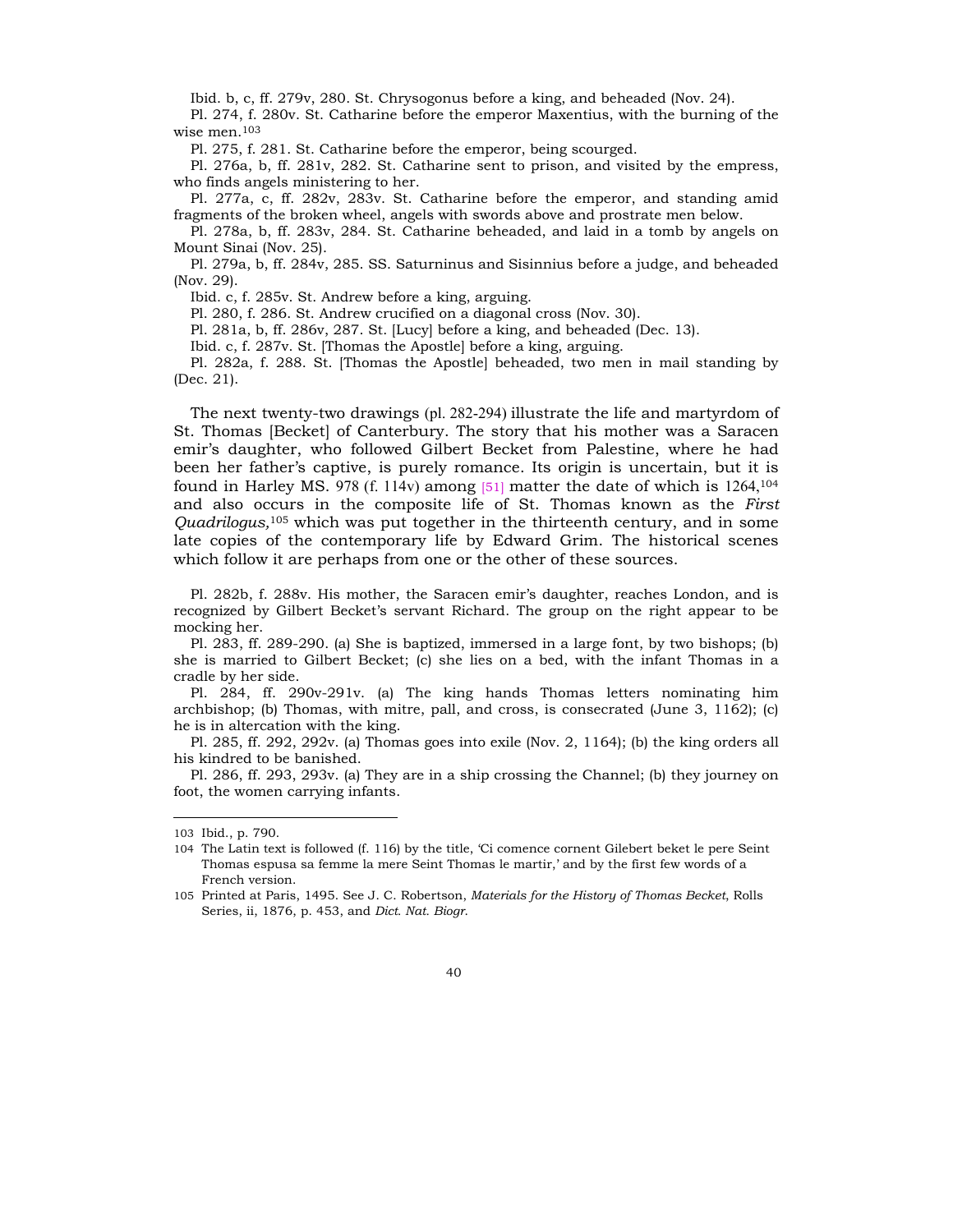Ibid. b, c, ff. 279v, 280. St. Chrysogonus before a king, and beheaded (Nov. 24).

Pl. 274, f. 280v. St. Catharine before the emperor Maxentius, with the burning of the wise men.103

Pl. 275, f. 281. St. Catharine before the emperor, being scourged.

Pl. 276a, b, ff. 281v, 282. St. Catharine sent to prison, and visited by the empress, who finds angels ministering to her.

Pl. 277a, c, ff. 282v, 283v. St. Catharine before the emperor, and standing amid fragments of the broken wheel, angels with swords above and prostrate men below.

Pl. 278a, b, ff. 283v, 284. St. Catharine beheaded, and laid in a tomb by angels on Mount Sinai (Nov. 25).

Pl. 279a, b, ff. 284v, 285. SS. Saturninus and Sisinnius before a judge, and beheaded (Nov. 29).

Ibid. c, f. 285v. St. Andrew before a king, arguing.

Pl. 280, f. 286. St. Andrew crucified on a diagonal cross (Nov. 30).

Pl. 281a, b, ff. 286v, 287. St. [Lucy] before a king, and beheaded (Dec. 13).

Ibid. c, f. 287v. St. [Thomas the Apostle] before a king, arguing.

Pl. 282a, f. 288. St. [Thomas the Apostle] beheaded, two men in mail standing by (Dec. 21).

The next twenty-two drawings (pl. 282-294) illustrate the life and martyrdom of St. Thomas [Becket] of Canterbury. The story that his mother was a Saracen emirís daughter, who followed Gilbert Becket from Palestine, where he had been her fatherís captive, is purely romance. Its origin is uncertain, but it is found in Harley MS. 978 (f. 114v) among  $[51]$  matter the date of which is 1264,<sup>104</sup> and also occurs in the composite life of St. Thomas known as the *First Quadrilogus,*<sup>105</sup> which was put together in the thirteenth century, and in some late copies of the contemporary life by Edward Grim. The historical scenes which follow it are perhaps from one or the other of these sources.

Pl. 282b, f. 288v. His mother, the Saracen emir's daughter, reaches London, and is recognized by Gilbert Becketís servant Richard. The group on the right appear to be mocking her.

Pl. 283, ff. 289-290. (a) She is baptized, immersed in a large font, by two bishops; (b) she is married to Gilbert Becket; (c) she lies on a bed, with the infant Thomas in a cradle by her side.

Pl. 284, ff. 290v-291v. (a) The king hands Thomas letters nominating him archbishop; (b) Thomas, with mitre, pall, and cross, is consecrated (June 3, 1162); (c) he is in altercation with the king.

Pl. 285, ff. 292, 292v. (a) Thomas goes into exile (Nov. 2, 1164); (b) the king orders all his kindred to be banished.

Pl. 286, ff. 293, 293v. (a) They are in a ship crossing the Channel; (b) they journey on foot, the women carrying infants.

<sup>103</sup> Ibid., p. 790.

<sup>104</sup> The Latin text is followed (f. 116) by the title, ëCi comence cornent Gilebert beket le pere Seint Thomas espusa sa femme la mere Seint Thomas le martir,' and by the first few words of a French version.

<sup>105</sup> Printed at Paris, 1495. See J. C. Robertson, *Materials for the History of Thomas Becket*, Rolls Series, ii, 1876, p. 453, and *Dict. Nat. Biogr*.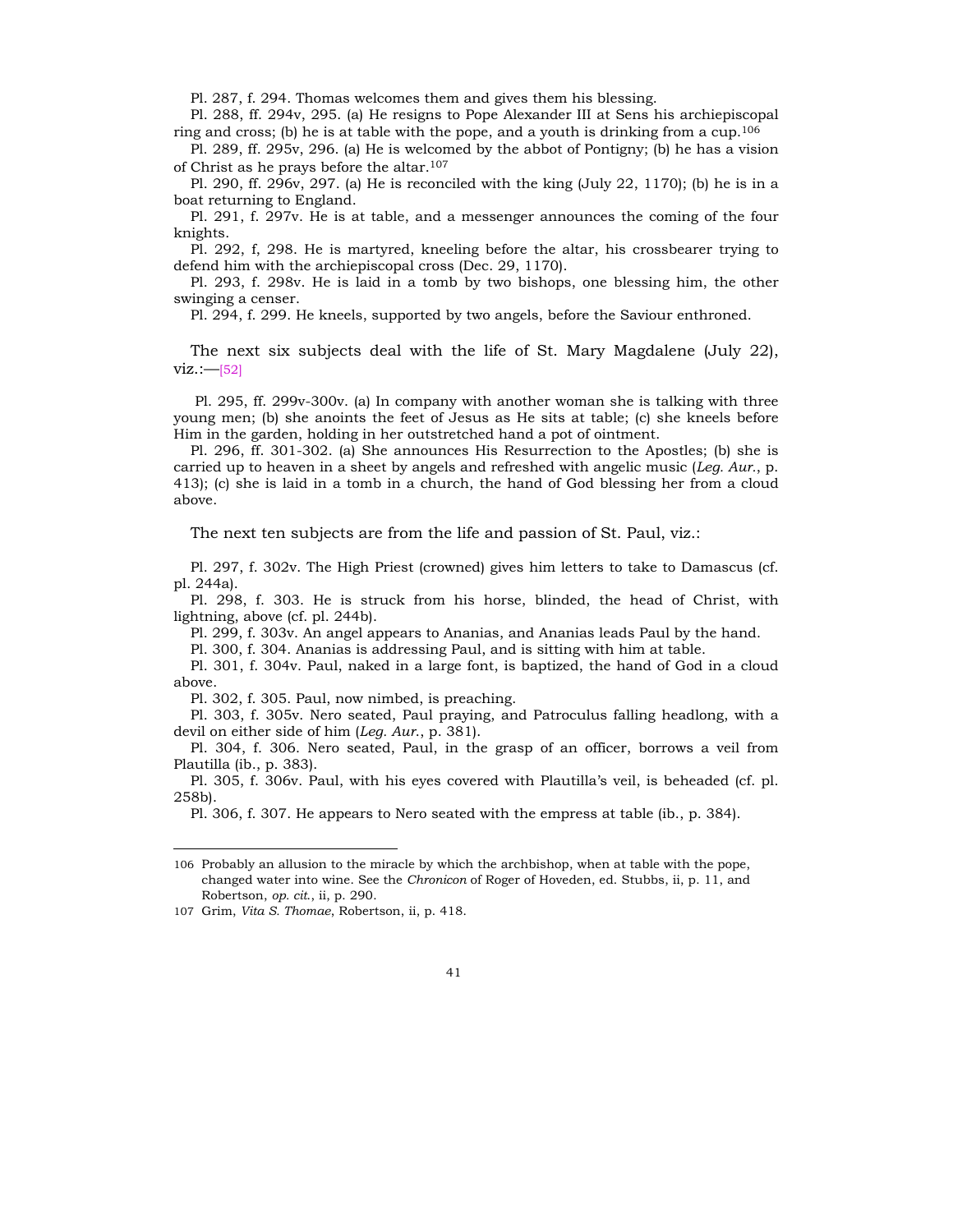Pl. 287, f. 294. Thomas welcomes them and gives them his blessing.

Pl. 288, ff. 294v, 295. (a) He resigns to Pope Alexander III at Sens his archiepiscopal ring and cross; (b) he is at table with the pope, and a youth is drinking from a cup.<sup>106</sup>

Pl. 289, ff. 295v, 296. (a) He is welcomed by the abbot of Pontigny; (b) he has a vision of Christ as he prays before the altar.107

Pl. 290, ff. 296v, 297. (a) He is reconciled with the king (July 22, 1170); (b) he is in a boat returning to England.

Pl. 291, f. 297v. He is at table, and a messenger announces the coming of the four knights.

Pl. 292, f, 298. He is martyred, kneeling before the altar, his crossbearer trying to defend him with the archiepiscopal cross (Dec. 29, 1170).

Pl. 293, f. 298v. He is laid in a tomb by two bishops, one blessing him, the other swinging a censer.

Pl. 294, f. 299. He kneels, supported by two angels, before the Saviour enthroned.

The next six subjects deal with the life of St. Mary Magdalene (July 22),  $viz. := [52]$ 

 Pl. 295, ff. 299v-300v. (a) In company with another woman she is talking with three young men; (b) she anoints the feet of Jesus as He sits at table; (c) she kneels before Him in the garden, holding in her outstretched hand a pot of ointment.

Pl. 296, ff. 301-302. (a) She announces His Resurrection to the Apostles; (b) she is carried up to heaven in a sheet by angels and refreshed with angelic music (*Leg. Aur.*, p. 413); (c) she is laid in a tomb in a church, the hand of God blessing her from a cloud above.

The next ten subjects are from the life and passion of St. Paul, viz.:

Pl. 297, f. 302v. The High Priest (crowned) gives him letters to take to Damascus (cf. pl. 244a).

Pl. 298, f. 303. He is struck from his horse, blinded, the head of Christ, with lightning, above (cf. pl. 244b).

Pl. 299, f. 303v. An angel appears to Ananias, and Ananias leads Paul by the hand.

Pl. 300, f. 304. Ananias is addressing Paul, and is sitting with him at table.

Pl. 301, f. 304v. Paul, naked in a large font, is baptized, the hand of God in a cloud above.

Pl. 302, f. 305. Paul, now nimbed, is preaching.

Pl. 303, f. 305v. Nero seated, Paul praying, and Patroculus falling headlong, with a devil on either side of him (*Leg. Aur*., p. 381).

Pl. 304, f. 306. Nero seated, Paul, in the grasp of an officer, borrows a veil from Plautilla (ib., p. 383).

Pl. 305, f. 306v. Paul, with his eyes covered with Plautillaís veil, is beheaded (cf. pl. 258b).

Pl. 306, f. 307. He appears to Nero seated with the empress at table (ib., p. 384).

<sup>106</sup> Probably an allusion to the miracle by which the archbishop, when at table with the pope, changed water into wine. See the *Chronicon* of Roger of Hoveden, ed. Stubbs, ii, p. 11, and Robertson, *op. cit*., ii, p. 290.

<sup>107</sup> Grim, *Vita S. Thomae*, Robertson, ii, p. 418.